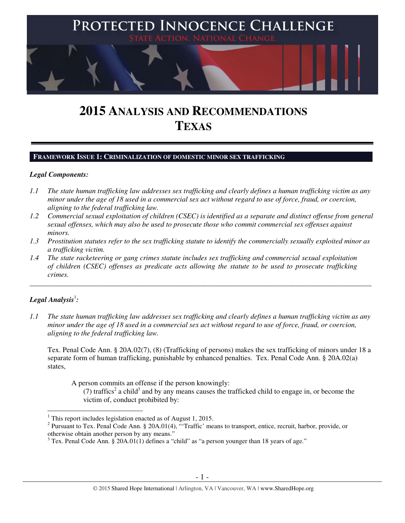

# **2015 ANALYSIS AND RECOMMENDATIONS TEXAS**

# **FRAMEWORK ISSUE 1: CRIMINALIZATION OF DOMESTIC MINOR SEX TRAFFICKING**

## *Legal Components:*

- *1.1 The state human trafficking law addresses sex trafficking and clearly defines a human trafficking victim as any minor under the age of 18 used in a commercial sex act without regard to use of force, fraud, or coercion, aligning to the federal trafficking law.*
- *1.2 Commercial sexual exploitation of children (CSEC) is identified as a separate and distinct offense from general sexual offenses, which may also be used to prosecute those who commit commercial sex offenses against minors.*
- *1.3 Prostitution statutes refer to the sex trafficking statute to identify the commercially sexually exploited minor as a trafficking victim.*

\_\_\_\_\_\_\_\_\_\_\_\_\_\_\_\_\_\_\_\_\_\_\_\_\_\_\_\_\_\_\_\_\_\_\_\_\_\_\_\_\_\_\_\_\_\_\_\_\_\_\_\_\_\_\_\_\_\_\_\_\_\_\_\_\_\_\_\_\_\_\_\_\_\_\_\_\_\_\_\_\_\_\_\_\_\_\_\_\_\_\_\_\_\_

*1.4 The state racketeering or gang crimes statute includes sex trafficking and commercial sexual exploitation of children (CSEC) offenses as predicate acts allowing the statute to be used to prosecute trafficking crimes.* 

# $\bm{L}$ egal Analysis $^1$ :

*1.1 The state human trafficking law addresses sex trafficking and clearly defines a human trafficking victim as any minor under the age of 18 used in a commercial sex act without regard to use of force, fraud, or coercion, aligning to the federal trafficking law.* 

Tex. Penal Code Ann. § 20A.02(7), (8) (Trafficking of persons) makes the sex trafficking of minors under 18 a separate form of human trafficking, punishable by enhanced penalties. Tex. Penal Code Ann. § 20A.02(a) states,

A person commits an offense if the person knowingly:

(7) traffics<sup>2</sup> a child<sup>3</sup> and by any means causes the trafficked child to engage in, or become the victim of, conduct prohibited by:

 1 This report includes legislation enacted as of August 1, 2015.

<sup>&</sup>lt;sup>2</sup> Pursuant to Tex. Penal Code Ann. § 20A.01(4), "Traffic' means to transport, entice, recruit, harbor, provide, or otherwise obtain another person by any means."

 $3$  Tex. Penal Code Ann.  $\S$  20A.01(1) defines a "child" as "a person younger than 18 years of age."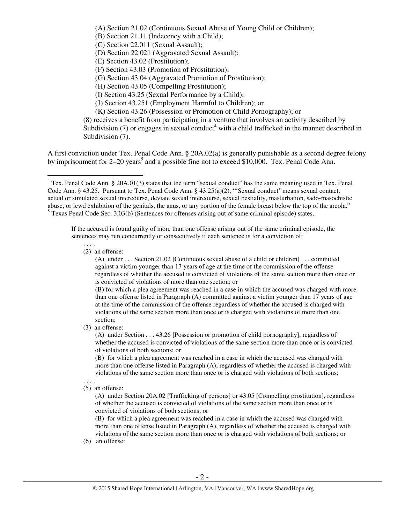(A) Section 21.02 (Continuous Sexual Abuse of Young Child or Children); (B) Section 21.11 (Indecency with a Child); (C) Section 22.011 (Sexual Assault); (D) Section 22.021 (Aggravated Sexual Assault); (E) Section 43.02 (Prostitution); (F) Section 43.03 (Promotion of Prostitution); (G) Section 43.04 (Aggravated Promotion of Prostitution); (H) Section 43.05 (Compelling Prostitution); (I) Section 43.25 (Sexual Performance by a Child); (J) Section 43.251 (Employment Harmful to Children); or (K) Section 43.26 (Possession or Promotion of Child Pornography); or (8) receives a benefit from participating in a venture that involves an activity described by Subdivision  $(7)$  or engages in sexual conduct<sup>4</sup> with a child trafficked in the manner described in Subdivision  $(7)$ .

A first conviction under Tex. Penal Code Ann. § 20A.02(a) is generally punishable as a second degree felony by imprisonment for 2–20 years<sup>5</sup> and a possible fine not to exceed \$10,000. Tex. Penal Code Ann.

If the accused is found guilty of more than one offense arising out of the same criminal episode, the sentences may run concurrently or consecutively if each sentence is for a conviction of:

. . . . (2) an offense:

> (A) under . . . Section 21.02 [Continuous sexual abuse of a child or children] . . . committed against a victim younger than 17 years of age at the time of the commission of the offense regardless of whether the accused is convicted of violations of the same section more than once or is convicted of violations of more than one section; or

> (B) for which a plea agreement was reached in a case in which the accused was charged with more than one offense listed in Paragraph (A) committed against a victim younger than 17 years of age at the time of the commission of the offense regardless of whether the accused is charged with violations of the same section more than once or is charged with violations of more than one section;

(3) an offense:

(A) under Section . . . 43.26 [Possession or promotion of child pornography], regardless of whether the accused is convicted of violations of the same section more than once or is convicted of violations of both sections; or

(B) for which a plea agreement was reached in a case in which the accused was charged with more than one offense listed in Paragraph (A), regardless of whether the accused is charged with violations of the same section more than once or is charged with violations of both sections;

. . . . (5) an offense:

> (A) under Section 20A.02 [Trafficking of persons] or 43.05 [Compelling prostitution], regardless of whether the accused is convicted of violations of the same section more than once or is convicted of violations of both sections; or

(B) for which a plea agreement was reached in a case in which the accused was charged with more than one offense listed in Paragraph (A), regardless of whether the accused is charged with violations of the same section more than once or is charged with violations of both sections; or

(6) an offense:

 4 Tex. Penal Code Ann. § 20A.01(3) states that the term "sexual conduct" has the same meaning used in Tex. Penal Code Ann. § 43.25. Pursuant to Tex. Penal Code Ann. § 43.25(a)(2), "'Sexual conduct' means sexual contact, actual or simulated sexual intercourse, deviate sexual intercourse, sexual bestiality, masturbation, sado-masochistic abuse, or lewd exhibition of the genitals, the anus, or any portion of the female breast below the top of the areola."<br><sup>5</sup> Texas Penal Code Sec. 3.03(b) (Sentences for offenses arising out of same criminal episode) states,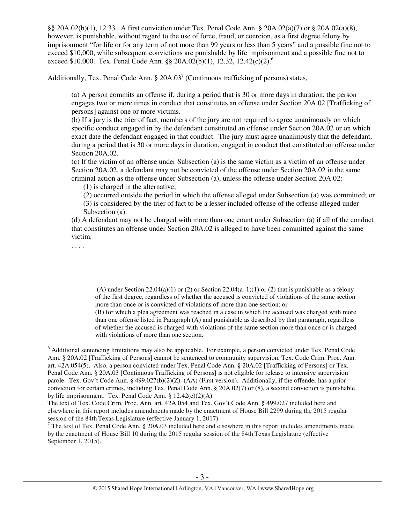§§ 20A.02(b)(1), 12.33. A first conviction under Tex. Penal Code Ann. § 20A.02(a)(7) or § 20A.02(a)(8), however, is punishable, without regard to the use of force, fraud, or coercion, as a first degree felony by imprisonment "for life or for any term of not more than 99 years or less than 5 years" and a possible fine not to exceed \$10,000, while subsequent convictions are punishable by life imprisonment and a possible fine not to exceed \$10,000. Tex. Penal Code Ann. §§ 20A.02(b)(1), 12.32, 12.42(c)(2).<sup>6</sup>

Additionally, Tex. Penal Code Ann.  $\S 20A.03^7$  (Continuous trafficking of persons) states,

(a) A person commits an offense if, during a period that is 30 or more days in duration, the person engages two or more times in conduct that constitutes an offense under Section 20A.02 [Trafficking of persons] against one or more victims.

(b) If a jury is the trier of fact, members of the jury are not required to agree unanimously on which specific conduct engaged in by the defendant constituted an offense under Section 20A.02 or on which exact date the defendant engaged in that conduct. The jury must agree unanimously that the defendant, during a period that is 30 or more days in duration, engaged in conduct that constituted an offense under Section 20A.02.

(c) If the victim of an offense under Subsection (a) is the same victim as a victim of an offense under Section 20A.02, a defendant may not be convicted of the offense under Section 20A.02 in the same criminal action as the offense under Subsection (a), unless the offense under Section 20A.02:

(1) is charged in the alternative;

(2) occurred outside the period in which the offense alleged under Subsection (a) was committed; or (3) is considered by the trier of fact to be a lesser included offense of the offense alleged under Subsection (a).

(d) A defendant may not be charged with more than one count under Subsection (a) if all of the conduct that constitutes an offense under Section 20A.02 is alleged to have been committed against the same victim.

. . . .

 $\overline{a}$ 

(B) for which a plea agreement was reached in a case in which the accused was charged with more than one offense listed in Paragraph (A) and punishable as described by that paragraph, regardless of whether the accused is charged with violations of the same section more than once or is charged with violations of more than one section.

<sup>6</sup> Additional sentencing limitations may also be applicable. For example, a person convicted under Tex. Penal Code Ann. § 20A.02 [Trafficking of Persons] cannot be sentenced to community supervision. Tex. Code Crim. Proc. Ann. art. 42A.054(5). Also, a person convicted under Tex. Penal Code Ann. § 20A.02 [Trafficking of Persons] or Tex. Penal Code Ann. § 20A.03 [Continuous Trafficking of Persons] is not eligible for release to intensive supervision parole. Tex. Gov't Code Ann. § 499.027(b)(2)(Z)–(AA) (First version). Additionally, if the offender has a prior conviction for certain crimes, including Tex. Penal Code Ann. § 20A.02(7) or (8), a second conviction is punishable by life imprisonment. Tex. Penal Code Ann. § 12.42(c)(2)(A).

The text of Tex. Code Crim. Proc. Ann. art. 42A.054 and Tex. Gov't Code Ann. § 499.027 included here and elsewhere in this report includes amendments made by the enactment of House Bill 2299 during the 2015 regular session of the 84th Texas Legislature (effective January 1, 2017).

<sup>7</sup> The text of Tex. Penal Code Ann. § 20A.03 included here and elsewhere in this report includes amendments made by the enactment of House Bill 10 during the 2015 regular session of the 84th Texas Legislature (effective September 1, 2015).

<sup>(</sup>A) under Section 22.04(a)(1) or (2) or Section 22.04(a–1)(1) or (2) that is punishable as a felony of the first degree, regardless of whether the accused is convicted of violations of the same section more than once or is convicted of violations of more than one section; or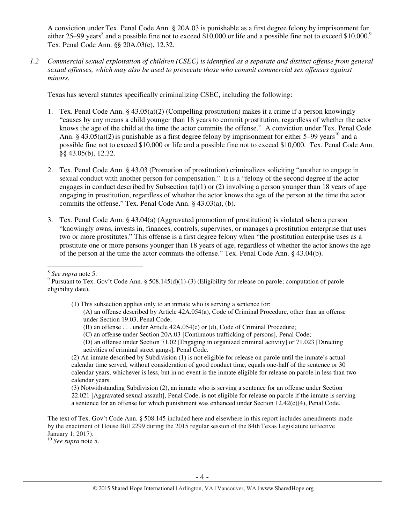A conviction under Tex. Penal Code Ann. § 20A.03 is punishable as a first degree felony by imprisonment for either 25–99 years<sup>8</sup> and a possible fine not to exceed \$10,000 or life and a possible fine not to exceed \$10,000.<sup>9</sup> Tex. Penal Code Ann. §§ 20A.03(e), 12.32.

*1.2 Commercial sexual exploitation of children (CSEC) is identified as a separate and distinct offense from general sexual offenses, which may also be used to prosecute those who commit commercial sex offenses against minors.* 

Texas has several statutes specifically criminalizing CSEC, including the following:

- 1. Tex. Penal Code Ann. § 43.05(a)(2) (Compelling prostitution) makes it a crime if a person knowingly "causes by any means a child younger than 18 years to commit prostitution, regardless of whether the actor knows the age of the child at the time the actor commits the offense." A conviction under Tex. Penal Code Ann. § 43.05(a)(2) is punishable as a first degree felony by imprisonment for either 5–99 years<sup>10</sup> and a possible fine not to exceed \$10,000 or life and a possible fine not to exceed \$10,000. Tex. Penal Code Ann. §§ 43.05(b), 12.32.
- 2. Tex. Penal Code Ann. § 43.03 (Promotion of prostitution) criminalizes soliciting "another to engage in sexual conduct with another person for compensation." It is a "felony of the second degree if the actor engages in conduct described by Subsection (a)(1) or (2) involving a person younger than 18 years of age engaging in prostitution, regardless of whether the actor knows the age of the person at the time the actor commits the offense." Tex. Penal Code Ann. § 43.03(a), (b).
- 3. Tex. Penal Code Ann. § 43.04(a) (Aggravated promotion of prostitution) is violated when a person "knowingly owns, invests in, finances, controls, supervises, or manages a prostitution enterprise that uses two or more prostitutes." This offense is a first degree felony when "the prostitution enterprise uses as a prostitute one or more persons younger than 18 years of age, regardless of whether the actor knows the age of the person at the time the actor commits the offense." Tex. Penal Code Ann. § 43.04(b).

(1) This subsection applies only to an inmate who is serving a sentence for:

<sup>10</sup> *See supra* note 5.

 8 *See supra* note 5.

<sup>&</sup>lt;sup>9</sup> Pursuant to Tex. Gov't Code Ann. § 508.145(d)(1)-(3) (Eligibility for release on parole; computation of parole eligibility date),

<sup>(</sup>A) an offense described by Article 42A.054(a), Code of Criminal Procedure, other than an offense under Section 19.03, Penal Code;

<sup>(</sup>B) an offense . . . under Article 42A.054(c) or (d), Code of Criminal Procedure;

<sup>(</sup>C) an offense under Section 20A.03 [Continuous trafficking of persons], Penal Code;

<sup>(</sup>D) an offense under Section 71.02 [Engaging in organized criminal activity] or 71.023 [Directing activities of criminal street gangs], Penal Code.

<sup>(2)</sup> An inmate described by Subdivision (1) is not eligible for release on parole until the inmate's actual calendar time served, without consideration of good conduct time, equals one-half of the sentence or 30 calendar years, whichever is less, but in no event is the inmate eligible for release on parole in less than two calendar years.

<sup>(3)</sup> Notwithstanding Subdivision (2), an inmate who is serving a sentence for an offense under Section 22.021 [Aggravated sexual assault], Penal Code, is not eligible for release on parole if the inmate is serving a sentence for an offense for which punishment was enhanced under Section 12.42(c)(4), Penal Code.

The text of Tex. Gov't Code Ann. § 508.145 included here and elsewhere in this report includes amendments made by the enactment of House Bill 2299 during the 2015 regular session of the 84th Texas Legislature (effective January 1, 2017).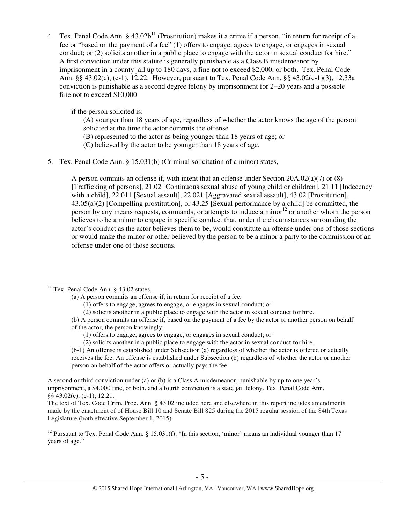4. Tex. Penal Code Ann. §  $43.02b^{11}$  (Prostitution) makes it a crime if a person, "in return for receipt of a fee or "based on the payment of a fee" (1) offers to engage, agrees to engage, or engages in sexual conduct; or (2) solicits another in a public place to engage with the actor in sexual conduct for hire." A first conviction under this statute is generally punishable as a Class B misdemeanor by imprisonment in a county jail up to 180 days, a fine not to exceed \$2,000, or both. Tex. Penal Code Ann. §§ 43.02(c), (c-1), 12.22. However, pursuant to Tex. Penal Code Ann. §§ 43.02(c-1)(3), 12.33a conviction is punishable as a second degree felony by imprisonment for 2–20 years and a possible fine not to exceed \$10,000

if the person solicited is:

(A) younger than 18 years of age, regardless of whether the actor knows the age of the person solicited at the time the actor commits the offense

- (B) represented to the actor as being younger than 18 years of age; or
- (C) believed by the actor to be younger than 18 years of age.
- 5. Tex. Penal Code Ann. § 15.031(b) (Criminal solicitation of a minor) states,

A person commits an offense if, with intent that an offense under Section 20A.02(a)(7) or (8) [Trafficking of persons], 21.02 [Continuous sexual abuse of young child or children], 21.11 [Indecency with a child], 22.011 [Sexual assault], 22.021 [Aggravated sexual assault], 43.02 [Prostitution], 43.05(a)(2) [Compelling prostitution], or 43.25 [Sexual performance by a child] be committed, the person by any means requests, commands, or attempts to induce a minor<sup>12</sup> or another whom the person believes to be a minor to engage in specific conduct that, under the circumstances surrounding the actor's conduct as the actor believes them to be, would constitute an offense under one of those sections or would make the minor or other believed by the person to be a minor a party to the commission of an offense under one of those sections.

- (2) solicits another in a public place to engage with the actor in sexual conduct for hire.
- (b) A person commits an offense if, based on the payment of a fee by the actor or another person on behalf of the actor, the person knowingly:
	- (1) offers to engage, agrees to engage, or engages in sexual conduct; or
	- (2) solicits another in a public place to engage with the actor in sexual conduct for hire.
- (b-1) An offense is established under Subsection (a) regardless of whether the actor is offered or actually receives the fee. An offense is established under Subsection (b) regardless of whether the actor or another person on behalf of the actor offers or actually pays the fee.

A second or third conviction under (a) or (b) is a Class A misdemeanor, punishable by up to one year's imprisonment, a \$4,000 fine, or both, and a fourth conviction is a state jail felony. Tex. Penal Code Ann. §§ 43.02(c), (c-1); 12.21.

<sup>12</sup> Pursuant to Tex. Penal Code Ann. § 15.031(f), "In this section, 'minor' means an individual younger than 17 years of age."

 $\overline{a}$ <sup>11</sup> Tex. Penal Code Ann. § 43.02 states,

<sup>(</sup>a) A person commits an offense if, in return for receipt of a fee,

<sup>(1)</sup> offers to engage, agrees to engage, or engages in sexual conduct; or

The text of Tex. Code Crim. Proc. Ann. § 43.02 included here and elsewhere in this report includes amendments made by the enactment of of House Bill 10 and Senate Bill 825 during the 2015 regular session of the 84th Texas Legislature (both effective September 1, 2015).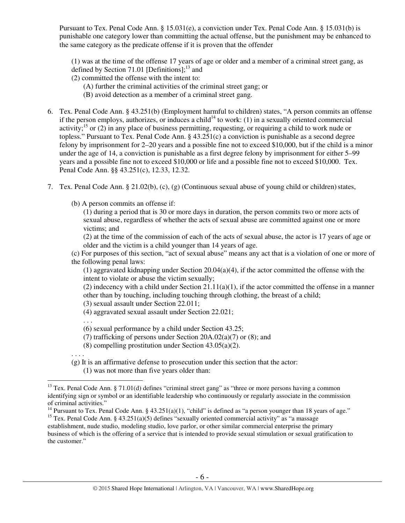Pursuant to Tex. Penal Code Ann. § 15.031(e), a conviction under Tex. Penal Code Ann. § 15.031(b) is punishable one category lower than committing the actual offense, but the punishment may be enhanced to the same category as the predicate offense if it is proven that the offender

(1) was at the time of the offense 17 years of age or older and a member of a criminal street gang, as defined by Section 71.01 [Definitions]; $^{13}$  and

- (2) committed the offense with the intent to:
	- (A) further the criminal activities of the criminal street gang; or
	- (B) avoid detection as a member of a criminal street gang.
- 6. Tex. Penal Code Ann. § 43.251(b) (Employment harmful to children) states, "A person commits an offense if the person employs, authorizes, or induces a child<sup>14</sup> to work: (1) in a sexually oriented commercial activity;<sup>15</sup> or (2) in any place of business permitting, requesting, or requiring a child to work nude or topless." Pursuant to Tex. Penal Code Ann. § 43.251(c) a conviction is punishable as a second degree felony by imprisonment for 2–20 years and a possible fine not to exceed \$10,000, but if the child is a minor under the age of 14, a conviction is punishable as a first degree felony by imprisonment for either 5–99 years and a possible fine not to exceed \$10,000 or life and a possible fine not to exceed \$10,000. Tex. Penal Code Ann. §§ 43.251(c), 12.33, 12.32.
- 7. Tex. Penal Code Ann. § 21.02(b), (c), (g) (Continuous sexual abuse of young child or children) states,
	- (b) A person commits an offense if:

(1) during a period that is 30 or more days in duration, the person commits two or more acts of sexual abuse, regardless of whether the acts of sexual abuse are committed against one or more victims; and

(2) at the time of the commission of each of the acts of sexual abuse, the actor is 17 years of age or older and the victim is a child younger than 14 years of age.

(c) For purposes of this section, "act of sexual abuse" means any act that is a violation of one or more of the following penal laws:

(1) aggravated kidnapping under Section  $20.04(a)(4)$ , if the actor committed the offense with the intent to violate or abuse the victim sexually;

(2) indecency with a child under Section 21.11(a)(1), if the actor committed the offense in a manner other than by touching, including touching through clothing, the breast of a child;

(3) sexual assault under Section 22.011;

(4) aggravated sexual assault under Section 22.021;

. . .

(6) sexual performance by a child under Section 43.25;

(7) trafficking of persons under Section 20A.02(a)(7) or (8); and

(8) compelling prostitution under Section 43.05(a)(2).

. . . .

- (g) It is an affirmative defense to prosecution under this section that the actor:
	- (1) was not more than five years older than:

 $\overline{a}$  $13$  Tex. Penal Code Ann. § 71.01(d) defines "criminal street gang" as "three or more persons having a common identifying sign or symbol or an identifiable leadership who continuously or regularly associate in the commission of criminal activities."

<sup>&</sup>lt;sup>14</sup> Pursuant to Tex. Penal Code Ann. § 43.251(a)(1), "child" is defined as "a person younger than 18 years of age." <sup>15</sup> Tex. Penal Code Ann. § 43.251(a)(5) defines "sexually oriented commercial activity" as "a massage

establishment, nude studio, modeling studio, love parlor, or other similar commercial enterprise the primary business of which is the offering of a service that is intended to provide sexual stimulation or sexual gratification to the customer."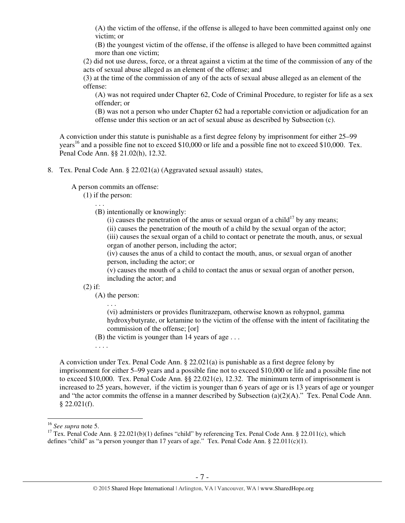(A) the victim of the offense, if the offense is alleged to have been committed against only one victim; or

(B) the youngest victim of the offense, if the offense is alleged to have been committed against more than one victim;

(2) did not use duress, force, or a threat against a victim at the time of the commission of any of the acts of sexual abuse alleged as an element of the offense; and

(3) at the time of the commission of any of the acts of sexual abuse alleged as an element of the offense:

(A) was not required under Chapter 62, Code of Criminal Procedure, to register for life as a sex offender; or

(B) was not a person who under Chapter 62 had a reportable conviction or adjudication for an offense under this section or an act of sexual abuse as described by Subsection (c).

A conviction under this statute is punishable as a first degree felony by imprisonment for either 25–99 years<sup>16</sup> and a possible fine not to exceed \$10,000 or life and a possible fine not to exceed \$10,000. Tex. Penal Code Ann. §§ 21.02(h), 12.32.

8. Tex. Penal Code Ann. § 22.021(a) (Aggravated sexual assault) states,

A person commits an offense:

(1) if the person:

. . .

(B) intentionally or knowingly:

(i) causes the penetration of the anus or sexual organ of a child<sup>17</sup> by any means;

(ii) causes the penetration of the mouth of a child by the sexual organ of the actor;

(iii) causes the sexual organ of a child to contact or penetrate the mouth, anus, or sexual organ of another person, including the actor;

(iv) causes the anus of a child to contact the mouth, anus, or sexual organ of another person, including the actor; or

(v) causes the mouth of a child to contact the anus or sexual organ of another person, including the actor; and

(2) if:

(A) the person:

. . .

(vi) administers or provides flunitrazepam, otherwise known as rohypnol, gamma hydroxybutyrate, or ketamine to the victim of the offense with the intent of facilitating the commission of the offense; [or]

(B) the victim is younger than 14 years of age . . .

. . . .

A conviction under Tex. Penal Code Ann. § 22.021(a) is punishable as a first degree felony by imprisonment for either 5–99 years and a possible fine not to exceed \$10,000 or life and a possible fine not to exceed \$10,000. Tex. Penal Code Ann.  $\S$   $\S$   $22.021$ (e), 12.32. The minimum term of imprisonment is increased to 25 years, however, if the victim is younger than 6 years of age or is 13 years of age or younger and "the actor commits the offense in a manner described by Subsection (a)(2)(A)." Tex. Penal Code Ann.  $§$  22.021(f).

<sup>16</sup> *See supra* note 5.

<sup>&</sup>lt;sup>17</sup> Tex. Penal Code Ann. § 22.021(b)(1) defines "child" by referencing Tex. Penal Code Ann. § 22.011(c), which defines "child" as "a person younger than 17 years of age." Tex. Penal Code Ann.  $\S 22.011(c)(1)$ .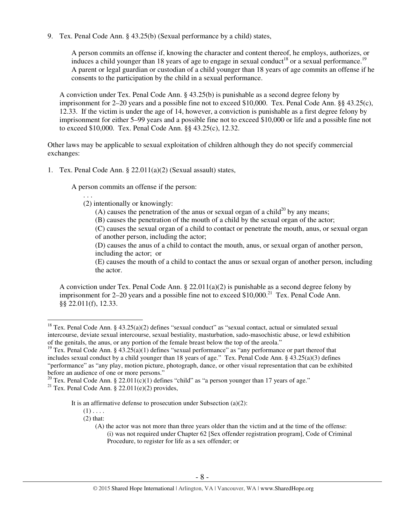9. Tex. Penal Code Ann. § 43.25(b) (Sexual performance by a child) states,

A person commits an offense if, knowing the character and content thereof, he employs, authorizes, or induces a child younger than 18 years of age to engage in sexual conduct<sup>18</sup> or a sexual performance.<sup>19</sup> A parent or legal guardian or custodian of a child younger than 18 years of age commits an offense if he consents to the participation by the child in a sexual performance.

A conviction under Tex. Penal Code Ann. § 43.25(b) is punishable as a second degree felony by imprisonment for 2–20 years and a possible fine not to exceed \$10,000. Tex. Penal Code Ann. §§ 43.25(c), 12.33. If the victim is under the age of 14, however, a conviction is punishable as a first degree felony by imprisonment for either 5–99 years and a possible fine not to exceed \$10,000 or life and a possible fine not to exceed \$10,000. Tex. Penal Code Ann. §§ 43.25(c), 12.32.

Other laws may be applicable to sexual exploitation of children although they do not specify commercial exchanges:

1. Tex. Penal Code Ann. § 22.011(a)(2) (Sexual assault) states,

A person commits an offense if the person:

. . . (2) intentionally or knowingly:

(A) causes the penetration of the anus or sexual organ of a child<sup>20</sup> by any means;

(B) causes the penetration of the mouth of a child by the sexual organ of the actor;

(C) causes the sexual organ of a child to contact or penetrate the mouth, anus, or sexual organ of another person, including the actor;

(D) causes the anus of a child to contact the mouth, anus, or sexual organ of another person, including the actor; or

(E) causes the mouth of a child to contact the anus or sexual organ of another person, including the actor.

A conviction under Tex. Penal Code Ann. § 22.011(a)(2) is punishable as a second degree felony by imprisonment for 2–20 years and a possible fine not to exceed \$10,000.<sup>21</sup> Tex. Penal Code Ann. §§ 22.011(f), 12.33.

It is an affirmative defense to prosecution under Subsection (a)(2):

 $(1)$ ...

 $\overline{a}$ 

(2) that:

<sup>&</sup>lt;sup>18</sup> Tex. Penal Code Ann. § 43.25(a)(2) defines "sexual conduct" as "sexual contact, actual or simulated sexual intercourse, deviate sexual intercourse, sexual bestiality, masturbation, sado-masochistic abuse, or lewd exhibition of the genitals, the anus, or any portion of the female breast below the top of the areola."

<sup>&</sup>lt;sup>19</sup> Tex. Penal Code Ann. § 43.25(a)(1) defines "sexual performance" as "any performance or part thereof that includes sexual conduct by a child younger than 18 years of age." Tex. Penal Code Ann. § 43.25(a)(3) defines "performance" as "any play, motion picture, photograph, dance, or other visual representation that can be exhibited before an audience of one or more persons."

<sup>&</sup>lt;sup>20</sup> Tex. Penal Code Ann. § 22.011(c)(1) defines "child" as "a person younger than 17 years of age."

<sup>&</sup>lt;sup>21</sup> Tex. Penal Code Ann. § 22.011(e)(2) provides,

<sup>(</sup>A) the actor was not more than three years older than the victim and at the time of the offense: (i) was not required under Chapter 62 [Sex offender registration program], Code of Criminal Procedure, to register for life as a sex offender; or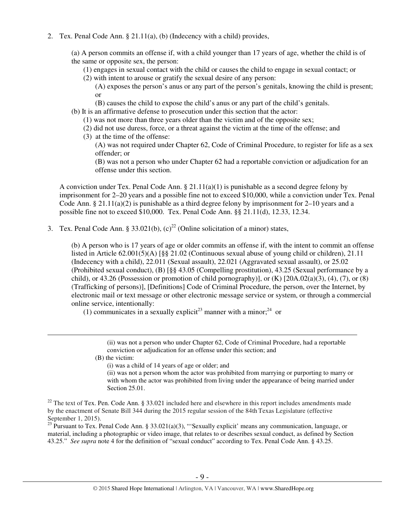2. Tex. Penal Code Ann. § 21.11(a), (b) (Indecency with a child) provides,

(a) A person commits an offense if, with a child younger than 17 years of age, whether the child is of the same or opposite sex, the person:

(1) engages in sexual contact with the child or causes the child to engage in sexual contact; or

(2) with intent to arouse or gratify the sexual desire of any person:

(A) exposes the person's anus or any part of the person's genitals, knowing the child is present; or

(B) causes the child to expose the child's anus or any part of the child's genitals.

(b) It is an affirmative defense to prosecution under this section that the actor:

- (1) was not more than three years older than the victim and of the opposite sex;
- (2) did not use duress, force, or a threat against the victim at the time of the offense; and
- (3) at the time of the offense:
	- (A) was not required under Chapter 62, Code of Criminal Procedure, to register for life as a sex offender; or

(B) was not a person who under Chapter 62 had a reportable conviction or adjudication for an offense under this section.

A conviction under Tex. Penal Code Ann.  $\S 21.11(a)(1)$  is punishable as a second degree felony by imprisonment for 2–20 years and a possible fine not to exceed \$10,000, while a conviction under Tex. Penal Code Ann. § 21.11(a)(2) is punishable as a third degree felony by imprisonment for 2–10 years and a possible fine not to exceed \$10,000. Tex. Penal Code Ann. §§ 21.11(d), 12.33, 12.34.

3. Tex. Penal Code Ann. § 33.021(b),  $(c)^{22}$  (Online solicitation of a minor) states,

(b) A person who is 17 years of age or older commits an offense if, with the intent to commit an offense listed in Article 62.001(5)(A) [§§ 21.02 (Continuous sexual abuse of young child or children), 21.11 (Indecency with a child), 22.011 (Sexual assault), 22.021 (Aggravated sexual assault), or 25.02 (Prohibited sexual conduct), (B) [§§ 43.05 (Compelling prostitution), 43.25 (Sexual performance by a child), or 43.26 (Possession or promotion of child pornography)], or  $(K)$  [20A.02(a)(3), (4), (7), or (8) (Trafficking of persons)], [Definitions] Code of Criminal Procedure, the person, over the Internet, by electronic mail or text message or other electronic message service or system, or through a commercial online service, intentionally:

(1) communicates in a sexually explicit<sup>23</sup> manner with a minor;<sup>24</sup> or

(ii) was not a person who under Chapter 62, Code of Criminal Procedure, had a reportable conviction or adjudication for an offense under this section; and

(B) the victim:

 $\overline{a}$ 

(i) was a child of 14 years of age or older; and

(ii) was not a person whom the actor was prohibited from marrying or purporting to marry or with whom the actor was prohibited from living under the appearance of being married under Section 25.01.

<sup>23</sup> Pursuant to Tex. Penal Code Ann. § 33.021(a)(3), "Sexually explicit' means any communication, language, or material, including a photographic or video image, that relates to or describes sexual conduct, as defined by Section 43.25." *See supra* note 4 for the definition of "sexual conduct" according to Tex. Penal Code Ann. § 43.25.

 $22$  The text of Tex. Pen. Code Ann. § 33.021 included here and elsewhere in this report includes amendments made by the enactment of Senate Bill 344 during the 2015 regular session of the 84th Texas Legislature (effective September 1, 2015).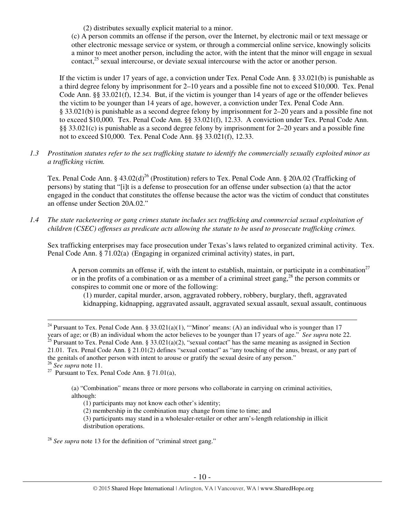(2) distributes sexually explicit material to a minor.

(c) A person commits an offense if the person, over the Internet, by electronic mail or text message or other electronic message service or system, or through a commercial online service, knowingly solicits a minor to meet another person, including the actor, with the intent that the minor will engage in sexual contact, $^{25}$  sexual intercourse, or deviate sexual intercourse with the actor or another person.

If the victim is under 17 years of age, a conviction under Tex. Penal Code Ann. § 33.021(b) is punishable as a third degree felony by imprisonment for 2–10 years and a possible fine not to exceed \$10,000. Tex. Penal Code Ann. §§ 33.021(f), 12.34. But, if the victim is younger than 14 years of age or the offender believes the victim to be younger than 14 years of age, however, a conviction under Tex. Penal Code Ann. § 33.021(b) is punishable as a second degree felony by imprisonment for 2–20 years and a possible fine not to exceed \$10,000. Tex. Penal Code Ann. §§ 33.021(f), 12.33. A conviction under Tex. Penal Code Ann. §§ 33.021(c) is punishable as a second degree felony by imprisonment for 2–20 years and a possible fine not to exceed \$10,000. Tex. Penal Code Ann. §§ 33.021(f), 12.33.

*1.3 Prostitution statutes refer to the sex trafficking statute to identify the commercially sexually exploited minor as a trafficking victim.* 

Tex. Penal Code Ann. § 43.02(d)<sup>26</sup> (Prostitution) refers to Tex. Penal Code Ann. § 20A.02 (Trafficking of persons) by stating that "[i]t is a defense to prosecution for an offense under subsection (a) that the actor engaged in the conduct that constitutes the offense because the actor was the victim of conduct that constitutes an offense under Section 20A.02."

*1.4 The state racketeering or gang crimes statute includes sex trafficking and commercial sexual exploitation of children (CSEC) offenses as predicate acts allowing the statute to be used to prosecute trafficking crimes.* 

Sex trafficking enterprises may face prosecution under Texas's laws related to organized criminal activity. Tex. Penal Code Ann. § 71.02(a) (Engaging in organized criminal activity) states, in part,

A person commits an offense if, with the intent to establish, maintain, or participate in a combination<sup>27</sup> or in the profits of a combination or as a member of a criminal street gang,  $28$  the person commits or conspires to commit one or more of the following:

(1) murder, capital murder, arson, aggravated robbery, robbery, burglary, theft, aggravated kidnapping, kidnapping, aggravated assault, aggravated sexual assault, sexual assault, continuous

 $\overline{a}$ 

(a) "Combination" means three or more persons who collaborate in carrying on criminal activities, although:

(1) participants may not know each other's identity;

(2) membership in the combination may change from time to time; and

(3) participants may stand in a wholesaler-retailer or other arm's-length relationship in illicit distribution operations.

<sup>28</sup> *See supra* note 13 for the definition of "criminal street gang."

<sup>&</sup>lt;sup>24</sup> Pursuant to Tex. Penal Code Ann. § 33.021(a)(1), "'Minor' means: (A) an individual who is younger than 17 years of age; or (B) an individual whom the actor believes to be younger than 17 years of age." *See supra* note 22. <sup>25</sup> Pursuant to Tex. Penal Code Ann. § 33.021(a)(2), "sexual contact" has the same meaning as assigned in Section 21.01. Tex. Penal Code Ann. § 21.01(2) defines "sexual contact" as "any touching of the anus, breast, or any part of the genitals of another person with intent to arouse or gratify the sexual desire of any person."

<sup>26</sup> *See supra* note 11.

<sup>&</sup>lt;sup>27</sup> Pursuant to Tex. Penal Code Ann. § 71.01(a),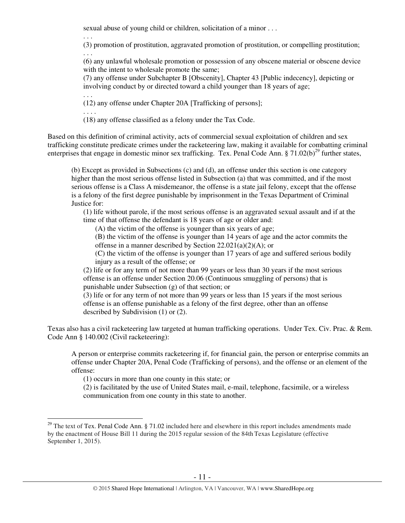sexual abuse of young child or children, solicitation of a minor . . .

. . . (3) promotion of prostitution, aggravated promotion of prostitution, or compelling prostitution; . . .

(6) any unlawful wholesale promotion or possession of any obscene material or obscene device with the intent to wholesale promote the same;

(7) any offense under Subchapter B [Obscenity], Chapter 43 [Public indecency], depicting or involving conduct by or directed toward a child younger than 18 years of age;

(12) any offense under Chapter 20A [Trafficking of persons];

. . . .

 $\overline{a}$ 

. . .

(18) any offense classified as a felony under the Tax Code.

Based on this definition of criminal activity, acts of commercial sexual exploitation of children and sex trafficking constitute predicate crimes under the racketeering law, making it available for combatting criminal enterprises that engage in domestic minor sex trafficking. Tex. Penal Code Ann.  $\S 71.02(b)^{29}$  further states,

(b) Except as provided in Subsections (c) and (d), an offense under this section is one category higher than the most serious offense listed in Subsection (a) that was committed, and if the most serious offense is a Class A misdemeanor, the offense is a state jail felony, except that the offense is a felony of the first degree punishable by imprisonment in the Texas Department of Criminal Justice for:

(1) life without parole, if the most serious offense is an aggravated sexual assault and if at the time of that offense the defendant is 18 years of age or older and:

(A) the victim of the offense is younger than six years of age;

(B) the victim of the offense is younger than 14 years of age and the actor commits the offense in a manner described by Section 22.021(a)(2)(A); or

(C) the victim of the offense is younger than 17 years of age and suffered serious bodily injury as a result of the offense; or

(2) life or for any term of not more than 99 years or less than 30 years if the most serious offense is an offense under Section 20.06 (Continuous smuggling of persons) that is punishable under Subsection (g) of that section; or

(3) life or for any term of not more than 99 years or less than 15 years if the most serious offense is an offense punishable as a felony of the first degree, other than an offense described by Subdivision (1) or (2).

Texas also has a civil racketeering law targeted at human trafficking operations. Under Tex. Civ. Prac. & Rem. Code Ann § 140.002 (Civil racketeering):

A person or enterprise commits racketeering if, for financial gain, the person or enterprise commits an offense under Chapter 20A, Penal Code (Trafficking of persons), and the offense or an element of the offense:

(1) occurs in more than one county in this state; or

(2) is facilitated by the use of United States mail, e-mail, telephone, facsimile, or a wireless communication from one county in this state to another.

 $^{29}$  The text of Tex. Penal Code Ann. § 71.02 included here and elsewhere in this report includes amendments made by the enactment of House Bill 11 during the 2015 regular session of the 84th Texas Legislature (effective September 1, 2015).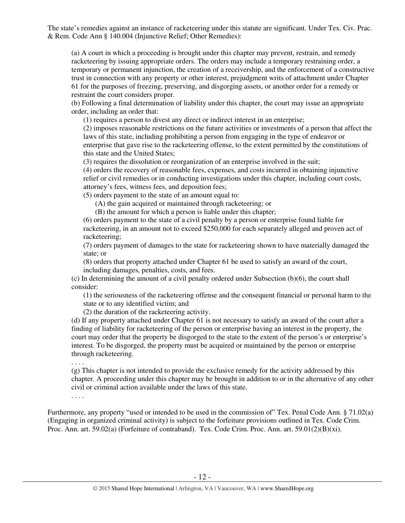The state's remedies against an instance of racketeering under this statute are significant. Under Tex. Civ. Prac. & Rem. Code Ann § 140.004 (Injunctive Relief; Other Remedies):

(a) A court in which a proceeding is brought under this chapter may prevent, restrain, and remedy racketeering by issuing appropriate orders. The orders may include a temporary restraining order, a temporary or permanent injunction, the creation of a receivership, and the enforcement of a constructive trust in connection with any property or other interest, prejudgment writs of attachment under Chapter 61 for the purposes of freezing, preserving, and disgorging assets, or another order for a remedy or restraint the court considers proper.

(b) Following a final determination of liability under this chapter, the court may issue an appropriate order, including an order that:

(1) requires a person to divest any direct or indirect interest in an enterprise;

(2) imposes reasonable restrictions on the future activities or investments of a person that affect the laws of this state, including prohibiting a person from engaging in the type of endeavor or enterprise that gave rise to the racketeering offense, to the extent permitted by the constitutions of this state and the United States;

(3) requires the dissolution or reorganization of an enterprise involved in the suit;

(4) orders the recovery of reasonable fees, expenses, and costs incurred in obtaining injunctive relief or civil remedies or in conducting investigations under this chapter, including court costs, attorney's fees, witness fees, and deposition fees;

(5) orders payment to the state of an amount equal to:

(A) the gain acquired or maintained through racketeering; or

(B) the amount for which a person is liable under this chapter;

(6) orders payment to the state of a civil penalty by a person or enterprise found liable for racketeering, in an amount not to exceed \$250,000 for each separately alleged and proven act of racketeering;

(7) orders payment of damages to the state for racketeering shown to have materially damaged the state; or

(8) orders that property attached under Chapter 61 be used to satisfy an award of the court, including damages, penalties, costs, and fees.

(c) In determining the amount of a civil penalty ordered under Subsection (b)(6), the court shall consider:

(1) the seriousness of the racketeering offense and the consequent financial or personal harm to the state or to any identified victim; and

(2) the duration of the racketeering activity.

(d) If any property attached under Chapter 61 is not necessary to satisfy an award of the court after a finding of liability for racketeering of the person or enterprise having an interest in the property, the court may order that the property be disgorged to the state to the extent of the person's or enterprise's interest. To be disgorged, the property must be acquired or maintained by the person or enterprise through racketeering.

. . . .

(g) This chapter is not intended to provide the exclusive remedy for the activity addressed by this chapter. A proceeding under this chapter may be brought in addition to or in the alternative of any other civil or criminal action available under the laws of this state.

. . . .

Furthermore, any property "used or intended to be used in the commission of" Tex. Penal Code Ann. § 71.02(a) (Engaging in organized criminal activity) is subject to the forfeiture provisions outlined in Tex. Code Crim. Proc. Ann. art. 59.02(a) (Forfeiture of contraband). Tex. Code Crim. Proc. Ann. art. 59.01(2)(B)(xi).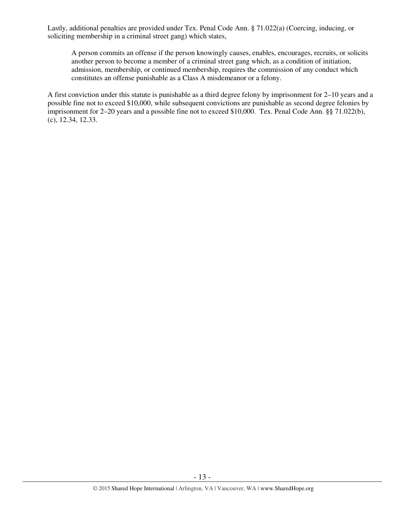Lastly, additional penalties are provided under Tex. Penal Code Ann. § 71.022(a) (Coercing, inducing, or soliciting membership in a criminal street gang) which states,

A person commits an offense if the person knowingly causes, enables, encourages, recruits, or solicits another person to become a member of a criminal street gang which, as a condition of initiation, admission, membership, or continued membership, requires the commission of any conduct which constitutes an offense punishable as a Class A misdemeanor or a felony.

A first conviction under this statute is punishable as a third degree felony by imprisonment for 2–10 years and a possible fine not to exceed \$10,000, while subsequent convictions are punishable as second degree felonies by imprisonment for 2–20 years and a possible fine not to exceed \$10,000. Tex. Penal Code Ann. §§ 71.022(b), (c), 12.34, 12.33.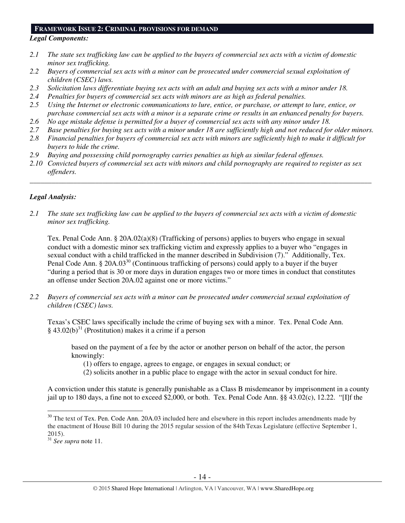## **FRAMEWORK ISSUE 2: CRIMINAL PROVISIONS FOR DEMAND**

## *Legal Components:*

- *2.1 The state sex trafficking law can be applied to the buyers of commercial sex acts with a victim of domestic minor sex trafficking.*
- *2.2 Buyers of commercial sex acts with a minor can be prosecuted under commercial sexual exploitation of children (CSEC) laws.*
- *2.3 Solicitation laws differentiate buying sex acts with an adult and buying sex acts with a minor under 18.*
- *2.4 Penalties for buyers of commercial sex acts with minors are as high as federal penalties.*
- *2.5 Using the Internet or electronic communications to lure, entice, or purchase, or attempt to lure, entice, or purchase commercial sex acts with a minor is a separate crime or results in an enhanced penalty for buyers.*
- *2.6 No age mistake defense is permitted for a buyer of commercial sex acts with any minor under 18.*
- *2.7 Base penalties for buying sex acts with a minor under 18 are sufficiently high and not reduced for older minors.*
- *2.8 Financial penalties for buyers of commercial sex acts with minors are sufficiently high to make it difficult for buyers to hide the crime.*
- *2.9 Buying and possessing child pornography carries penalties as high as similar federal offenses.*
- *2.10 Convicted buyers of commercial sex acts with minors and child pornography are required to register as sex offenders.*

\_\_\_\_\_\_\_\_\_\_\_\_\_\_\_\_\_\_\_\_\_\_\_\_\_\_\_\_\_\_\_\_\_\_\_\_\_\_\_\_\_\_\_\_\_\_\_\_\_\_\_\_\_\_\_\_\_\_\_\_\_\_\_\_\_\_\_\_\_\_\_\_\_\_\_\_\_\_\_\_\_\_\_\_\_\_\_\_\_\_\_\_\_\_

# *Legal Analysis:*

*2.1 The state sex trafficking law can be applied to the buyers of commercial sex acts with a victim of domestic minor sex trafficking.* 

Tex. Penal Code Ann. § 20A.02(a)(8) (Trafficking of persons) applies to buyers who engage in sexual conduct with a domestic minor sex trafficking victim and expressly applies to a buyer who "engages in sexual conduct with a child trafficked in the manner described in Subdivision (7)." Additionally, Tex. Penal Code Ann.  $\S 20A.03^{30}$  (Continuous trafficking of persons) could apply to a buyer if the buyer "during a period that is 30 or more days in duration engages two or more times in conduct that constitutes an offense under Section 20A.02 against one or more victims."

*2.2 Buyers of commercial sex acts with a minor can be prosecuted under commercial sexual exploitation of children (CSEC) laws.* 

Texas's CSEC laws specifically include the crime of buying sex with a minor. Tex. Penal Code Ann.  $§$  43.02(b)<sup>31</sup> (Prostitution) makes it a crime if a person

based on the payment of a fee by the actor or another person on behalf of the actor, the person knowingly:

(1) offers to engage, agrees to engage, or engages in sexual conduct; or

(2) solicits another in a public place to engage with the actor in sexual conduct for hire.

A conviction under this statute is generally punishable as a Class B misdemeanor by imprisonment in a county jail up to 180 days, a fine not to exceed \$2,000, or both. Tex. Penal Code Ann. §§ 43.02(c), 12.22. "[I]f the

 $30$  The text of Tex. Pen. Code Ann. 20A.03 included here and elsewhere in this report includes amendments made by the enactment of House Bill 10 during the 2015 regular session of the 84th Texas Legislature (effective September 1, 2015).

<sup>31</sup> *See supra* note 11.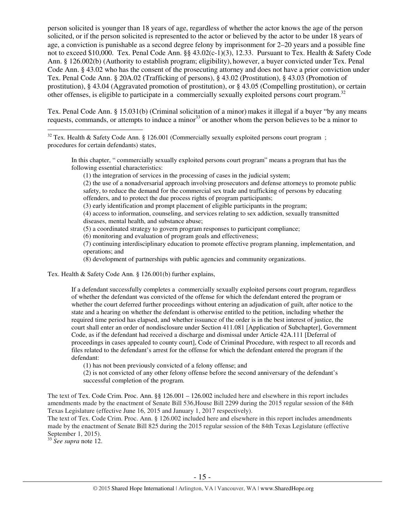person solicited is younger than 18 years of age, regardless of whether the actor knows the age of the person solicited, or if the person solicited is represented to the actor or believed by the actor to be under 18 years of age, a conviction is punishable as a second degree felony by imprisonment for 2–20 years and a possible fine not to exceed \$10,000. Tex. Penal Code Ann. §§ 43.02(c-1)(3), 12.33. Pursuant to Tex. Health & Safety Code Ann. § 126.002(b) (Authority to establish program; eligibility), however, a buyer convicted under Tex. Penal Code Ann. § 43.02 who has the consent of the prosecuting attorney and does not have a prior conviction under Tex. Penal Code Ann. § 20A.02 (Trafficking of persons), § 43.02 (Prostitution), § 43.03 (Promotion of prostitution), § 43.04 (Aggravated promotion of prostitution), or § 43.05 (Compelling prostitution), or certain other offenses, is eligible to participate in a commercially sexually exploited persons court program.<sup>32</sup>

Tex. Penal Code Ann. § 15.031(b) (Criminal solicitation of a minor) makes it illegal if a buyer "by any means requests, commands, or attempts to induce a minor<sup>33</sup> or another whom the person believes to be a minor to

In this chapter, " commercially sexually exploited persons court program" means a program that has the following essential characteristics:

(1) the integration of services in the processing of cases in the judicial system;

(2) the use of a nonadversarial approach involving prosecutors and defense attorneys to promote public safety, to reduce the demand for the commercial sex trade and trafficking of persons by educating offenders, and to protect the due process rights of program participants;

(3) early identification and prompt placement of eligible participants in the program;

(4) access to information, counseling, and services relating to sex addiction, sexually transmitted diseases, mental health, and substance abuse;

(5) a coordinated strategy to govern program responses to participant compliance;

(6) monitoring and evaluation of program goals and effectiveness;

(7) continuing interdisciplinary education to promote effective program planning, implementation, and operations; and

(8) development of partnerships with public agencies and community organizations.

Tex. Health & Safety Code Ann. § 126.001(b) further explains,

If a defendant successfully completes a commercially sexually exploited persons court program, regardless of whether the defendant was convicted of the offense for which the defendant entered the program or whether the court deferred further proceedings without entering an adjudication of guilt, after notice to the state and a hearing on whether the defendant is otherwise entitled to the petition, including whether the required time period has elapsed, and whether issuance of the order is in the best interest of justice, the court shall enter an order of nondisclosure under Section 411.081 [Application of Subchapter], Government Code, as if the defendant had received a discharge and dismissal under Article 42A.111 [Deferral of proceedings in cases appealed to county court], Code of Criminal Procedure, with respect to all records and files related to the defendant's arrest for the offense for which the defendant entered the program if the defendant:

(1) has not been previously convicted of a felony offense; and

(2) is not convicted of any other felony offense before the second anniversary of the defendant's successful completion of the program.

The text of Tex. Code Crim. Proc. Ann. §§ 126.001 – 126.002 included here and elsewhere in this report includes amendments made by the enactment of Senate Bill 536,House Bill 2299 during the 2015 regular session of the 84th Texas Legislature (effective June 16, 2015 and January 1, 2017 respectively).

The text of Tex. Code Crim. Proc. Ann. § 126.002 included here and elsewhere in this report includes amendments made by the enactment of Senate Bill 825 during the 2015 regular session of the 84th Texas Legislature (effective September 1, 2015).

<sup>33</sup> *See supra* note 12.

 $\overline{a}$  $32$  Tex. Health & Safety Code Ann. § 126.001 (Commercially sexually exploited persons court program; procedures for certain defendants) states,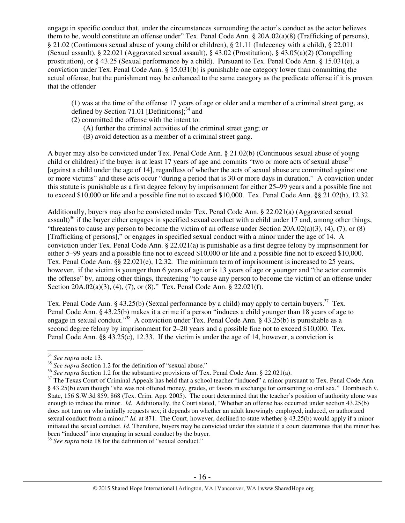engage in specific conduct that, under the circumstances surrounding the actor's conduct as the actor believes them to be, would constitute an offense under" Tex. Penal Code Ann. § 20A.02(a)(8) (Trafficking of persons), § 21.02 (Continuous sexual abuse of young child or children), § 21.11 (Indecency with a child), § 22.011 (Sexual assault), § 22.021 (Aggravated sexual assault), § 43.02 (Prostitution), § 43.05(a)(2) (Compelling prostitution), or § 43.25 (Sexual performance by a child). Pursuant to Tex. Penal Code Ann. § 15.031(e), a conviction under Tex. Penal Code Ann. § 15.031(b) is punishable one category lower than committing the actual offense, but the punishment may be enhanced to the same category as the predicate offense if it is proven that the offender

- (1) was at the time of the offense 17 years of age or older and a member of a criminal street gang, as defined by Section 71.01 [Definitions]; $^{34}$  and
- (2) committed the offense with the intent to:
	- (A) further the criminal activities of the criminal street gang; or
	- (B) avoid detection as a member of a criminal street gang.

A buyer may also be convicted under Tex. Penal Code Ann. § 21.02(b) (Continuous sexual abuse of young child or children) if the buyer is at least 17 years of age and commits "two or more acts of sexual abuse<sup>35</sup> [against a child under the age of 14], regardless of whether the acts of sexual abuse are committed against one or more victims" and these acts occur "during a period that is 30 or more days in duration." A conviction under this statute is punishable as a first degree felony by imprisonment for either 25–99 years and a possible fine not to exceed \$10,000 or life and a possible fine not to exceed \$10,000. Tex. Penal Code Ann. §§ 21.02(h), 12.32.

Additionally, buyers may also be convicted under Tex. Penal Code Ann. § 22.021(a) (Aggravated sexual assault)<sup>36</sup> if the buyer either engages in specified sexual conduct with a child under 17 and, among other things, "threatens to cause any person to become the victim of an offense under Section  $20A.02(a)(3)$ ,  $(4)$ ,  $(7)$ , or  $(8)$ [Trafficking of persons]," or engages in specified sexual conduct with a minor under the age of 14. A conviction under Tex. Penal Code Ann. § 22.021(a) is punishable as a first degree felony by imprisonment for either 5–99 years and a possible fine not to exceed \$10,000 or life and a possible fine not to exceed \$10,000. Tex. Penal Code Ann. §§ 22.021(e), 12.32. The minimum term of imprisonment is increased to 25 years, however, if the victim is younger than 6 years of age or is 13 years of age or younger and "the actor commits the offense" by, among other things, threatening "to cause any person to become the victim of an offense under Section 20A.02(a)(3), (4), (7), or (8)." Tex. Penal Code Ann. § 22.021(f).

Tex. Penal Code Ann. § 43.25(b) (Sexual performance by a child) may apply to certain buyers.<sup>37</sup> Tex. Penal Code Ann. § 43.25(b) makes it a crime if a person "induces a child younger than 18 years of age to engage in sexual conduct."<sup>38</sup> A conviction under Tex. Penal Code Ann. § 43.25(b) is punishable as a second degree felony by imprisonment for 2–20 years and a possible fine not to exceed \$10,000. Tex. Penal Code Ann. §§ 43.25(c), 12.33. If the victim is under the age of 14, however, a conviction is

 $\overline{a}$ 

<sup>38</sup> *See supra* note 18 for the definition of "sexual conduct."

<sup>34</sup> *See supra* note 13.

<sup>&</sup>lt;sup>35</sup> See supra Section 1.2 for the definition of "sexual abuse."

<sup>36</sup> *See supra* Section 1.2 for the substantive provisions of Tex. Penal Code Ann. § 22.021(a).

<sup>&</sup>lt;sup>37</sup> The Texas Court of Criminal Appeals has held that a school teacher "induced" a minor pursuant to Tex. Penal Code Ann. § 43.25(b) even though "she was not offered money, grades, or favors in exchange for consenting to oral sex." Dornbusch v. State, 156 S.W.3d 859, 868 (Tex. Crim. App. 2005). The court determined that the teacher's position of authority alone was enough to induce the minor. *Id.* Additionally, the Court stated, "Whether an offense has occurred under section 43.25(b) does not turn on who initially requests sex; it depends on whether an adult knowingly employed, induced, or authorized sexual conduct from a minor." *Id.* at 871. The Court, however, declined to state whether § 43.25(b) would apply if a minor initiated the sexual conduct. *Id*. Therefore, buyers may be convicted under this statute if a court determines that the minor has been "induced" into engaging in sexual conduct by the buyer.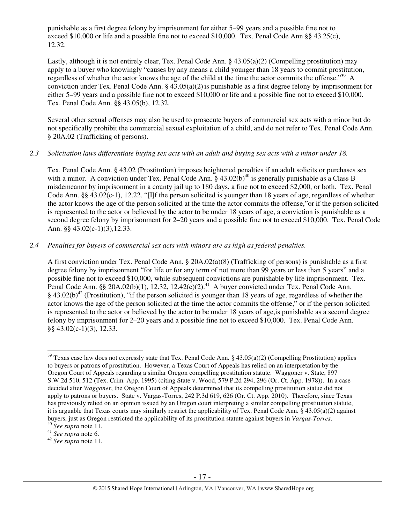punishable as a first degree felony by imprisonment for either 5–99 years and a possible fine not to exceed \$10,000 or life and a possible fine not to exceed \$10,000. Tex. Penal Code Ann §§ 43.25(c), 12.32.

Lastly, although it is not entirely clear, Tex. Penal Code Ann. § 43.05(a)(2) (Compelling prostitution) may apply to a buyer who knowingly "causes by any means a child younger than 18 years to commit prostitution, regardless of whether the actor knows the age of the child at the time the actor commits the offense.<sup>39</sup> A conviction under Tex. Penal Code Ann.  $\S$  43.05(a)(2) is punishable as a first degree felony by imprisonment for either 5–99 years and a possible fine not to exceed \$10,000 or life and a possible fine not to exceed \$10,000. Tex. Penal Code Ann. §§ 43.05(b), 12.32.

Several other sexual offenses may also be used to prosecute buyers of commercial sex acts with a minor but do not specifically prohibit the commercial sexual exploitation of a child, and do not refer to Tex. Penal Code Ann. § 20A.02 (Trafficking of persons).

## *2.3 Solicitation laws differentiate buying sex acts with an adult and buying sex acts with a minor under 18.*

Tex. Penal Code Ann. § 43.02 (Prostitution) imposes heightened penalties if an adult solicits or purchases sex with a minor. A conviction under Tex. Penal Code Ann.  $\S$  43.02(b)<sup>40</sup> is generally punishable as a Class B misdemeanor by imprisonment in a county jail up to 180 days, a fine not to exceed \$2,000, or both. Tex. Penal Code Ann. §§ 43.02(c-1), 12.22. "[I]f the person solicited is younger than 18 years of age, regardless of whether the actor knows the age of the person solicited at the time the actor commits the offense,"or if the person solicited is represented to the actor or believed by the actor to be under 18 years of age, a conviction is punishable as a second degree felony by imprisonment for 2–20 years and a possible fine not to exceed \$10,000. Tex. Penal Code Ann. §§ 43.02(c-1)(3),12.33.

# *2.4 Penalties for buyers of commercial sex acts with minors are as high as federal penalties.*

A first conviction under Tex. Penal Code Ann. § 20A.02(a)(8) (Trafficking of persons) is punishable as a first degree felony by imprisonment "for life or for any term of not more than 99 years or less than 5 years" and a possible fine not to exceed \$10,000, while subsequent convictions are punishable by life imprisonment. Tex. Penal Code Ann. §§ 20A.02(b)(1), 12.32, 12.42(c)(2).<sup>41</sup> A buyer convicted under Tex. Penal Code Ann.  $§$  43.02(b)<sup>42</sup> (Prostitution), "if the person solicited is younger than 18 years of age, regardless of whether the actor knows the age of the person solicited at the time the actor commits the offense," or if the person solicited is represented to the actor or believed by the actor to be under 18 years of age,is punishable as a second degree felony by imprisonment for 2–20 years and a possible fine not to exceed \$10,000. Tex. Penal Code Ann. §§ 43.02(c-1)(3), 12.33.

 $39$  Texas case law does not expressly state that Tex. Penal Code Ann. § 43.05(a)(2) (Compelling Prostitution) applies to buyers or patrons of prostitution. However, a Texas Court of Appeals has relied on an interpretation by the Oregon Court of Appeals regarding a similar Oregon compelling prostitution statute. Waggoner v. State, 897 S.W.2d 510, 512 (Tex. Crim. App. 1995) (citing State v. Wood, 579 P.2d 294, 296 (Or. Ct. App. 1978)). In a case decided after *Waggoner*, the Oregon Court of Appeals determined that its compelling prostitution statue did not apply to patrons or buyers. State v. Vargas-Torres, 242 P.3d 619, 626 (Or. Ct. App. 2010). Therefore, since Texas has previously relied on an opinion issued by an Oregon court interpreting a similar compelling prostitution statute, it is arguable that Texas courts may similarly restrict the applicability of Tex. Penal Code Ann. § 43.05(a)(2) against buyers, just as Oregon restricted the applicability of its prostitution statute against buyers in *Vargas-Torres*. <sup>40</sup> *See supra* note 11.

<sup>41</sup> *See supra* note 6.

<sup>42</sup> *See supra* note 11.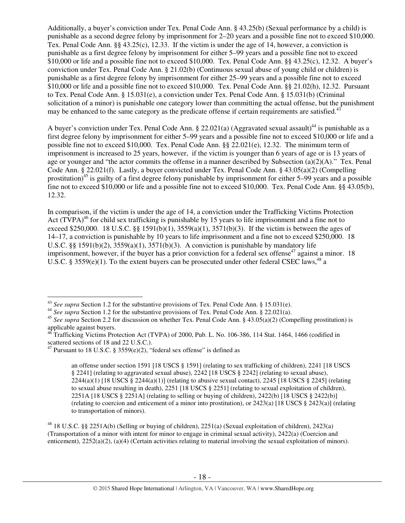Additionally, a buyer's conviction under Tex. Penal Code Ann. § 43.25(b) (Sexual performance by a child) is punishable as a second degree felony by imprisonment for 2–20 years and a possible fine not to exceed \$10,000. Tex. Penal Code Ann. §§ 43.25(c), 12.33. If the victim is under the age of 14, however, a conviction is punishable as a first degree felony by imprisonment for either 5–99 years and a possible fine not to exceed \$10,000 or life and a possible fine not to exceed \$10,000. Tex. Penal Code Ann. §§ 43.25(c), 12.32. A buyer's conviction under Tex. Penal Code Ann. § 21.02(b) (Continuous sexual abuse of young child or children) is punishable as a first degree felony by imprisonment for either 25–99 years and a possible fine not to exceed \$10,000 or life and a possible fine not to exceed \$10,000. Tex. Penal Code Ann. §§ 21.02(h), 12.32. Pursuant to Tex. Penal Code Ann. § 15.031(e), a conviction under Tex. Penal Code Ann. § 15.031(b) (Criminal solicitation of a minor) is punishable one category lower than committing the actual offense, but the punishment may be enhanced to the same category as the predicate offense if certain requirements are satisfied.<sup>4</sup>

A buyer's conviction under Tex. Penal Code Ann. § 22.021(a) (Aggravated sexual assault)<sup>44</sup> is punishable as a first degree felony by imprisonment for either 5–99 years and a possible fine not to exceed \$10,000 or life and a possible fine not to exceed \$10,000. Tex. Penal Code Ann. §§ 22.021(e), 12.32. The minimum term of imprisonment is increased to 25 years, however, if the victim is younger than 6 years of age or is 13 years of age or younger and "the actor commits the offense in a manner described by Subsection (a)(2)(A)." Tex. Penal Code Ann. § 22.021(f). Lastly, a buyer convicted under Tex. Penal Code Ann. § 43.05(a)(2) (Compelling prostitution)<sup>45</sup> is guilty of a first degree felony punishable by imprisonment for either  $5-99$  years and a possible fine not to exceed \$10,000 or life and a possible fine not to exceed \$10,000. Tex. Penal Code Ann. §§ 43.05(b), 12.32.

In comparison, if the victim is under the age of 14, a conviction under the Trafficking Victims Protection Act  $(TVPA)^{46}$  for child sex trafficking is punishable by 15 years to life imprisonment and a fine not to exceed \$250,000. 18 U.S.C. §§ 1591(b)(1),  $3559(a)(1)$ ,  $3571(b)(3)$ . If the victim is between the ages of 14–17, a conviction is punishable by 10 years to life imprisonment and a fine not to exceed \$250,000. 18 U.S.C. §§ 1591(b)(2),  $3559(a)(1)$ ,  $3571(b)(3)$ . A conviction is punishable by mandatory life imprisonment, however, if the buyer has a prior conviction for a federal sex offense<sup>47</sup> against a minor. 18 U.S.C. § 3559(e)(1). To the extent buyers can be prosecuted under other federal CSEC laws,<sup>48</sup> a

 $\overline{a}$ <sup>43</sup> *See supra* Section 1.2 for the substantive provisions of Tex. Penal Code Ann. § 15.031(e).

<sup>&</sup>lt;sup>44</sup> See supra Section 1.2 for the substantive provisions of Tex. Penal Code Ann. § 22.021(a).

<sup>45</sup> *See supra* Section 2.2 for discussion on whether Tex. Penal Code Ann. § 43.05(a)(2) (Compelling prostitution) is applicable against buyers.

<sup>&</sup>lt;sup>46</sup> Trafficking Victims Protection Act (TVPA) of 2000, Pub. L. No. 106-386, 114 Stat. 1464, 1466 (codified in scattered sections of 18 and 22 U.S.C.).

<sup>&</sup>lt;sup>47</sup> Pursuant to 18 U.S.C. § 3559 $(e)(2)$ , "federal sex offense" is defined as

an offense under section 1591 [18 USCS § 1591] (relating to sex trafficking of children), 2241 [18 USCS § 2241] (relating to aggravated sexual abuse), 2242 [18 USCS § 2242] (relating to sexual abuse),  $2244(a)(1)$  [18 USCS §  $2244(a)(1)$ ] (relating to abusive sexual contact),  $2245$  [18 USCS § 2245] (relating to sexual abuse resulting in death), 2251 [18 USCS § 2251] (relating to sexual exploitation of children), 2251A [18 USCS § 2251A] (relating to selling or buying of children), 2422(b) [18 USCS § 2422(b)] (relating to coercion and enticement of a minor into prostitution), or 2423(a) [18 USCS § 2423(a)] (relating to transportation of minors).

<sup>48</sup> 18 U.S.C. §§ 2251A(b) (Selling or buying of children), 2251(a) (Sexual exploitation of children), 2423(a) (Transportation of a minor with intent for minor to engage in criminal sexual activity), 2422(a) (Coercion and enticement), 2252(a)(2), (a)(4) (Certain activities relating to material involving the sexual exploitation of minors).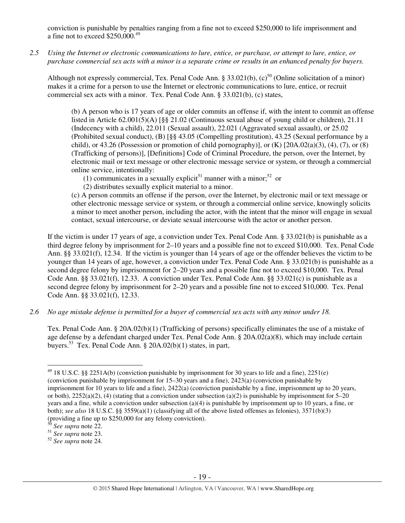conviction is punishable by penalties ranging from a fine not to exceed \$250,000 to life imprisonment and a fine not to exceed  $$250,000.<sup>49</sup>$ 

*2.5 Using the Internet or electronic communications to lure, entice, or purchase, or attempt to lure, entice, or purchase commercial sex acts with a minor is a separate crime or results in an enhanced penalty for buyers.* 

Although not expressly commercial, Tex. Penal Code Ann. § 33.021(b),  $(c)^{50}$  (Online solicitation of a minor) makes it a crime for a person to use the Internet or electronic communications to lure, entice, or recruit commercial sex acts with a minor. Tex. Penal Code Ann. § 33.021(b), (c) states,

(b) A person who is 17 years of age or older commits an offense if, with the intent to commit an offense listed in Article 62.001(5)(A) [§§ 21.02 (Continuous sexual abuse of young child or children), 21.11 (Indecency with a child), 22.011 (Sexual assault), 22.021 (Aggravated sexual assault), or 25.02 (Prohibited sexual conduct), (B) [§§ 43.05 (Compelling prostitution), 43.25 (Sexual performance by a child), or  $43.26$  (Possession or promotion of child pornography)], or  $(K)$  [20A.02(a)(3), (4), (7), or (8) (Trafficking of persons)], [Definitions] Code of Criminal Procedure, the person, over the Internet, by electronic mail or text message or other electronic message service or system, or through a commercial online service, intentionally:

- (1) communicates in a sexually explicit<sup>51</sup> manner with a minor;<sup>52</sup> or
- (2) distributes sexually explicit material to a minor.

(c) A person commits an offense if the person, over the Internet, by electronic mail or text message or other electronic message service or system, or through a commercial online service, knowingly solicits a minor to meet another person, including the actor, with the intent that the minor will engage in sexual contact, sexual intercourse, or deviate sexual intercourse with the actor or another person.

If the victim is under 17 years of age, a conviction under Tex. Penal Code Ann. § 33.021(b) is punishable as a third degree felony by imprisonment for 2–10 years and a possible fine not to exceed \$10,000. Tex. Penal Code Ann. §§ 33.021(f), 12.34. If the victim is younger than 14 years of age or the offender believes the victim to be younger than 14 years of age, however, a conviction under Tex. Penal Code Ann. § 33.021(b) is punishable as a second degree felony by imprisonment for 2–20 years and a possible fine not to exceed \$10,000. Tex. Penal Code Ann. §§ 33.021(f), 12.33. A conviction under Tex. Penal Code Ann. §§ 33.021(c) is punishable as a second degree felony by imprisonment for 2–20 years and a possible fine not to exceed \$10,000. Tex. Penal Code Ann. §§ 33.021(f), 12.33.

*2.6 No age mistake defense is permitted for a buyer of commercial sex acts with any minor under 18.* 

Tex. Penal Code Ann. § 20A.02(b)(1) (Trafficking of persons) specifically eliminates the use of a mistake of age defense by a defendant charged under Tex. Penal Code Ann. § 20A.02(a)(8), which may include certain buyers.<sup>53</sup> Tex. Penal Code Ann.  $\S$  20A.02(b)(1) states, in part,

<sup>&</sup>lt;sup>49</sup> 18 U.S.C. §§ 2251A(b) (conviction punishable by imprisonment for 30 years to life and a fine), 2251(e) (conviction punishable by imprisonment for 15–30 years and a fine), 2423(a) (conviction punishable by imprisonment for 10 years to life and a fine), 2422(a) (conviction punishable by a fine, imprisonment up to 20 years, or both),  $2252(a)(2)$ , (4) (stating that a conviction under subsection (a)(2) is punishable by imprisonment for 5–20 years and a fine, while a conviction under subsection (a)(4) is punishable by imprisonment up to 10 years, a fine, or both); *see also* 18 U.S.C. §§ 3559(a)(1) (classifying all of the above listed offenses as felonies), 3571(b)(3) (providing a fine up to \$250,000 for any felony conviction).

See supra note 22.

<sup>51</sup> *See supra* note 23.

<sup>52</sup> *See supra* note 24.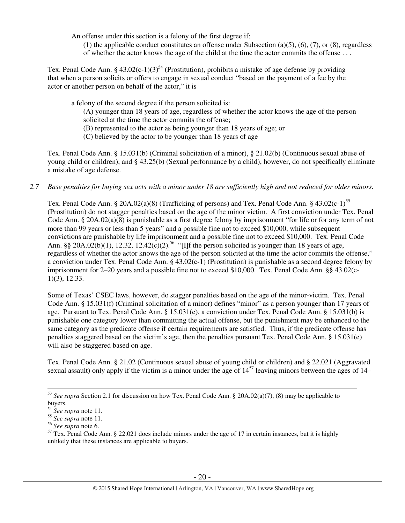An offense under this section is a felony of the first degree if:

(1) the applicable conduct constitutes an offense under Subsection (a)(5), (6), (7), or (8), regardless of whether the actor knows the age of the child at the time the actor commits the offense . . .

Tex. Penal Code Ann. §  $43.02(c-1)(3)^{54}$  (Prostitution), prohibits a mistake of age defense by providing that when a person solicits or offers to engage in sexual conduct "based on the payment of a fee by the actor or another person on behalf of the actor," it is

- a felony of the second degree if the person solicited is:
	- (A) younger than 18 years of age, regardless of whether the actor knows the age of the person solicited at the time the actor commits the offense;
	- (B) represented to the actor as being younger than 18 years of age; or
	- (C) believed by the actor to be younger than 18 years of age

Tex. Penal Code Ann. § 15.031(b) (Criminal solicitation of a minor), § 21.02(b) (Continuous sexual abuse of young child or children), and § 43.25(b) (Sexual performance by a child), however, do not specifically eliminate a mistake of age defense.

*2.7 Base penalties for buying sex acts with a minor under 18 are sufficiently high and not reduced for older minors.* 

Tex. Penal Code Ann. § 20A.02(a)(8) (Trafficking of persons) and Tex. Penal Code Ann. § 43.02(c-1)<sup>55</sup> (Prostitution) do not stagger penalties based on the age of the minor victim. A first conviction under Tex. Penal Code Ann. § 20A.02(a)(8) is punishable as a first degree felony by imprisonment "for life or for any term of not more than 99 years or less than 5 years" and a possible fine not to exceed \$10,000, while subsequent convictions are punishable by life imprisonment and a possible fine not to exceed \$10,000. Tex. Penal Code Ann. §§ 20A.02(b)(1), 12.32, 12.42(c)(2).<sup>56</sup> "[I]f the person solicited is younger than 18 years of age, regardless of whether the actor knows the age of the person solicited at the time the actor commits the offense," a conviction under Tex. Penal Code Ann. § 43.02(c-1) (Prostitution) is punishable as a second degree felony by imprisonment for 2–20 years and a possible fine not to exceed \$10,000. Tex. Penal Code Ann. §§ 43.02(c-1)(3), 12.33.

Some of Texas' CSEC laws, however, do stagger penalties based on the age of the minor-victim. Tex. Penal Code Ann. § 15.031(f) (Criminal solicitation of a minor) defines "minor" as a person younger than 17 years of age. Pursuant to Tex. Penal Code Ann. § 15.031(e), a conviction under Tex. Penal Code Ann. § 15.031(b) is punishable one category lower than committing the actual offense, but the punishment may be enhanced to the same category as the predicate offense if certain requirements are satisfied. Thus, if the predicate offense has penalties staggered based on the victim's age, then the penalties pursuant Tex. Penal Code Ann. § 15.031(e) will also be staggered based on age.

Tex. Penal Code Ann. § 21.02 (Continuous sexual abuse of young child or children) and § 22.021 (Aggravated sexual assault) only apply if the victim is a minor under the age of  $14^{57}$  leaving minors between the ages of  $14-$ 

 $\overline{a}$ <sup>53</sup> *See supra* Section 2.1 for discussion on how Tex. Penal Code Ann. § 20A.02(a)(7), (8) may be applicable to buyers.

<sup>54</sup> *See supra* note 11.

<sup>55</sup> *See supra* note 11.

<sup>56</sup> *See supra* note 6.

 $57$  Tex. Penal Code Ann. § 22.021 does include minors under the age of 17 in certain instances, but it is highly unlikely that these instances are applicable to buyers.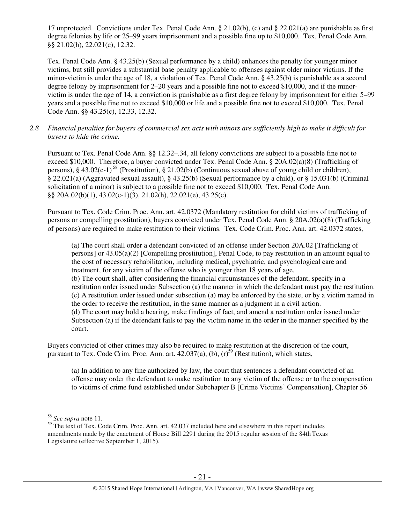17 unprotected. Convictions under Tex. Penal Code Ann. § 21.02(b), (c) and § 22.021(a) are punishable as first degree felonies by life or 25–99 years imprisonment and a possible fine up to \$10,000. Tex. Penal Code Ann. §§ 21.02(h), 22.021(e), 12.32.

Tex. Penal Code Ann. § 43.25(b) (Sexual performance by a child) enhances the penalty for younger minor victims, but still provides a substantial base penalty applicable to offenses against older minor victims. If the minor-victim is under the age of 18, a violation of Tex. Penal Code Ann. § 43.25(b) is punishable as a second degree felony by imprisonment for 2–20 years and a possible fine not to exceed \$10,000, and if the minorvictim is under the age of 14, a conviction is punishable as a first degree felony by imprisonment for either 5–99 years and a possible fine not to exceed \$10,000 or life and a possible fine not to exceed \$10,000. Tex. Penal Code Ann. §§ 43.25(c), 12.33, 12.32.

*2.8 Financial penalties for buyers of commercial sex acts with minors are sufficiently high to make it difficult for buyers to hide the crime.* 

Pursuant to Tex. Penal Code Ann. §§ 12.32–.34, all felony convictions are subject to a possible fine not to exceed \$10,000. Therefore, a buyer convicted under Tex. Penal Code Ann. § 20A.02(a)(8) (Trafficking of persons), § 43.02(c-1)<sup>58</sup> (Prostitution), § 21.02(b) (Continuous sexual abuse of young child or children), § 22.021(a) (Aggravated sexual assault), § 43.25(b) (Sexual performance by a child), or § 15.031(b) (Criminal solicitation of a minor) is subject to a possible fine not to exceed \$10,000. Tex. Penal Code Ann. §§ 20A.02(b)(1), 43.02(c-1)(3), 21.02(h), 22.021(e), 43.25(c).

Pursuant to Tex. Code Crim. Proc. Ann. art. 42.0372 (Mandatory restitution for child victims of trafficking of persons or compelling prostitution), buyers convicted under Tex. Penal Code Ann. § 20A.02(a)(8) (Trafficking of persons) are required to make restitution to their victims. Tex. Code Crim. Proc. Ann. art. 42.0372 states,

(a) The court shall order a defendant convicted of an offense under Section 20A.02 [Trafficking of persons] or 43.05(a)(2) [Compelling prostitution], Penal Code, to pay restitution in an amount equal to the cost of necessary rehabilitation, including medical, psychiatric, and psychological care and treatment, for any victim of the offense who is younger than 18 years of age. (b) The court shall, after considering the financial circumstances of the defendant, specify in a restitution order issued under Subsection (a) the manner in which the defendant must pay the restitution. (c) A restitution order issued under subsection (a) may be enforced by the state, or by a victim named in the order to receive the restitution, in the same manner as a judgment in a civil action. (d) The court may hold a hearing, make findings of fact, and amend a restitution order issued under Subsection (a) if the defendant fails to pay the victim name in the order in the manner specified by the court.

Buyers convicted of other crimes may also be required to make restitution at the discretion of the court, pursuant to Tex. Code Crim. Proc. Ann. art.  $42.037(a)$ , (b), (r)<sup>59</sup> (Restitution), which states,

(a) In addition to any fine authorized by law, the court that sentences a defendant convicted of an offense may order the defendant to make restitution to any victim of the offense or to the compensation to victims of crime fund established under Subchapter B [Crime Victims' Compensation], Chapter 56

<sup>58</sup> *See supra* note 11.

<sup>&</sup>lt;sup>59</sup> The text of Tex. Code Crim. Proc. Ann. art. 42.037 included here and elsewhere in this report includes amendments made by the enactment of House Bill 2291 during the 2015 regular session of the 84th Texas Legislature (effective September 1, 2015).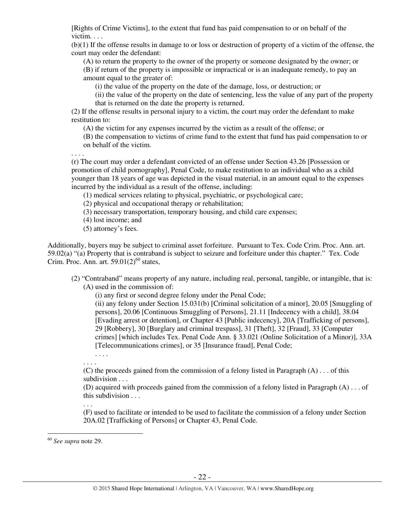[Rights of Crime Victims], to the extent that fund has paid compensation to or on behalf of the victim. . . .

(b)(1) If the offense results in damage to or loss or destruction of property of a victim of the offense, the court may order the defendant:

(A) to return the property to the owner of the property or someone designated by the owner; or (B) if return of the property is impossible or impractical or is an inadequate remedy, to pay an amount equal to the greater of:

(i) the value of the property on the date of the damage, loss, or destruction; or

(ii) the value of the property on the date of sentencing, less the value of any part of the property that is returned on the date the property is returned.

(2) If the offense results in personal injury to a victim, the court may order the defendant to make restitution to:

(A) the victim for any expenses incurred by the victim as a result of the offense; or

(B) the compensation to victims of crime fund to the extent that fund has paid compensation to or on behalf of the victim.

. . . .

(r) The court may order a defendant convicted of an offense under Section 43.26 [Possession or promotion of child pornography], Penal Code, to make restitution to an individual who as a child younger than 18 years of age was depicted in the visual material, in an amount equal to the expenses incurred by the individual as a result of the offense, including:

(1) medical services relating to physical, psychiatric, or psychological care;

(2) physical and occupational therapy or rehabilitation;

(3) necessary transportation, temporary housing, and child care expenses;

(4) lost income; and

(5) attorney's fees.

Additionally, buyers may be subject to criminal asset forfeiture. Pursuant to Tex. Code Crim. Proc. Ann. art. 59.02(a) "(a) Property that is contraband is subject to seizure and forfeiture under this chapter." Tex. Code Crim. Proc. Ann. art.  $59.01(2)^{60}$  states,

(2) "Contraband" means property of any nature, including real, personal, tangible, or intangible, that is: (A) used in the commission of:

(i) any first or second degree felony under the Penal Code;

(ii) any felony under Section 15.031(b) [Criminal solicitation of a minor], 20.05 [Smuggling of persons], 20.06 [Continuous Smuggling of Persons], 21.11 [Indecency with a child], 38.04 [Evading arrest or detention], or Chapter 43 [Public indecency], 20A [Trafficking of persons], 29 [Robbery], 30 [Burglary and criminal trespass], 31 [Theft], 32 [Fraud], 33 [Computer crimes] [which includes Tex. Penal Code Ann. § 33.021 (Online Solicitation of a Minor)], 33A [Telecommunications crimes], or 35 [Insurance fraud], Penal Code;

. . . . . . . .

. . .

(C) the proceeds gained from the commission of a felony listed in Paragraph (A) . . . of this subdivision . . .

(D) acquired with proceeds gained from the commission of a felony listed in Paragraph (A) . . . of this subdivision . . .

(F) used to facilitate or intended to be used to facilitate the commission of a felony under Section 20A.02 [Trafficking of Persons] or Chapter 43, Penal Code.

 $\overline{a}$ <sup>60</sup> *See supra* note 29.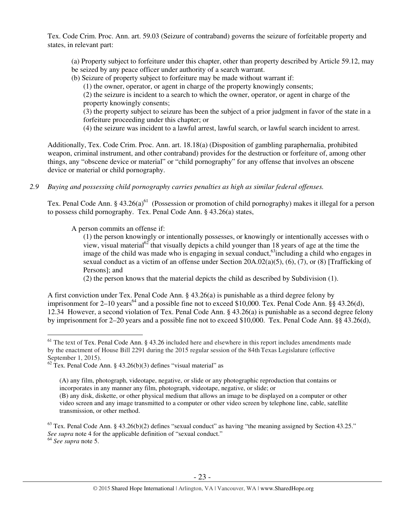Tex. Code Crim. Proc. Ann. art. 59.03 (Seizure of contraband) governs the seizure of forfeitable property and states, in relevant part:

(a) Property subject to forfeiture under this chapter, other than property described by Article 59.12, may be seized by any peace officer under authority of a search warrant.

(b) Seizure of property subject to forfeiture may be made without warrant if:

(1) the owner, operator, or agent in charge of the property knowingly consents;

(2) the seizure is incident to a search to which the owner, operator, or agent in charge of the property knowingly consents;

(3) the property subject to seizure has been the subject of a prior judgment in favor of the state in a forfeiture proceeding under this chapter; or

(4) the seizure was incident to a lawful arrest, lawful search, or lawful search incident to arrest.

Additionally, Tex. Code Crim. Proc. Ann. art. 18.18(a) (Disposition of gambling paraphernalia, prohibited weapon, criminal instrument, and other contraband) provides for the destruction or forfeiture of, among other things, any "obscene device or material" or "child pornography" for any offense that involves an obscene device or material or child pornography.

*2.9 Buying and possessing child pornography carries penalties as high as similar federal offenses.* 

Tex. Penal Code Ann. § 43.26(a)<sup>61</sup> (Possession or promotion of child pornography) makes it illegal for a person to possess child pornography. Tex. Penal Code Ann. § 43.26(a) states,

A person commits an offense if:

(1) the person knowingly or intentionally possesses, or knowingly or intentionally accesses with o view, visual material<sup>62</sup> that visually depicts a child younger than 18 years of age at the time the image of the child was made who is engaging in sexual conduct,<sup>63</sup>including a child who engages in sexual conduct as a victim of an offense under Section 20A.02(a)(5), (6), (7), or (8) [Trafficking of Persons]; and

(2) the person knows that the material depicts the child as described by Subdivision (1).

A first conviction under Tex. Penal Code Ann. § 43.26(a) is punishable as a third degree felony by imprisonment for 2–10 years<sup>64</sup> and a possible fine not to exceed \$10,000. Tex. Penal Code Ann. §§ 43.26(d), 12.34 However, a second violation of Tex. Penal Code Ann. § 43.26(a) is punishable as a second degree felony by imprisonment for 2–20 years and a possible fine not to exceed \$10,000. Tex. Penal Code Ann. §§ 43.26(d),

<sup>64</sup> *See supra* note 5.

 $61$  The text of Tex. Penal Code Ann. § 43.26 included here and elsewhere in this report includes amendments made by the enactment of House Bill 2291 during the 2015 regular session of the 84th Texas Legislature (effective September 1, 2015).

 $62$  Tex. Penal Code Ann. § 43.26(b)(3) defines "visual material" as

<sup>(</sup>A) any film, photograph, videotape, negative, or slide or any photographic reproduction that contains or incorporates in any manner any film, photograph, videotape, negative, or slide; or (B) any disk, diskette, or other physical medium that allows an image to be displayed on a computer or other video screen and any image transmitted to a computer or other video screen by telephone line, cable, satellite transmission, or other method.

 $63$  Tex. Penal Code Ann. § 43.26(b)(2) defines "sexual conduct" as having "the meaning assigned by Section 43.25." *See supra* note 4 for the applicable definition of "sexual conduct."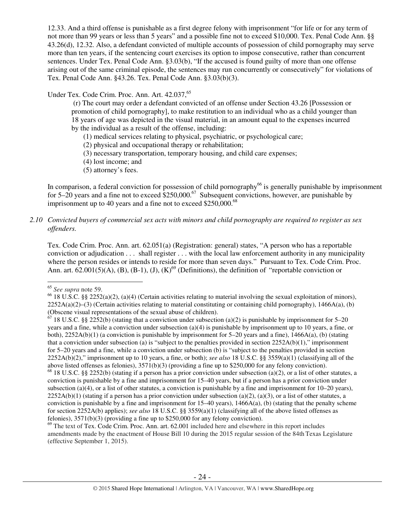12.33. And a third offense is punishable as a first degree felony with imprisonment "for life or for any term of not more than 99 years or less than 5 years" and a possible fine not to exceed \$10,000. Tex. Penal Code Ann. §§ 43.26(d), 12.32. Also, a defendant convicted of multiple accounts of possession of child pornography may serve more than ten years, if the sentencing court exercises its option to impose consecutive, rather than concurrent sentences. Under Tex. Penal Code Ann. §3.03(b), "If the accused is found guilty of more than one offense arising out of the same criminal episode, the sentences may run concurrently or consecutively" for violations of Tex. Penal Code Ann. §43.26. Tex. Penal Code Ann. §3.03(b)(3).

Under Tex. Code Crim. Proc. Ann. Art. 42.037,<sup>65</sup>

 (r) The court may order a defendant convicted of an offense under Section 43.26 [Possession or promotion of child pornography], to make restitution to an individual who as a child younger than 18 years of age was depicted in the visual material, in an amount equal to the expenses incurred by the individual as a result of the offense, including:

- (1) medical services relating to physical, psychiatric, or psychological care;
- (2) physical and occupational therapy or rehabilitation;
- (3) necessary transportation, temporary housing, and child care expenses;
- (4) lost income; and
- (5) attorney's fees.

In comparison, a federal conviction for possession of child pornography<sup>66</sup> is generally punishable by imprisonment for 5–20 years and a fine not to exceed  $$250,000.<sup>67</sup>$  Subsequent convictions, however, are punishable by imprisonment up to 40 years and a fine not to exceed  $$250,000$ .<sup>68</sup>

*2.10 Convicted buyers of commercial sex acts with minors and child pornography are required to register as sex offenders.* 

Tex. Code Crim. Proc. Ann. art. 62.051(a) (Registration: general) states, "A person who has a reportable conviction or adjudication . . . shall register . . . with the local law enforcement authority in any municipality where the person resides or intends to reside for more than seven days." Pursuant to Tex. Code Crim. Proc. Ann. art.  $62.001(5)(A)$ , (B), (B-1), (J), (K)<sup>69</sup> (Definitions), the definition of "reportable conviction or

 $\overline{a}$ <sup>65</sup> *See supra* note 59.

<sup>&</sup>lt;sup>66</sup> 18 U.S.C. §§ 2252(a)(2), (a)(4) (Certain activities relating to material involving the sexual exploitation of minors),  $2252A(a)(2)$ –(3) (Certain activities relating to material constituting or containing child pornography), 1466A(a), (b) (Obscene visual representations of the sexual abuse of children).

<sup>&</sup>lt;sup>67</sup> 18 U.S.C. §§ 2252(b) (stating that a conviction under subsection (a)(2) is punishable by imprisonment for 5–20 years and a fine, while a conviction under subsection (a)(4) is punishable by imprisonment up to 10 years, a fine, or both), 2252A(b)(1) (a conviction is punishable by imprisonment for 5–20 years and a fine), 1466A(a), (b) (stating that a conviction under subsection (a) is "subject to the penalties provided in section  $2252A(b)(1)$ ," imprisonment for 5–20 years and a fine, while a conviction under subsection (b) is "subject to the penalties provided in section 2252A(b)(2)," imprisonment up to 10 years, a fine, or both); *see also* 18 U.S.C. §§ 3559(a)(1) (classifying all of the above listed offenses as felonies), 3571(b)(3) (providing a fine up to \$250,000 for any felony conviction). <sup>68</sup> 18 U.S.C. §§ 2252(b) (stating if a person has a prior conviction under subsection (a)(2), or a list of other statutes, a conviction is punishable by a fine and imprisonment for 15–40 years, but if a person has a prior conviction under subsection (a)(4), or a list of other statutes, a conviction is punishable by a fine and imprisonment for  $10-20$  years),  $2252A(b)(1)$  (stating if a person has a prior conviction under subsection (a)(2), (a)(3), or a list of other statutes, a conviction is punishable by a fine and imprisonment for  $15-40$  years),  $1466A(a)$ , (b) (stating that the penalty scheme for section 2252A(b) applies); *see also* 18 U.S.C. §§ 3559(a)(1) (classifying all of the above listed offenses as felonies), 3571(b)(3) (providing a fine up to \$250,000 for any felony conviction).

<sup>&</sup>lt;sup>69</sup> The text of Tex. Code Crim. Proc. Ann. art. 62.001 included here and elsewhere in this report includes amendments made by the enactment of House Bill 10 during the 2015 regular session of the 84thTexas Legislature (effective September 1, 2015).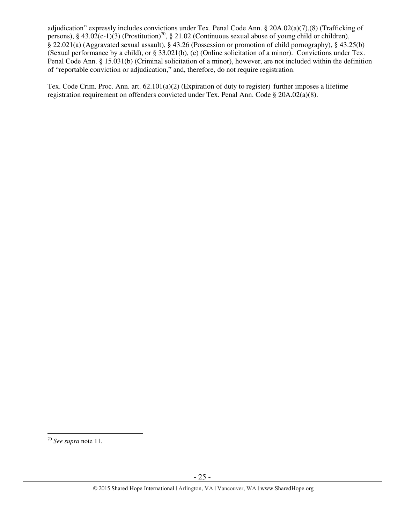adjudication" expressly includes convictions under Tex. Penal Code Ann. § 20A.02(a)(7),(8) (Trafficking of persons), § 43.02(c-1)(3) (Prostitution)<sup>70</sup>, § 21.02 (Continuous sexual abuse of young child or children), § 22.021(a) (Aggravated sexual assault), § 43.26 (Possession or promotion of child pornography), § 43.25(b) (Sexual performance by a child), or § 33.021(b), (c) (Online solicitation of a minor). Convictions under Tex. Penal Code Ann. § 15.031(b) (Criminal solicitation of a minor), however, are not included within the definition of "reportable conviction or adjudication," and, therefore, do not require registration.

Tex. Code Crim. Proc. Ann. art. 62.101(a)(2) (Expiration of duty to register) further imposes a lifetime registration requirement on offenders convicted under Tex. Penal Ann. Code § 20A.02(a)(8).

 $\overline{a}$ <sup>70</sup> *See supra* note 11.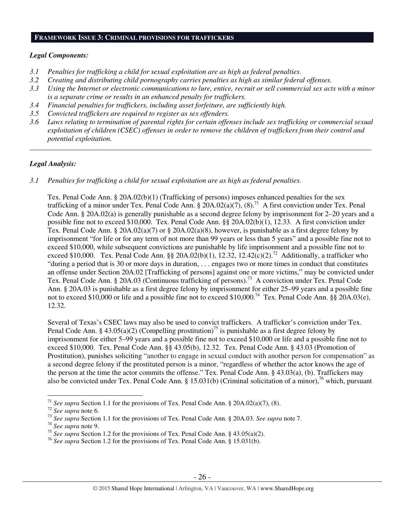#### **FRAMEWORK ISSUE 3: CRIMINAL PROVISIONS FOR TRAFFICKERS**

## *Legal Components:*

- *3.1 Penalties for trafficking a child for sexual exploitation are as high as federal penalties.*
- *3.2 Creating and distributing child pornography carries penalties as high as similar federal offenses.*
- *3.3 Using the Internet or electronic communications to lure, entice, recruit or sell commercial sex acts with a minor is a separate crime or results in an enhanced penalty for traffickers.*
- *3.4 Financial penalties for traffickers, including asset forfeiture, are sufficiently high.*
- *3.5 Convicted traffickers are required to register as sex offenders.*
- *3.6 Laws relating to termination of parental rights for certain offenses include sex trafficking or commercial sexual exploitation of children (CSEC) offenses in order to remove the children of traffickers from their control and potential exploitation.*

\_\_\_\_\_\_\_\_\_\_\_\_\_\_\_\_\_\_\_\_\_\_\_\_\_\_\_\_\_\_\_\_\_\_\_\_\_\_\_\_\_\_\_\_\_\_\_\_\_\_\_\_\_\_\_\_\_\_\_\_\_\_\_\_\_\_\_\_\_\_\_\_\_\_\_\_\_\_\_\_\_\_\_\_\_\_\_\_\_\_\_\_\_\_

## *Legal Analysis:*

*3.1 Penalties for trafficking a child for sexual exploitation are as high as federal penalties.* 

Tex. Penal Code Ann. § 20A.02(b)(1) (Trafficking of persons) imposes enhanced penalties for the sex trafficking of a minor under Tex. Penal Code Ann. § 20A.02(a)(7), (8).<sup>71</sup> A first conviction under Tex. Penal Code Ann. § 20A.02(a) is generally punishable as a second degree felony by imprisonment for 2–20 years and a possible fine not to exceed \$10,000. Tex. Penal Code Ann. §§ 20A.02(b)(1), 12.33. A first conviction under Tex. Penal Code Ann. §  $20A.02(a)(7)$  or §  $20A.02(a)(8)$ , however, is punishable as a first degree felony by imprisonment "for life or for any term of not more than 99 years or less than 5 years" and a possible fine not to exceed \$10,000, while subsequent convictions are punishable by life imprisonment and a possible fine not to exceed \$10,000. Tex. Penal Code Ann. §§ 20A.02(b)(1), 12.32, 12.42(c)(2).<sup>72</sup> Additionally, a trafficker who "during a period that is 30 or more days in duration, . . . engages two or more times in conduct that constitutes an offense under Section 20A.02 [Trafficking of persons] against one or more victims," may be convicted under Tex. Penal Code Ann. § 20A.03 (Continuous trafficking of persons).<sup>73</sup> A conviction under Tex. Penal Code Ann. § 20A.03 is punishable as a first degree felony by imprisonment for either 25–99 years and a possible fine not to exceed \$10,000 or life and a possible fine not to exceed \$10,000.<sup>74</sup> Tex. Penal Code Ann. §§ 20A.03(e), 12.32.

Several of Texas's CSEC laws may also be used to convict traffickers. A trafficker's conviction under Tex. Penal Code Ann. § 43.05(a)(2) (Compelling prostitution)<sup>75</sup> is punishable as a first degree felony by imprisonment for either 5–99 years and a possible fine not to exceed \$10,000 or life and a possible fine not to exceed \$10,000. Tex. Penal Code Ann. §§ 43.05(b), 12.32. Tex. Penal Code Ann. § 43.03 (Promotion of Prostitution), punishes soliciting "another to engage in sexual conduct with another person for compensation" as a second degree felony if the prostituted person is a minor, "regardless of whether the actor knows the age of the person at the time the actor commits the offense." Tex. Penal Code Ann. § 43.03(a), (b). Traffickers may also be convicted under Tex. Penal Code Ann. § 15.031(b) (Criminal solicitation of a minor),<sup>76</sup> which, pursuant

<sup>71</sup> *See supra* Section 1.1 for the provisions of Tex. Penal Code Ann. § 20A.02(a)(7), (8).

<sup>72</sup> *See supra* note 6.

<sup>73</sup> *See supra* Section 1.1 for the provisions of Tex. Penal Code Ann. § 20A.03. *See supra* note 7.

<sup>74</sup> *See supra* note 9.

<sup>&</sup>lt;sup>75</sup> *See supra* Section 1.2 for the provisions of Tex. Penal Code Ann. § 43.05(a)(2).

<sup>76</sup> *See supra* Section 1.2 for the provisions of Tex. Penal Code Ann. § 15.031(b).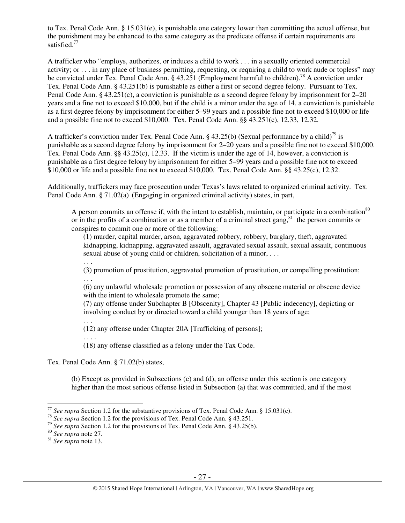to Tex. Penal Code Ann. § 15.031(e), is punishable one category lower than committing the actual offense, but the punishment may be enhanced to the same category as the predicate offense if certain requirements are satisfied.<sup>77</sup>

A trafficker who "employs, authorizes, or induces a child to work . . . in a sexually oriented commercial activity; or . . . in any place of business permitting, requesting, or requiring a child to work nude or topless" may be convicted under Tex. Penal Code Ann.  $\S$  43.251 (Employment harmful to children).<sup>78</sup> A conviction under Tex. Penal Code Ann. § 43.251(b) is punishable as either a first or second degree felony. Pursuant to Tex. Penal Code Ann. § 43.251(c), a conviction is punishable as a second degree felony by imprisonment for 2–20 years and a fine not to exceed \$10,000, but if the child is a minor under the age of 14, a conviction is punishable as a first degree felony by imprisonment for either 5–99 years and a possible fine not to exceed \$10,000 or life and a possible fine not to exceed \$10,000. Tex. Penal Code Ann. §§ 43.251(c), 12.33, 12.32.

A trafficker's conviction under Tex. Penal Code Ann. § 43.25(b) (Sexual performance by a child)<sup>79</sup> is punishable as a second degree felony by imprisonment for 2–20 years and a possible fine not to exceed \$10,000. Tex. Penal Code Ann. §§ 43.25(c), 12.33. If the victim is under the age of 14, however, a conviction is punishable as a first degree felony by imprisonment for either 5–99 years and a possible fine not to exceed \$10,000 or life and a possible fine not to exceed \$10,000. Tex. Penal Code Ann. §§ 43.25(c), 12.32.

Additionally, traffickers may face prosecution under Texas's laws related to organized criminal activity. Tex. Penal Code Ann. § 71.02(a) (Engaging in organized criminal activity) states, in part,

A person commits an offense if, with the intent to establish, maintain, or participate in a combination<sup>80</sup> or in the profits of a combination or as a member of a criminal street gang, $81$  the person commits or conspires to commit one or more of the following:

(1) murder, capital murder, arson, aggravated robbery, robbery, burglary, theft, aggravated kidnapping, kidnapping, aggravated assault, aggravated sexual assault, sexual assault, continuous sexual abuse of young child or children, solicitation of a minor, . . .

(3) promotion of prostitution, aggravated promotion of prostitution, or compelling prostitution; . . .

(6) any unlawful wholesale promotion or possession of any obscene material or obscene device with the intent to wholesale promote the same;

(7) any offense under Subchapter B [Obscenity], Chapter 43 [Public indecency], depicting or involving conduct by or directed toward a child younger than 18 years of age;

(12) any offense under Chapter 20A [Trafficking of persons];

. . . .

. . .

. . .

(18) any offense classified as a felony under the Tax Code.

Tex. Penal Code Ann. § 71.02(b) states,

(b) Except as provided in Subsections (c) and (d), an offense under this section is one category higher than the most serious offense listed in Subsection (a) that was committed, and if the most

<sup>77</sup> *See supra* Section 1.2 for the substantive provisions of Tex. Penal Code Ann. § 15.031(e).

<sup>&</sup>lt;sup>78</sup> *See supra* Section 1.2 for the provisions of Tex. Penal Code Ann. § 43.251.

<sup>79</sup> *See supra* Section 1.2 for the provisions of Tex. Penal Code Ann. § 43.25(b).

<sup>80</sup> *See supra* note 27.

<sup>81</sup> *See supra* note 13.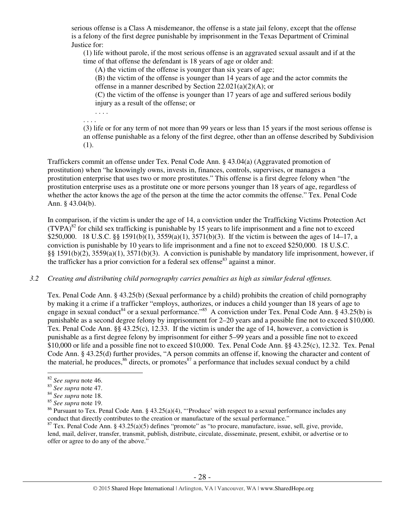serious offense is a Class A misdemeanor, the offense is a state jail felony, except that the offense is a felony of the first degree punishable by imprisonment in the Texas Department of Criminal Justice for:

(1) life without parole, if the most serious offense is an aggravated sexual assault and if at the time of that offense the defendant is 18 years of age or older and:

(A) the victim of the offense is younger than six years of age;

(B) the victim of the offense is younger than 14 years of age and the actor commits the offense in a manner described by Section 22.021(a)(2)(A); or

(C) the victim of the offense is younger than 17 years of age and suffered serious bodily injury as a result of the offense; or

. . . . . . . .

(3) life or for any term of not more than 99 years or less than 15 years if the most serious offense is an offense punishable as a felony of the first degree, other than an offense described by Subdivision (1).

Traffickers commit an offense under Tex. Penal Code Ann. § 43.04(a) (Aggravated promotion of prostitution) when "he knowingly owns, invests in, finances, controls, supervises, or manages a prostitution enterprise that uses two or more prostitutes." This offense is a first degree felony when "the prostitution enterprise uses as a prostitute one or more persons younger than 18 years of age, regardless of whether the actor knows the age of the person at the time the actor commits the offense." Tex. Penal Code Ann. § 43.04(b).

In comparison, if the victim is under the age of 14, a conviction under the Trafficking Victims Protection Act  $(TVPA)^{82}$  for child sex trafficking is punishable by 15 years to life imprisonment and a fine not to exceed \$250,000. 18 U.S.C. §§ 1591(b)(1), 3559(a)(1), 3571(b)(3). If the victim is between the ages of 14–17, a conviction is punishable by 10 years to life imprisonment and a fine not to exceed \$250,000. 18 U.S.C. §§ 1591(b)(2), 3559(a)(1), 3571(b)(3). A conviction is punishable by mandatory life imprisonment, however, if the trafficker has a prior conviction for a federal sex offense<sup>83</sup> against a minor.

## *3.2 Creating and distributing child pornography carries penalties as high as similar federal offenses.*

Tex. Penal Code Ann. § 43.25(b) (Sexual performance by a child) prohibits the creation of child pornography by making it a crime if a trafficker "employs, authorizes, or induces a child younger than 18 years of age to engage in sexual conduct<sup>84</sup> or a sexual performance."<sup>85</sup> A conviction under Tex. Penal Code Ann. § 43.25(b) is punishable as a second degree felony by imprisonment for 2–20 years and a possible fine not to exceed \$10,000. Tex. Penal Code Ann. §§ 43.25(c), 12.33. If the victim is under the age of 14, however, a conviction is punishable as a first degree felony by imprisonment for either 5–99 years and a possible fine not to exceed \$10,000 or life and a possible fine not to exceed \$10,000. Tex. Penal Code Ann. §§ 43.25(c), 12.32. Tex. Penal Code Ann. § 43.25(d) further provides, "A person commits an offense if, knowing the character and content of the material, he produces,  $86$  directs, or promotes  $87$  a performance that includes sexual conduct by a child

<sup>82</sup> *See supra* note 46.

<sup>83</sup> *See supra* note 47.

<sup>84</sup> *See supra* note 18.

<sup>85</sup> *See supra* note 19.

<sup>&</sup>lt;sup>86</sup> Pursuant to Tex. Penal Code Ann. §  $43.25(a)(4)$ , "Produce' with respect to a sexual performance includes any conduct that directly contributes to the creation or manufacture of the sexual performance."

 $87$  Tex. Penal Code Ann. § 43.25(a)(5) defines "promote" as "to procure, manufacture, issue, sell, give, provide, lend, mail, deliver, transfer, transmit, publish, distribute, circulate, disseminate, present, exhibit, or advertise or to offer or agree to do any of the above."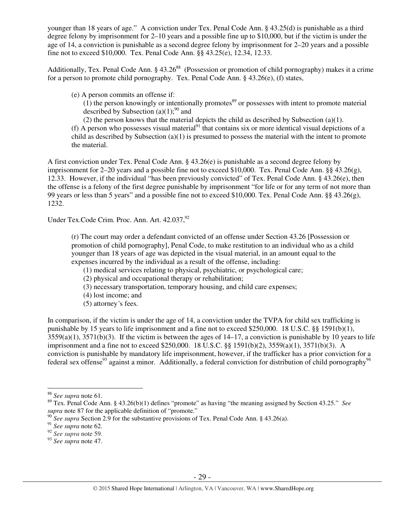younger than 18 years of age." A conviction under Tex. Penal Code Ann. § 43.25(d) is punishable as a third degree felony by imprisonment for 2–10 years and a possible fine up to \$10,000, but if the victim is under the age of 14, a conviction is punishable as a second degree felony by imprisonment for 2–20 years and a possible fine not to exceed \$10,000. Tex. Penal Code Ann. §§ 43.25(e), 12.34, 12.33.

Additionally, Tex. Penal Code Ann.  $\S 43.26^{88}$  (Possession or promotion of child pornography) makes it a crime for a person to promote child pornography. Tex. Penal Code Ann. § 43.26(e), (f) states,

(e) A person commits an offense if:

 $(1)$  the person knowingly or intentionally promotes<sup>89</sup> or possesses with intent to promote material described by Subsection (a)(1);<sup>90</sup> and

(2) the person knows that the material depicts the child as described by Subsection (a)(1).

(f) A person who possesses visual material<sup>91</sup> that contains six or more identical visual depictions of a child as described by Subsection (a)(1) is presumed to possess the material with the intent to promote the material.

A first conviction under Tex. Penal Code Ann. § 43.26(e) is punishable as a second degree felony by imprisonment for 2–20 years and a possible fine not to exceed \$10,000. Tex. Penal Code Ann. §§ 43.26(g), 12.33. However, if the individual "has been previously convicted" of Tex. Penal Code Ann. § 43.26(e), then the offense is a felony of the first degree punishable by imprisonment "for life or for any term of not more than 99 years or less than 5 years" and a possible fine not to exceed \$10,000. Tex. Penal Code Ann. §§ 43.26(g), 1232.

Under Tex.Code Crim. Proc. Ann. Art. 42.037,<sup>92</sup>

(r) The court may order a defendant convicted of an offense under Section 43.26 [Possession or promotion of child pornography], Penal Code, to make restitution to an individual who as a child younger than 18 years of age was depicted in the visual material, in an amount equal to the expenses incurred by the individual as a result of the offense, including:

(1) medical services relating to physical, psychiatric, or psychological care;

- (2) physical and occupational therapy or rehabilitation;
- (3) necessary transportation, temporary housing, and child care expenses;
- (4) lost income; and
- (5) attorney*'*s fees.

In comparison, if the victim is under the age of 14, a conviction under the TVPA for child sex trafficking is punishable by 15 years to life imprisonment and a fine not to exceed \$250,000. 18 U.S.C. §§ 1591(b)(1),  $3559(a)(1)$ ,  $3571(b)(3)$ . If the victim is between the ages of  $14-17$ , a conviction is punishable by 10 years to life imprisonment and a fine not to exceed \$250,000. 18 U.S.C. §§ 1591(b)(2), 3559(a)(1), 3571(b)(3). A conviction is punishable by mandatory life imprisonment, however, if the trafficker has a prior conviction for a federal sex offense<sup>93</sup> against a minor. Additionally, a federal conviction for distribution of child pornography<sup>94</sup>

<sup>88</sup> *See supra* note 61.

<sup>89</sup> Tex. Penal Code Ann. § 43.26(b)(1) defines "promote" as having "the meaning assigned by Section 43.25." *See supra* note 87 for the applicable definition of "promote."

<sup>&</sup>lt;sup>90</sup> *See supra Section 2.9* for the substantive provisions of Tex. Penal Code Ann. § 43.26(a).

<sup>91</sup> *See supra* note 62.

<sup>92</sup> *See supra* note 59.

<sup>93</sup> *See supra* note 47.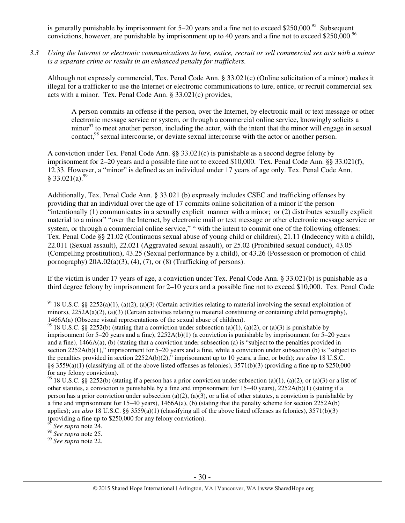is generally punishable by imprisonment for  $5-20$  years and a fine not to exceed \$250,000.<sup>95</sup> Subsequent convictions, however, are punishable by imprisonment up to 40 years and a fine not to exceed \$250,000.<sup>96</sup>

*3.3 Using the Internet or electronic communications to lure, entice, recruit or sell commercial sex acts with a minor is a separate crime or results in an enhanced penalty for traffickers.* 

Although not expressly commercial, Tex. Penal Code Ann. § 33.021(c) (Online solicitation of a minor) makes it illegal for a trafficker to use the Internet or electronic communications to lure, entice, or recruit commercial sex acts with a minor. Tex. Penal Code Ann. § 33.021(c) provides,

A person commits an offense if the person, over the Internet, by electronic mail or text message or other electronic message service or system, or through a commercial online service, knowingly solicits a minor<sup>97</sup> to meet another person, including the actor, with the intent that the minor will engage in sexual contact.<sup>98</sup> sexual intercourse, or deviate sexual intercourse with the actor or another person.

A conviction under Tex. Penal Code Ann. §§ 33.021(c) is punishable as a second degree felony by imprisonment for 2–20 years and a possible fine not to exceed \$10,000. Tex. Penal Code Ann. §§ 33.021(f), 12.33. However, a "minor" is defined as an individual under 17 years of age only. Tex. Penal Code Ann.  $§ 33.021(a).^{99}$ 

Additionally, Tex. Penal Code Ann. § 33.021 (b) expressly includes CSEC and trafficking offenses by providing that an individual over the age of 17 commits online solicitation of a minor if the person "intentionally (1) communicates in a sexually explicit manner with a minor; or (2) distributes sexually explicit material to a minor" "over the Internet, by electronic mail or text message or other electronic message service or system, or through a commercial online service," " with the intent to commit one of the following offenses: Tex. Penal Code §§ 21.02 (Continuous sexual abuse of young child or children), 21.11 (Indecency with a child), 22.011 (Sexual assault), 22.021 (Aggravated sexual assault), or 25.02 (Prohibited sexual conduct), 43.05 (Compelling prostitution), 43.25 (Sexual performance by a child), or 43.26 (Possession or promotion of child pornography)  $20A.02(a)(3)$ ,  $(4)$ ,  $(7)$ , or  $(8)$  (Trafficking of persons).

If the victim is under 17 years of age, a conviction under Tex. Penal Code Ann. § 33.021(b) is punishable as a third degree felony by imprisonment for 2–10 years and a possible fine not to exceed \$10,000. Tex. Penal Code

<sup>99</sup> *See supra* note 22.

 $\overline{a}$ <sup>94</sup> 18 U.S.C. §§ 2252(a)(1), (a)(2), (a)(3) (Certain activities relating to material involving the sexual exploitation of minors),  $2252A(a)(2)$ , (a)(3) (Certain activities relating to material constituting or containing child pornography), 1466A(a) (Obscene visual representations of the sexual abuse of children).

<sup>&</sup>lt;sup>95</sup> 18 U.S.C. §§ 2252(b) (stating that a conviction under subsection (a)(1), (a)(2), or (a)(3) is punishable by imprisonment for  $5-20$  years and a fine),  $2252A(b)(1)$  (a conviction is punishable by imprisonment for  $5-20$  years and a fine), 1466A(a), (b) (stating that a conviction under subsection (a) is "subject to the penalties provided in section 2252A(b)(1)," imprisonment for 5–20 years and a fine, while a conviction under subsection (b) is "subject to the penalties provided in section 2252A(b)(2)," imprisonment up to 10 years, a fine, or both); *see also* 18 U.S.C. §§ 3559(a)(1) (classifying all of the above listed offenses as felonies), 3571(b)(3) (providing a fine up to \$250,000 for any felony conviction).

<sup>&</sup>lt;sup>96</sup> 18 U.S.C. §§ 2252(b) (stating if a person has a prior conviction under subsection (a)(1), (a)(2), or (a)(3) or a list of other statutes, a conviction is punishable by a fine and imprisonment for 15–40 years), 2252A(b)(1) (stating if a person has a prior conviction under subsection (a)(2), (a)(3), or a list of other statutes, a conviction is punishable by a fine and imprisonment for  $15-40$  years),  $1466A(a)$ , (b) (stating that the penalty scheme for section  $2252A(b)$ applies); *see also* 18 U.S.C. §§ 3559(a)(1) (classifying all of the above listed offenses as felonies), 3571(b)(3) (providing a fine up to \$250,000 for any felony conviction).

See supra note 24.

<sup>98</sup> *See supra* note 25.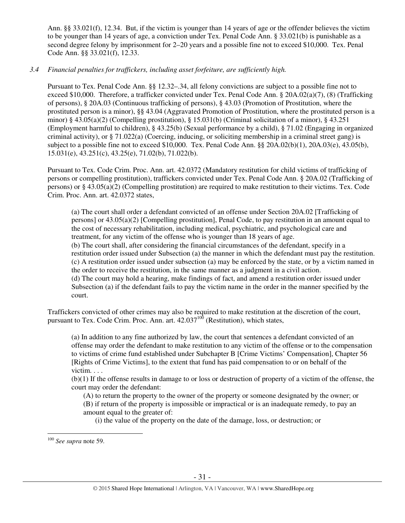Ann. §§ 33.021(f), 12.34. But, if the victim is younger than 14 years of age or the offender believes the victim to be younger than 14 years of age, a conviction under Tex. Penal Code Ann. § 33.021(b) is punishable as a second degree felony by imprisonment for 2–20 years and a possible fine not to exceed \$10,000. Tex. Penal Code Ann. §§ 33.021(f), 12.33.

# *3.4 Financial penalties for traffickers, including asset forfeiture, are sufficiently high.*

Pursuant to Tex. Penal Code Ann. §§ 12.32–.34, all felony convictions are subject to a possible fine not to exceed \$10,000. Therefore, a trafficker convicted under Tex. Penal Code Ann. § 20A.02(a)(7), (8) (Trafficking of persons), § 20A.03 (Continuous trafficking of persons), § 43.03 (Promotion of Prostitution, where the prostituted person is a minor), §§ 43.04 (Aggravated Promotion of Prostitution, where the prostituted person is a minor) §  $43.05(a)(2)$  (Compelling prostitution), § 15.031(b) (Criminal solicitation of a minor), §  $43.251$ (Employment harmful to children), § 43.25(b) (Sexual performance by a child), § 71.02 (Engaging in organized criminal activity), or § 71.022(a) (Coercing, inducing, or soliciting membership in a criminal street gang) is subject to a possible fine not to exceed \$10,000. Tex. Penal Code Ann. §§ 20A.02(b)(1), 20A.03(e), 43.05(b), 15.031(e), 43.251(c), 43.25(e), 71.02(b), 71.022(b).

Pursuant to Tex. Code Crim. Proc. Ann. art. 42.0372 (Mandatory restitution for child victims of trafficking of persons or compelling prostitution), traffickers convicted under Tex. Penal Code Ann. § 20A.02 (Trafficking of persons) or § 43.05(a)(2) (Compelling prostitution) are required to make restitution to their victims. Tex. Code Crim. Proc. Ann. art. 42.0372 states,

(a) The court shall order a defendant convicted of an offense under Section 20A.02 [Trafficking of persons] or 43.05(a)(2) [Compelling prostitution], Penal Code, to pay restitution in an amount equal to the cost of necessary rehabilitation, including medical, psychiatric, and psychological care and treatment, for any victim of the offense who is younger than 18 years of age.

(b) The court shall, after considering the financial circumstances of the defendant, specify in a restitution order issued under Subsection (a) the manner in which the defendant must pay the restitution. (c) A restitution order issued under subsection (a) may be enforced by the state, or by a victim named in the order to receive the restitution, in the same manner as a judgment in a civil action.

(d) The court may hold a hearing, make findings of fact, and amend a restitution order issued under Subsection (a) if the defendant fails to pay the victim name in the order in the manner specified by the court.

Traffickers convicted of other crimes may also be required to make restitution at the discretion of the court, pursuant to Tex. Code Crim. Proc. Ann. art.  $42.037^{100}$  (Restitution), which states,

(a) In addition to any fine authorized by law, the court that sentences a defendant convicted of an offense may order the defendant to make restitution to any victim of the offense or to the compensation to victims of crime fund established under Subchapter B [Crime Victims' Compensation], Chapter 56 [Rights of Crime Victims], to the extent that fund has paid compensation to or on behalf of the victim. . . .

(b)(1) If the offense results in damage to or loss or destruction of property of a victim of the offense, the court may order the defendant:

(A) to return the property to the owner of the property or someone designated by the owner; or (B) if return of the property is impossible or impractical or is an inadequate remedy, to pay an amount equal to the greater of:

(i) the value of the property on the date of the damage, loss, or destruction; or

 $\overline{a}$ <sup>100</sup> *See supra* note 59.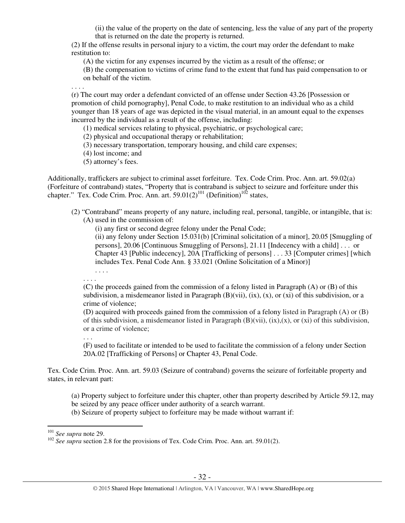(ii) the value of the property on the date of sentencing, less the value of any part of the property that is returned on the date the property is returned.

(2) If the offense results in personal injury to a victim, the court may order the defendant to make restitution to:

(A) the victim for any expenses incurred by the victim as a result of the offense; or

(B) the compensation to victims of crime fund to the extent that fund has paid compensation to or on behalf of the victim.

. . . .

(r) The court may order a defendant convicted of an offense under Section 43.26 [Possession or promotion of child pornography], Penal Code, to make restitution to an individual who as a child younger than 18 years of age was depicted in the visual material, in an amount equal to the expenses incurred by the individual as a result of the offense, including:

(1) medical services relating to physical, psychiatric, or psychological care;

(2) physical and occupational therapy or rehabilitation;

(3) necessary transportation, temporary housing, and child care expenses;

(4) lost income; and

(5) attorney's fees.

Additionally, traffickers are subject to criminal asset forfeiture. Tex. Code Crim. Proc. Ann. art. 59.02(a) (Forfeiture of contraband) states, "Property that is contraband is subject to seizure and forfeiture under this chapter." Tex. Code Crim. Proc. Ann. art.  $59.01(2)^{101}$  (Definition)<sup>102</sup> states,

(2) "Contraband" means property of any nature, including real, personal, tangible, or intangible, that is: (A) used in the commission of:

(i) any first or second degree felony under the Penal Code;

(ii) any felony under Section 15.031(b) [Criminal solicitation of a minor], 20.05 [Smuggling of persons], 20.06 [Continuous Smuggling of Persons], 21.11 [Indecency with a child] . . . or Chapter 43 [Public indecency], 20A [Trafficking of persons] . . . 33 [Computer crimes] [which includes Tex. Penal Code Ann. § 33.021 (Online Solicitation of a Minor)]

. . . .

. . . .

(C) the proceeds gained from the commission of a felony listed in Paragraph (A) or (B) of this subdivision, a misdemeanor listed in Paragraph  $(B)(vii)$ ,  $(ix)$ ,  $(x)$ ,  $(x)$  of this subdivision, or a crime of violence;

(D) acquired with proceeds gained from the commission of a felony listed in Paragraph (A) or (B) of this subdivision, a misdemeanor listed in Paragraph  $(B)(vi)$ ,  $(ix)$ ,  $(x)$ ,  $(x)$  of this subdivision, or a crime of violence;

. . .

(F) used to facilitate or intended to be used to facilitate the commission of a felony under Section 20A.02 [Trafficking of Persons] or Chapter 43, Penal Code.

Tex. Code Crim. Proc. Ann. art. 59.03 (Seizure of contraband) governs the seizure of forfeitable property and states, in relevant part:

(a) Property subject to forfeiture under this chapter, other than property described by Article 59.12, may be seized by any peace officer under authority of a search warrant.

(b) Seizure of property subject to forfeiture may be made without warrant if:

<sup>101</sup> *See supra* note 29.

<sup>&</sup>lt;sup>102</sup> *See supra* section 2.8 for the provisions of Tex. Code Crim. Proc. Ann. art. 59.01(2).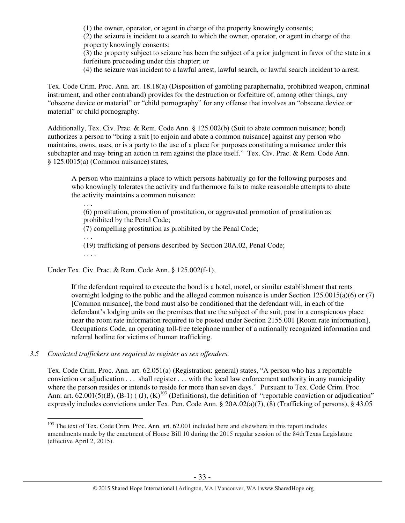(1) the owner, operator, or agent in charge of the property knowingly consents;

(2) the seizure is incident to a search to which the owner, operator, or agent in charge of the property knowingly consents;

(3) the property subject to seizure has been the subject of a prior judgment in favor of the state in a forfeiture proceeding under this chapter; or

(4) the seizure was incident to a lawful arrest, lawful search, or lawful search incident to arrest.

Tex. Code Crim. Proc. Ann. art. 18.18(a) (Disposition of gambling paraphernalia, prohibited weapon, criminal instrument, and other contraband) provides for the destruction or forfeiture of, among other things, any "obscene device or material" or "child pornography" for any offense that involves an "obscene device or material" or child pornography.

Additionally, Tex. Civ. Prac. & Rem. Code Ann. § 125.002(b) (Suit to abate common nuisance; bond) authorizes a person to "bring a suit [to enjoin and abate a common nuisance] against any person who maintains, owns, uses, or is a party to the use of a place for purposes constituting a nuisance under this subchapter and may bring an action in rem against the place itself." Tex. Civ. Prac. & Rem. Code Ann.  $§ 125.0015(a)$  (Common nuisance) states,

A person who maintains a place to which persons habitually go for the following purposes and who knowingly tolerates the activity and furthermore fails to make reasonable attempts to abate the activity maintains a common nuisance:

. . . (6) prostitution, promotion of prostitution, or aggravated promotion of prostitution as prohibited by the Penal Code; (7) compelling prostitution as prohibited by the Penal Code; . . . (19) trafficking of persons described by Section 20A.02, Penal Code; . . . .

Under Tex. Civ. Prac. & Rem. Code Ann. § 125.002(f-1),

If the defendant required to execute the bond is a hotel, motel, or similar establishment that rents overnight lodging to the public and the alleged common nuisance is under Section 125.0015(a)(6) or (7) [Common nuisance], the bond must also be conditioned that the defendant will, in each of the defendant's lodging units on the premises that are the subject of the suit, post in a conspicuous place near the room rate information required to be posted under Section 2155.001 [Room rate information], Occupations Code, an operating toll-free telephone number of a nationally recognized information and referral hotline for victims of human trafficking.

# *3.5 Convicted traffickers are required to register as sex offenders.*

 $\overline{a}$ 

Tex. Code Crim. Proc. Ann. art. 62.051(a) (Registration: general) states, "A person who has a reportable conviction or adjudication . . . shall register . . . with the local law enforcement authority in any municipality where the person resides or intends to reside for more than seven days." Pursuant to Tex. Code Crim. Proc. Ann. art.  $62.001(5)(B)$ ,  $(B-1)$  ( $(J)$ ,  $(K)$ <sup>103</sup> (Definitions), the definition of "reportable conviction or adjudication" expressly includes convictions under Tex. Pen. Code Ann. § 20A.02(a)(7), (8) (Trafficking of persons), § 43.05

<sup>&</sup>lt;sup>103</sup> The text of Tex. Code Crim. Proc. Ann. art. 62.001 included here and elsewhere in this report includes amendments made by the enactment of House Bill 10 during the 2015 regular session of the 84thTexas Legislature (effective April 2, 2015).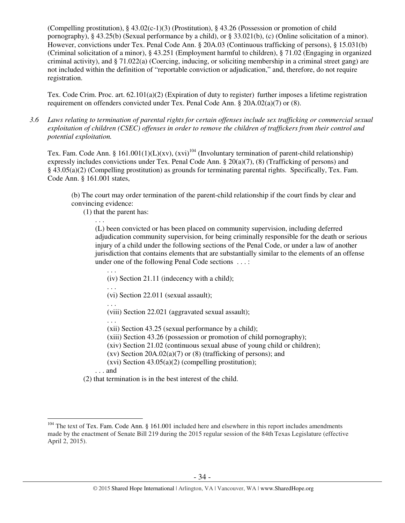(Compelling prostitution),  $\S 43.02(c-1)(3)$  (Prostitution),  $\S 43.26$  (Possession or promotion of child pornography), § 43.25(b) (Sexual performance by a child), or § 33.021(b), (c) (Online solicitation of a minor). However, convictions under Tex. Penal Code Ann. § 20A.03 (Continuous trafficking of persons), § 15.031(b) (Criminal solicitation of a minor), § 43.251 (Employment harmful to children), § 71.02 (Engaging in organized criminal activity), and § 71.022(a) (Coercing, inducing, or soliciting membership in a criminal street gang) are not included within the definition of "reportable conviction or adjudication," and, therefore, do not require registration.

Tex. Code Crim. Proc. art. 62.101(a)(2) (Expiration of duty to register) further imposes a lifetime registration requirement on offenders convicted under Tex. Penal Code Ann. § 20A.02(a)(7) or (8).

*3.6 Laws relating to termination of parental rights for certain offenses include sex trafficking or commercial sexual exploitation of children (CSEC) offenses in order to remove the children of traffickers from their control and potential exploitation.* 

Tex. Fam. Code Ann. § 161.001(1)(L)(xv), (xvi)<sup>104</sup> (Involuntary termination of parent-child relationship) expressly includes convictions under Tex. Penal Code Ann. § 20(a)(7), (8) (Trafficking of persons) and § 43.05(a)(2) (Compelling prostitution) as grounds for terminating parental rights. Specifically, Tex. Fam. Code Ann. § 161.001 states,

(b) The court may order termination of the parent-child relationship if the court finds by clear and convincing evidence:

(1) that the parent has:

. . .

(L) been convicted or has been placed on community supervision, including deferred adjudication community supervision, for being criminally responsible for the death or serious injury of a child under the following sections of the Penal Code, or under a law of another jurisdiction that contains elements that are substantially similar to the elements of an offense under one of the following Penal Code sections . . . :

. . . (iv) Section 21.11 (indecency with a child);

. . . (vi) Section 22.011 (sexual assault);

. . .

. . .

(viii) Section 22.021 (aggravated sexual assault);

(xii) Section 43.25 (sexual performance by a child);

(xiii) Section 43.26 (possession or promotion of child pornography);

(xiv) Section 21.02 (continuous sexual abuse of young child or children);

 $(xv)$  Section 20A.02(a)(7) or (8) (trafficking of persons); and

 $(xvi)$  Section 43.05(a)(2) (compelling prostitution);

. . . and

 $\overline{a}$ 

(2) that termination is in the best interest of the child.

<sup>&</sup>lt;sup>104</sup> The text of Tex. Fam. Code Ann. § 161.001 included here and elsewhere in this report includes amendments made by the enactment of Senate Bill 219 during the 2015 regular session of the 84th Texas Legislature (effective April 2, 2015).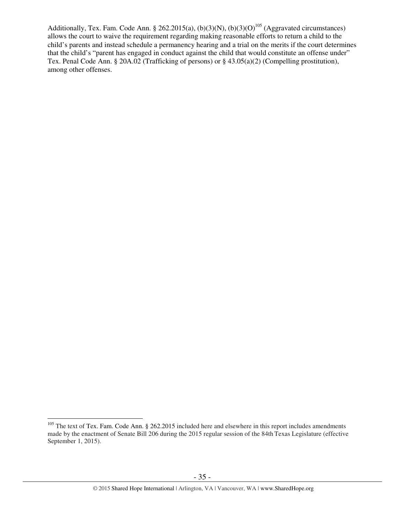Additionally, Tex. Fam. Code Ann. § 262.2015(a), (b)(3)(N), (b)(3)(O)<sup>105</sup> (Aggravated circumstances) allows the court to waive the requirement regarding making reasonable efforts to return a child to the child's parents and instead schedule a permanency hearing and a trial on the merits if the court determines that the child's "parent has engaged in conduct against the child that would constitute an offense under" Tex. Penal Code Ann. § 20A.02 (Trafficking of persons) or § 43.05(a)(2) (Compelling prostitution), among other offenses.

<sup>&</sup>lt;sup>105</sup> The text of Tex. Fam. Code Ann. § 262.2015 included here and elsewhere in this report includes amendments made by the enactment of Senate Bill 206 during the 2015 regular session of the 84th Texas Legislature (effective September 1, 2015).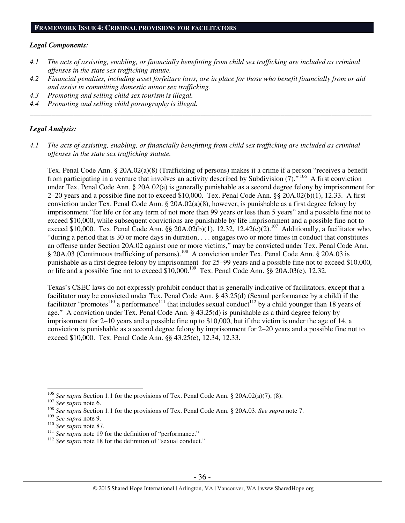### **FRAMEWORK ISSUE 4: CRIMINAL PROVISIONS FOR FACILITATORS**

## *Legal Components:*

- *4.1 The acts of assisting, enabling, or financially benefitting from child sex trafficking are included as criminal offenses in the state sex trafficking statute.*
- *4.2 Financial penalties, including asset forfeiture laws, are in place for those who benefit financially from or aid and assist in committing domestic minor sex trafficking.*

\_\_\_\_\_\_\_\_\_\_\_\_\_\_\_\_\_\_\_\_\_\_\_\_\_\_\_\_\_\_\_\_\_\_\_\_\_\_\_\_\_\_\_\_\_\_\_\_\_\_\_\_\_\_\_\_\_\_\_\_\_\_\_\_\_\_\_\_\_\_\_\_\_\_\_\_\_\_\_\_\_\_\_\_\_\_\_\_\_\_\_\_\_\_

- *4.3 Promoting and selling child sex tourism is illegal.*
- *4.4 Promoting and selling child pornography is illegal.*

## *Legal Analysis:*

*4.1 The acts of assisting, enabling, or financially benefitting from child sex trafficking are included as criminal offenses in the state sex trafficking statute.* 

Tex. Penal Code Ann. § 20A.02(a)(8) (Trafficking of persons) makes it a crime if a person "receives a benefit from participating in a venture that involves an activity described by Subdivision  $(7)$ .<sup>"106</sup> A first conviction under Tex. Penal Code Ann. § 20A.02(a) is generally punishable as a second degree felony by imprisonment for 2–20 years and a possible fine not to exceed \$10,000. Tex. Penal Code Ann. §§ 20A.02(b)(1), 12.33. A first conviction under Tex. Penal Code Ann. § 20A.02(a)(8), however, is punishable as a first degree felony by imprisonment "for life or for any term of not more than 99 years or less than 5 years" and a possible fine not to exceed \$10,000, while subsequent convictions are punishable by life imprisonment and a possible fine not to exceed \$10,000. Tex. Penal Code Ann. §§ 20A.02(b)(1), 12.32, 12.42(c)(2).<sup>107</sup> Additionally, a facilitator who, "during a period that is 30 or more days in duration, . . . engages two or more times in conduct that constitutes an offense under Section 20A.02 against one or more victims," may be convicted under Tex. Penal Code Ann. § 20A.03 (Continuous trafficking of persons).<sup>108</sup> A conviction under Tex. Penal Code Ann. § 20A.03 is punishable as a first degree felony by imprisonment for 25–99 years and a possible fine not to exceed \$10,000, or life and a possible fine not to exceed \$10,000.<sup>109</sup> Tex. Penal Code Ann. §§ 20A.03(e), 12.32.

Texas's CSEC laws do not expressly prohibit conduct that is generally indicative of facilitators, except that a facilitator may be convicted under Tex. Penal Code Ann. § 43.25(d) (Sexual performance by a child) if the facilitator "promotes<sup>110</sup> a performance<sup>111</sup> that includes sexual conduct<sup>112</sup> by a child younger than 18 years of age." A conviction under Tex. Penal Code Ann. § 43.25(d) is punishable as a third degree felony by imprisonment for 2–10 years and a possible fine up to \$10,000, but if the victim is under the age of 14, a conviction is punishable as a second degree felony by imprisonment for 2–20 years and a possible fine not to exceed \$10,000. Tex. Penal Code Ann. §§ 43.25(e), 12.34, 12.33.

 $\overline{a}$ <sup>106</sup> *See supra* Section 1.1 for the provisions of Tex. Penal Code Ann. § 20A.02(a)(7), (8).

<sup>107</sup> *See supra* note 6.

<sup>108</sup> *See supra* Section 1.1 for the provisions of Tex. Penal Code Ann. § 20A.03. *See supra* note 7.

<sup>109</sup> *See supra* note 9.

<sup>110</sup> *See supra* note 87.

<sup>&</sup>lt;sup>111</sup> See supra note 19 for the definition of "performance."

<sup>&</sup>lt;sup>112</sup> See supra note 18 for the definition of "sexual conduct."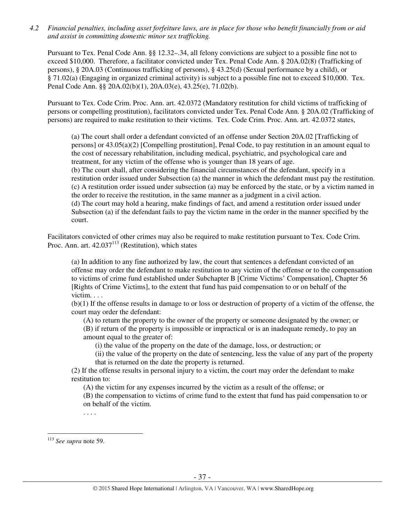*4.2 Financial penalties, including asset forfeiture laws, are in place for those who benefit financially from or aid and assist in committing domestic minor sex trafficking.* 

Pursuant to Tex. Penal Code Ann. §§ 12.32–.34, all felony convictions are subject to a possible fine not to exceed \$10,000. Therefore, a facilitator convicted under Tex. Penal Code Ann. § 20A.02(8) (Trafficking of persons), § 20A.03 (Continuous trafficking of persons), § 43.25(d) (Sexual performance by a child), or § 71.02(a) (Engaging in organized criminal activity) is subject to a possible fine not to exceed \$10,000. Tex. Penal Code Ann. §§ 20A.02(b)(1), 20A.03(e), 43.25(e), 71.02(b).

Pursuant to Tex. Code Crim. Proc. Ann. art. 42.0372 (Mandatory restitution for child victims of trafficking of persons or compelling prostitution), facilitators convicted under Tex. Penal Code Ann. § 20A.02 (Trafficking of persons) are required to make restitution to their victims. Tex. Code Crim. Proc. Ann. art. 42.0372 states,

(a) The court shall order a defendant convicted of an offense under Section 20A.02 [Trafficking of persons] or 43.05(a)(2) [Compelling prostitution], Penal Code, to pay restitution in an amount equal to the cost of necessary rehabilitation, including medical, psychiatric, and psychological care and treatment, for any victim of the offense who is younger than 18 years of age. (b) The court shall, after considering the financial circumstances of the defendant, specify in a restitution order issued under Subsection (a) the manner in which the defendant must pay the restitution. (c) A restitution order issued under subsection (a) may be enforced by the state, or by a victim named in the order to receive the restitution, in the same manner as a judgment in a civil action. (d) The court may hold a hearing, make findings of fact, and amend a restitution order issued under Subsection (a) if the defendant fails to pay the victim name in the order in the manner specified by the court.

Facilitators convicted of other crimes may also be required to make restitution pursuant to Tex. Code Crim. Proc. Ann. art.  $42.037<sup>113</sup>$  (Restitution), which states

(a) In addition to any fine authorized by law, the court that sentences a defendant convicted of an offense may order the defendant to make restitution to any victim of the offense or to the compensation to victims of crime fund established under Subchapter B [Crime Victims' Compensation], Chapter 56 [Rights of Crime Victims], to the extent that fund has paid compensation to or on behalf of the victim. . . .

(b)(1) If the offense results in damage to or loss or destruction of property of a victim of the offense, the court may order the defendant:

(A) to return the property to the owner of the property or someone designated by the owner; or (B) if return of the property is impossible or impractical or is an inadequate remedy, to pay an amount equal to the greater of:

(i) the value of the property on the date of the damage, loss, or destruction; or

(ii) the value of the property on the date of sentencing, less the value of any part of the property that is returned on the date the property is returned.

(2) If the offense results in personal injury to a victim, the court may order the defendant to make restitution to:

(A) the victim for any expenses incurred by the victim as a result of the offense; or

(B) the compensation to victims of crime fund to the extent that fund has paid compensation to or on behalf of the victim.

. . . .

 $\overline{a}$ <sup>113</sup> *See supra* note 59.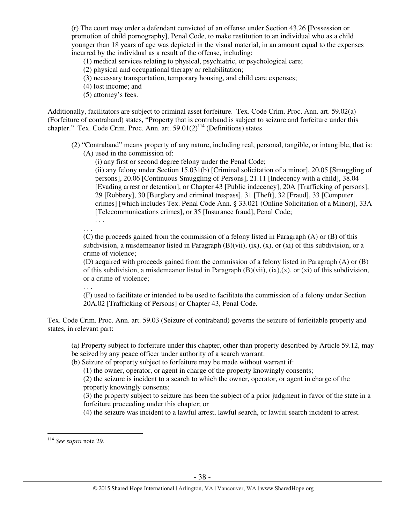(r) The court may order a defendant convicted of an offense under Section 43.26 [Possession or promotion of child pornography], Penal Code, to make restitution to an individual who as a child younger than 18 years of age was depicted in the visual material, in an amount equal to the expenses incurred by the individual as a result of the offense, including:

(1) medical services relating to physical, psychiatric, or psychological care;

(2) physical and occupational therapy or rehabilitation;

- (3) necessary transportation, temporary housing, and child care expenses;
- (4) lost income; and
- (5) attorney's fees.

Additionally, facilitators are subject to criminal asset forfeiture. Tex. Code Crim. Proc. Ann. art. 59.02(a) (Forfeiture of contraband) states, "Property that is contraband is subject to seizure and forfeiture under this chapter." Tex. Code Crim. Proc. Ann. art.  $59.01(2)^{114}$  (Definitions) states

(2) "Contraband" means property of any nature, including real, personal, tangible, or intangible, that is: (A) used in the commission of:

(i) any first or second degree felony under the Penal Code;

(ii) any felony under Section 15.031(b) [Criminal solicitation of a minor], 20.05 [Smuggling of persons], 20.06 [Continuous Smuggling of Persons], 21.11 [Indecency with a child], 38.04 [Evading arrest or detention], or Chapter 43 [Public indecency], 20A [Trafficking of persons], 29 [Robbery], 30 [Burglary and criminal trespass], 31 [Theft], 32 [Fraud], 33 [Computer crimes] [which includes Tex. Penal Code Ann. § 33.021 (Online Solicitation of a Minor)], 33A [Telecommunications crimes], or 35 [Insurance fraud], Penal Code;

. . . . . .

(C) the proceeds gained from the commission of a felony listed in Paragraph (A) or (B) of this subdivision, a misdemeanor listed in Paragraph  $(B)(vii)$ ,  $(ix)$ ,  $(x)$ , or  $(xi)$  of this subdivision, or a crime of violence;

(D) acquired with proceeds gained from the commission of a felony listed in Paragraph (A) or (B) of this subdivision, a misdemeanor listed in Paragraph  $(B)(vi)$ ,  $(ix)$ ,  $(x)$ ,  $(x)$  of this subdivision, or a crime of violence;

. . .

(F) used to facilitate or intended to be used to facilitate the commission of a felony under Section 20A.02 [Trafficking of Persons] or Chapter 43, Penal Code.

Tex. Code Crim. Proc. Ann. art. 59.03 (Seizure of contraband) governs the seizure of forfeitable property and states, in relevant part:

(a) Property subject to forfeiture under this chapter, other than property described by Article 59.12, may be seized by any peace officer under authority of a search warrant.

(b) Seizure of property subject to forfeiture may be made without warrant if:

(1) the owner, operator, or agent in charge of the property knowingly consents;

(2) the seizure is incident to a search to which the owner, operator, or agent in charge of the property knowingly consents;

(3) the property subject to seizure has been the subject of a prior judgment in favor of the state in a forfeiture proceeding under this chapter; or

(4) the seizure was incident to a lawful arrest, lawful search, or lawful search incident to arrest.

<sup>114</sup> *See supra* note 29.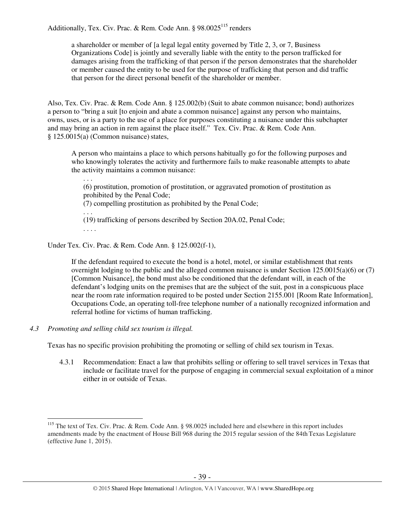Additionally, Tex. Civ. Prac. & Rem. Code Ann.  $8.98 \cdot 0.0025^{115}$  renders

a shareholder or member of [a legal legal entity governed by Title 2, 3, or 7, Business Organizations Code] is jointly and severally liable with the entity to the person trafficked for damages arising from the trafficking of that person if the person demonstrates that the shareholder or member caused the entity to be used for the purpose of trafficking that person and did traffic that person for the direct personal benefit of the shareholder or member.

Also, Tex. Civ. Prac. & Rem. Code Ann. § 125.002(b) (Suit to abate common nuisance; bond) authorizes a person to "bring a suit [to enjoin and abate a common nuisance] against any person who maintains, owns, uses, or is a party to the use of a place for purposes constituting a nuisance under this subchapter and may bring an action in rem against the place itself." Tex. Civ. Prac. & Rem. Code Ann.  $§ 125.0015(a)$  (Common nuisance) states,

A person who maintains a place to which persons habitually go for the following purposes and who knowingly tolerates the activity and furthermore fails to make reasonable attempts to abate the activity maintains a common nuisance:

. . . (6) prostitution, promotion of prostitution, or aggravated promotion of prostitution as prohibited by the Penal Code; (7) compelling prostitution as prohibited by the Penal Code; . . . (19) trafficking of persons described by Section 20A.02, Penal Code; . . . .

Under Tex. Civ. Prac. & Rem. Code Ann. § 125.002(f-1),

If the defendant required to execute the bond is a hotel, motel, or similar establishment that rents overnight lodging to the public and the alleged common nuisance is under Section 125.0015(a)(6) or (7) [Common Nuisance], the bond must also be conditioned that the defendant will, in each of the defendant's lodging units on the premises that are the subject of the suit, post in a conspicuous place near the room rate information required to be posted under Section 2155.001 [Room Rate Information], Occupations Code, an operating toll-free telephone number of a nationally recognized information and referral hotline for victims of human trafficking.

*4.3 Promoting and selling child sex tourism is illegal.* 

 $\overline{a}$ 

Texas has no specific provision prohibiting the promoting or selling of child sex tourism in Texas.

4.3.1 Recommendation: Enact a law that prohibits selling or offering to sell travel services in Texas that include or facilitate travel for the purpose of engaging in commercial sexual exploitation of a minor either in or outside of Texas.

<sup>&</sup>lt;sup>115</sup> The text of Tex. Civ. Prac. & Rem. Code Ann. § 98.0025 included here and elsewhere in this report includes amendments made by the enactment of House Bill 968 during the 2015 regular session of the 84th Texas Legislature (effective June 1, 2015).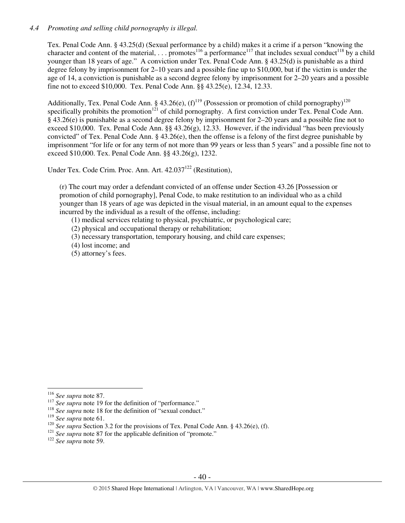## *4.4 Promoting and selling child pornography is illegal.*

Tex. Penal Code Ann. § 43.25(d) (Sexual performance by a child) makes it a crime if a person "knowing the character and content of the material, . . . promotes<sup>116</sup> a performance<sup>117</sup> that includes sexual conduct<sup>118</sup> by a child younger than 18 years of age." A conviction under Tex. Penal Code Ann. § 43.25(d) is punishable as a third degree felony by imprisonment for 2–10 years and a possible fine up to \$10,000, but if the victim is under the age of 14, a conviction is punishable as a second degree felony by imprisonment for 2–20 years and a possible fine not to exceed \$10,000. Tex. Penal Code Ann. §§ 43.25(e), 12.34, 12.33.

Additionally, Tex. Penal Code Ann. § 43.26(e),  $(f)$ <sup>119</sup> (Possession or promotion of child pornography)<sup>120</sup> specifically prohibits the promotion<sup>121</sup> of child pornography. A first conviction under Tex. Penal Code Ann. § 43.26(e) is punishable as a second degree felony by imprisonment for 2–20 years and a possible fine not to exceed \$10,000. Tex. Penal Code Ann.  $\S$ § 43.26(g), 12.33. However, if the individual "has been previously convicted" of Tex. Penal Code Ann. § 43.26(e), then the offense is a felony of the first degree punishable by imprisonment "for life or for any term of not more than 99 years or less than 5 years" and a possible fine not to exceed \$10,000. Tex. Penal Code Ann. §§ 43.26(g), 1232.

Under Tex. Code Crim. Proc. Ann. Art. 42.037<sup>122</sup> (Restitution),

(r) The court may order a defendant convicted of an offense under Section 43.26 [Possession or promotion of child pornography], Penal Code, to make restitution to an individual who as a child younger than 18 years of age was depicted in the visual material, in an amount equal to the expenses incurred by the individual as a result of the offense, including:

(1) medical services relating to physical, psychiatric, or psychological care;

(2) physical and occupational therapy or rehabilitation;

(3) necessary transportation, temporary housing, and child care expenses;

(4) lost income; and

(5) attorney's fees.

<sup>122</sup> *See supra* note 59.

 $\overline{a}$ <sup>116</sup> *See supra* note 87.

<sup>&</sup>lt;sup>117</sup> *See supra* note 19 for the definition of "performance."

<sup>&</sup>lt;sup>118</sup> See supra note 18 for the definition of "sexual conduct."

<sup>119</sup> *See supra* note 61.

<sup>&</sup>lt;sup>120</sup> *See supra* Section 3.2 for the provisions of Tex. Penal Code Ann. § 43.26(e), (f).

<sup>&</sup>lt;sup>121</sup> *See supra* note 87 for the applicable definition of "promote."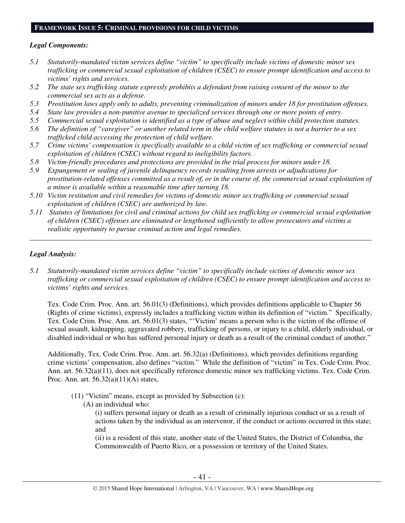### **FRAMEWORK ISSUE 5: CRIMINAL PROVISIONS FOR CHILD VICTIMS**

### *Legal Components:*

- *5.1 Statutorily-mandated victim services define "victim" to specifically include victims of domestic minor sex trafficking or commercial sexual exploitation of children (CSEC) to ensure prompt identification and access to victims' rights and services.*
- *5.2 The state sex trafficking statute expressly prohibits a defendant from raising consent of the minor to the commercial sex acts as a defense.*
- *5.3 Prostitution laws apply only to adults, preventing criminalization of minors under 18 for prostitution offenses.*
- *5.4 State law provides a non-punitive avenue to specialized services through one or more points of entry.*
- *5.5 Commercial sexual exploitation is identified as a type of abuse and neglect within child protection statutes.*
- *5.6 The definition of "caregiver" or another related term in the child welfare statutes is not a barrier to a sex trafficked child accessing the protection of child welfare.*
- *5.7 Crime victims' compensation is specifically available to a child victim of sex trafficking or commercial sexual exploitation of children (CSEC) without regard to ineligibility factors.*
- *5.8 Victim-friendly procedures and protections are provided in the trial process for minors under 18.*
- *5.9 Expungement or sealing of juvenile delinquency records resulting from arrests or adjudications for prostitution-related offenses committed as a result of, or in the course of, the commercial sexual exploitation of a minor is available within a reasonable time after turning 18.*
- *5.10 Victim restitution and civil remedies for victims of domestic minor sex trafficking or commercial sexual exploitation of children (CSEC) are authorized by law.*
- *5.11 Statutes of limitations for civil and criminal actions for child sex trafficking or commercial sexual exploitation of children (CSEC) offenses are eliminated or lengthened sufficiently to allow prosecutors and victims a realistic opportunity to pursue criminal action and legal remedies.*

\_\_\_\_\_\_\_\_\_\_\_\_\_\_\_\_\_\_\_\_\_\_\_\_\_\_\_\_\_\_\_\_\_\_\_\_\_\_\_\_\_\_\_\_\_\_\_\_\_\_\_\_\_\_\_\_\_\_\_\_\_\_\_\_\_\_\_\_\_\_\_\_\_\_\_\_\_\_\_\_\_\_\_\_\_\_\_\_\_\_\_\_\_\_

## *Legal Analysis:*

*5.1 Statutorily-mandated victim services define "victim" to specifically include victims of domestic minor sex trafficking or commercial sexual exploitation of children (CSEC) to ensure prompt identification and access to victims' rights and services.* 

Tex. Code Crim. Proc. Ann. art. 56.01(3) (Definitions), which provides definitions applicable to Chapter 56 (Rights of crime victims), expressly includes a trafficking victim within its definition of "victim." Specifically, Tex. Code Crim. Proc. Ann. art. 56.01(3) states, "'Victim' means a person who is the victim of the offense of sexual assault, kidnapping, aggravated robbery, trafficking of persons, or injury to a child, elderly individual, or disabled individual or who has suffered personal injury or death as a result of the criminal conduct of another."

Additionally, Tex. Code Crim. Proc. Ann. art. 56.32(a) (Definitions), which provides definitions regarding crime victims' compensation, also defines "victim." While the definition of "victim" in Tex. Code Crim. Proc. Ann. art. 56.32(a)(11), does not specifically reference domestic minor sex trafficking victims. Tex. Code Crim. Proc. Ann. art. 56.32(a)(11)(A) states,

(11) "Victim" means, except as provided by Subsection (c):

(A) an individual who:

(i) suffers personal injury or death as a result of criminally injurious conduct or as a result of actions taken by the individual as an intervenor, if the conduct or actions occurred in this state; and

(ii) is a resident of this state, another state of the United States, the District of Columbia, the Commonwealth of Puerto Rico, or a possession or territory of the United States.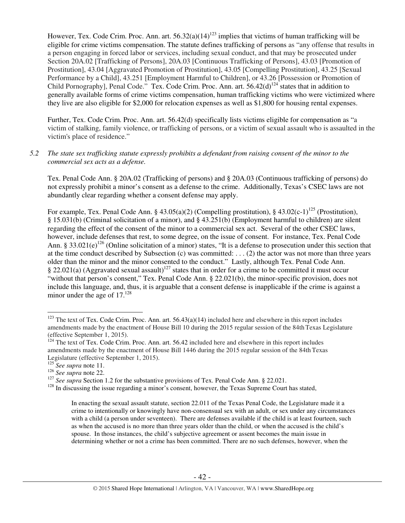However, Tex. Code Crim. Proc. Ann. art.  $56.32(a)(14)^{123}$  implies that victims of human trafficking will be eligible for crime victims compensation. The statute defines trafficking of persons as "any offense that results in a person engaging in forced labor or services, including sexual conduct, and that may be prosecuted under Section 20A.02 [Trafficking of Persons], 20A.03 [Continuous Trafficking of Persons], 43.03 [Promotion of Prostitution], 43.04 [Aggravated Promotion of Prostitution], 43.05 [Compelling Prostitution], 43.25 [Sexual Performance by a Child], 43.251 [Employment Harmful to Children], or 43.26 [Possession or Promotion of Child Pornography], Penal Code." Tex. Code Crim. Proc. Ann. art.  $56.42(d)^{124}$  states that in addition to generally available forms of crime victims compensation, human trafficking victims who were victimized where they live are also eligible for \$2,000 for relocation expenses as well as \$1,800 for housing rental expenses.

Further, Tex. Code Crim. Proc. Ann. art. 56.42(d) specifically lists victims eligible for compensation as "a victim of stalking, family violence, or trafficking of persons, or a victim of sexual assault who is assaulted in the victim's place of residence."

## *5.2 The state sex trafficking statute expressly prohibits a defendant from raising consent of the minor to the commercial sex acts as a defense.*

Tex. Penal Code Ann. § 20A.02 (Trafficking of persons) and § 20A.03 (Continuous trafficking of persons) do not expressly prohibit a minor's consent as a defense to the crime. Additionally, Texas's CSEC laws are not abundantly clear regarding whether a consent defense may apply.

For example, Tex. Penal Code Ann. § 43.05(a)(2) (Compelling prostitution), § 43.02(c-1)<sup>125</sup> (Prostitution), § 15.031(b) (Criminal solicitation of a minor), and § 43.251(b) (Employment harmful to children) are silent regarding the effect of the consent of the minor to a commercial sex act. Several of the other CSEC laws, however, include defenses that rest, to some degree, on the issue of consent. For instance, Tex. Penal Code Ann. § 33.021(e)<sup>126</sup> (Online solicitation of a minor) states, "It is a defense to prosecution under this section that at the time conduct described by Subsection (c) was committed: . . . (2) the actor was not more than three years older than the minor and the minor consented to the conduct." Lastly, although Tex. Penal Code Ann. § 22.021(a) (Aggravated sexual assault)<sup>127</sup> states that in order for a crime to be committed it must occur "without that person's consent," Tex. Penal Code Ann. § 22.021(b), the minor-specific provision, does not include this language, and, thus, it is arguable that a consent defense is inapplicable if the crime is against a minor under the age of  $17.^{128}$ 

<sup>&</sup>lt;sup>123</sup> The text of Tex. Code Crim. Proc. Ann. art.  $56.43(a)(14)$  included here and elsewhere in this report includes amendments made by the enactment of House Bill 10 during the 2015 regular session of the 84th Texas Legislature (effective September 1, 2015).

<sup>&</sup>lt;sup>124</sup> The text of Tex. Code Crim. Proc. Ann. art. 56.42 included here and elsewhere in this report includes amendments made by the enactment of House Bill 1446 during the 2015 regular session of the 84th Texas Legislature (effective September 1, 2015).

<sup>125</sup> *See supra* note 11.

<sup>126</sup> *See supra* note 22.

<sup>&</sup>lt;sup>127</sup> *See supra* Section 1.2 for the substantive provisions of Tex. Penal Code Ann. § 22.021.

 $128$  In discussing the issue regarding a minor's consent, however, the Texas Supreme Court has stated,

In enacting the sexual assault statute, section 22.011 of the Texas Penal Code, the Legislature made it a crime to intentionally or knowingly have non-consensual sex with an adult, or sex under any circumstances with a child (a person under seventeen). There are defenses available if the child is at least fourteen, such as when the accused is no more than three years older than the child, or when the accused is the child's spouse. In those instances, the child's subjective agreement or assent becomes the main issue in determining whether or not a crime has been committed. There are no such defenses, however, when the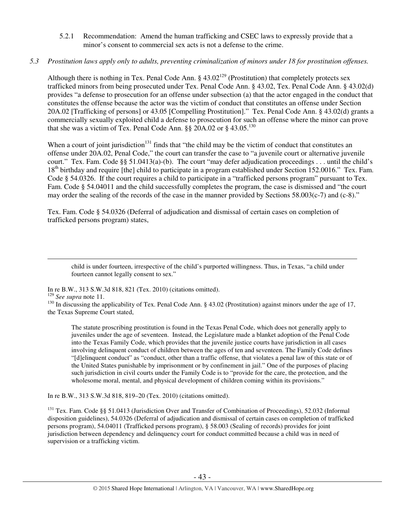### 5.2.1 Recommendation: Amend the human trafficking and CSEC laws to expressly provide that a minor's consent to commercial sex acts is not a defense to the crime.

# *5.3 Prostitution laws apply only to adults, preventing criminalization of minors under 18 for prostitution offenses.*

Although there is nothing in Tex. Penal Code Ann.  $\S 43.02^{129}$  (Prostitution) that completely protects sex trafficked minors from being prosecuted under Tex. Penal Code Ann. § 43.02, Tex. Penal Code Ann. § 43.02(d) provides "a defense to prosecution for an offense under subsection (a) that the actor engaged in the conduct that constitutes the offense because the actor was the victim of conduct that constitutes an offense under Section 20A.02 [Trafficking of persons] or 43.05 [Compelling Prostitution]." Tex. Penal Code Ann. § 43.02(d) grants a commercially sexually exploited child a defense to prosecution for such an offense where the minor can prove that she was a victim of Tex. Penal Code Ann. §§ 20A.02 or § 43.05.<sup>130</sup>

When a court of joint jurisdiction<sup>131</sup> finds that "the child may be the victim of conduct that constitutes an offense under 20A.02, Penal Code," the court can transfer the case to "a juvenile court or alternative juvenile court." Tex. Fam. Code §§ 51.0413(a)-(b). The court "may defer adjudication proceedings . . . until the child's 18<sup>th</sup> birthday and require [the] child to participate in a program established under Section 152.0016." Tex. Fam. Code § 54.0326. If the court requires a child to participate in a "trafficked persons program" pursuant to Tex. Fam. Code § 54.04011 and the child successfully completes the program, the case is dismissed and "the court may order the sealing of the records of the case in the manner provided by Sections 58.003(c-7) and (c-8)."

Tex. Fam. Code § 54.0326 (Deferral of adjudication and dismissal of certain cases on completion of trafficked persons program) states,

child is under fourteen, irrespective of the child's purported willingness. Thus, in Texas, "a child under fourteen cannot legally consent to sex."

In re B.W., 313 S.W.3d 818, 821 (Tex. 2010) (citations omitted).

 $\overline{a}$ 

<sup>130</sup> In discussing the applicability of Tex. Penal Code Ann. § 43.02 (Prostitution) against minors under the age of 17, the Texas Supreme Court stated,

The statute proscribing prostitution is found in the Texas Penal Code, which does not generally apply to juveniles under the age of seventeen. Instead, the Legislature made a blanket adoption of the Penal Code into the Texas Family Code, which provides that the juvenile justice courts have jurisdiction in all cases involving delinquent conduct of children between the ages of ten and seventeen. The Family Code defines "[d]elinquent conduct" as "conduct, other than a traffic offense, that violates a penal law of this state or of the United States punishable by imprisonment or by confinement in jail." One of the purposes of placing such jurisdiction in civil courts under the Family Code is to "provide for the care, the protection, and the wholesome moral, mental, and physical development of children coming within its provisions."

In re B.W., 313 S.W.3d 818, 819–20 (Tex. 2010) (citations omitted).

<sup>131</sup> Tex. Fam. Code §§ 51.0413 (Jurisdiction Over and Transfer of Combination of Proceedings), 52.032 (Informal disposition guidelines), 54.0326 (Deferral of adjudication and dismissal of certain cases on completion of trafficked persons program), 54.04011 (Trafficked persons program), § 58.003 (Sealing of records) provides for joint jurisdiction between dependency and delinquency court for conduct committed because a child was in need of supervision or a trafficking victim.

<sup>129</sup> *See supra* note 11.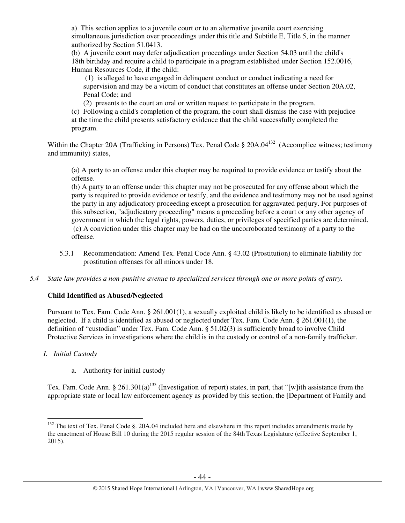a) This section applies to a juvenile court or to an alternative juvenile court exercising simultaneous jurisdiction over proceedings under this title and Subtitle E, Title 5, in the manner authorized by Section 51.0413.

(b) A juvenile court may defer adjudication proceedings under Section 54.03 until the child's 18th birthday and require a child to participate in a program established under Section 152.0016, Human Resources Code, if the child:

 (1) is alleged to have engaged in delinquent conduct or conduct indicating a need for supervision and may be a victim of conduct that constitutes an offense under Section 20A.02, Penal Code; and

(2) presents to the court an oral or written request to participate in the program.

(c) Following a child's completion of the program, the court shall dismiss the case with prejudice at the time the child presents satisfactory evidence that the child successfully completed the program.

Within the Chapter 20A (Trafficking in Persons) Tex. Penal Code § 20A.04<sup>132</sup> (Accomplice witness; testimony and immunity) states,

(a) A party to an offense under this chapter may be required to provide evidence or testify about the offense.

(b) A party to an offense under this chapter may not be prosecuted for any offense about which the party is required to provide evidence or testify, and the evidence and testimony may not be used against the party in any adjudicatory proceeding except a prosecution for aggravated perjury. For purposes of this subsection, "adjudicatory proceeding" means a proceeding before a court or any other agency of government in which the legal rights, powers, duties, or privileges of specified parties are determined. (c) A conviction under this chapter may be had on the uncorroborated testimony of a party to the offense.

- 5.3.1 Recommendation: Amend Tex. Penal Code Ann. § 43.02 (Prostitution) to eliminate liability for prostitution offenses for all minors under 18.
- *5.4 State law provides a non-punitive avenue to specialized services through one or more points of entry.*

### **Child Identified as Abused/Neglected**

Pursuant to Tex. Fam. Code Ann. § 261.001(1), a sexually exploited child is likely to be identified as abused or neglected. If a child is identified as abused or neglected under Tex. Fam. Code Ann. § 261.001(1), the definition of "custodian" under Tex. Fam. Code Ann. § 51.02(3) is sufficiently broad to involve Child Protective Services in investigations where the child is in the custody or control of a non-family trafficker.

### *I. Initial Custody*

 $\overline{a}$ 

a. Authority for initial custody

Tex. Fam. Code Ann. § 261.301(a)<sup>133</sup> (Investigation of report) states, in part, that "[w]ith assistance from the appropriate state or local law enforcement agency as provided by this section, the [Department of Family and

 $132$  The text of Tex. Penal Code §. 20A.04 included here and elsewhere in this report includes amendments made by the enactment of House Bill 10 during the 2015 regular session of the 84th Texas Legislature (effective September 1, 2015).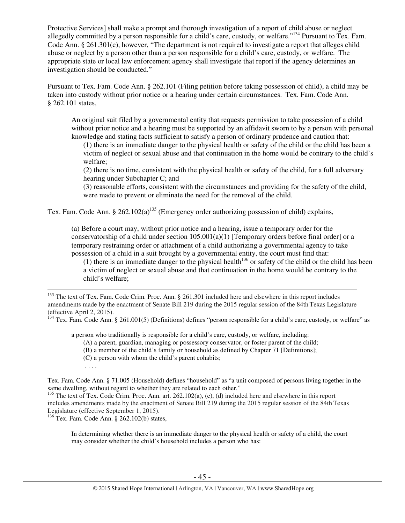Protective Services] shall make a prompt and thorough investigation of a report of child abuse or neglect allegedly committed by a person responsible for a child's care, custody, or welfare."<sup>134</sup> Pursuant to Tex. Fam. Code Ann. § 261.301(c), however, "The department is not required to investigate a report that alleges child abuse or neglect by a person other than a person responsible for a child's care, custody, or welfare. The appropriate state or local law enforcement agency shall investigate that report if the agency determines an investigation should be conducted."

Pursuant to Tex. Fam. Code Ann. § 262.101 (Filing petition before taking possession of child), a child may be taken into custody without prior notice or a hearing under certain circumstances. Tex. Fam. Code Ann. § 262.101 states,

An original suit filed by a governmental entity that requests permission to take possession of a child without prior notice and a hearing must be supported by an affidavit sworn to by a person with personal knowledge and stating facts sufficient to satisfy a person of ordinary prudence and caution that:

(1) there is an immediate danger to the physical health or safety of the child or the child has been a victim of neglect or sexual abuse and that continuation in the home would be contrary to the child's welfare;

(2) there is no time, consistent with the physical health or safety of the child, for a full adversary hearing under Subchapter C; and

(3) reasonable efforts, consistent with the circumstances and providing for the safety of the child, were made to prevent or eliminate the need for the removal of the child.

Tex. Fam. Code Ann. § 262.102(a)<sup>135</sup> (Emergency order authorizing possession of child) explains,

(a) Before a court may, without prior notice and a hearing, issue a temporary order for the conservatorship of a child under section  $105.001(a)(1)$  [Temporary orders before final order] or a temporary restraining order or attachment of a child authorizing a governmental agency to take possession of a child in a suit brought by a governmental entity, the court must find that:

(1) there is an immediate danger to the physical health<sup>136</sup> or safety of the child or the child has been a victim of neglect or sexual abuse and that continuation in the home would be contrary to the child's welfare;

a person who traditionally is responsible for a child's care, custody, or welfare, including:

(A) a parent, guardian, managing or possessory conservator, or foster parent of the child;

(B) a member of the child's family or household as defined by Chapter 71 [Definitions];

(C) a person with whom the child's parent cohabits;

. . . .

Tex. Fam. Code Ann. § 71.005 (Household) defines "household" as "a unit composed of persons living together in the same dwelling, without regard to whether they are related to each other."

 $135$  The text of Tex. Code Crim. Proc. Ann. art. 262.102(a), (c), (d) included here and elsewhere in this report includes amendments made by the enactment of Senate Bill 219 during the 2015 regular session of the 84th Texas Legislature (effective September 1, 2015).

 $^{136}$  Tex. Fam. Code Ann. § 262.102(b) states,

In determining whether there is an immediate danger to the physical health or safety of a child, the court may consider whether the child's household includes a person who has:

 $\overline{a}$ <sup>133</sup> The text of Tex. Fam. Code Crim. Proc. Ann. § 261.301 included here and elsewhere in this report includes amendments made by the enactment of Senate Bill 219 during the 2015 regular session of the 84th Texas Legislature (effective April 2, 2015).

<sup>&</sup>lt;sup>134</sup> Tex. Fam. Code Ann. § 261.001(5) (Definitions) defines "person responsible for a child's care, custody, or welfare" as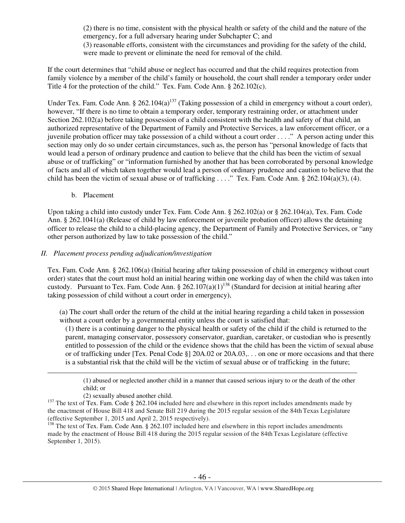(2) there is no time, consistent with the physical health or safety of the child and the nature of the emergency, for a full adversary hearing under Subchapter C; and (3) reasonable efforts, consistent with the circumstances and providing for the safety of the child, were made to prevent or eliminate the need for removal of the child.

If the court determines that "child abuse or neglect has occurred and that the child requires protection from family violence by a member of the child's family or household, the court shall render a temporary order under Title 4 for the protection of the child." Tex. Fam. Code Ann. § 262.102(c).

Under Tex. Fam. Code Ann. § 262.104(a)<sup>137</sup> (Taking possession of a child in emergency without a court order), however, "If there is no time to obtain a temporary order, temporary restraining order, or attachment under Section 262.102(a) before taking possession of a child consistent with the health and safety of that child, an authorized representative of the Department of Family and Protective Services, a law enforcement officer, or a juvenile probation officer may take possession of a child without a court order . . . ." A person acting under this section may only do so under certain circumstances, such as, the person has "personal knowledge of facts that would lead a person of ordinary prudence and caution to believe that the child has been the victim of sexual abuse or of trafficking" or "information furnished by another that has been corroborated by personal knowledge of facts and all of which taken together would lead a person of ordinary prudence and caution to believe that the child has been the victim of sexual abuse or of trafficking . . . ." Tex. Fam. Code Ann. § 262.104(a)(3), (4).

b. Placement

 $\overline{a}$ 

Upon taking a child into custody under Tex. Fam. Code Ann. § 262.102(a) or § 262.104(a), Tex. Fam. Code Ann. § 262.1041(a) (Release of child by law enforcement or juvenile probation officer) allows the detaining officer to release the child to a child-placing agency, the Department of Family and Protective Services, or "any other person authorized by law to take possession of the child."

## *II. Placement process pending adjudication/investigation*

Tex. Fam. Code Ann. § 262.106(a) (Initial hearing after taking possession of child in emergency without court order) states that the court must hold an initial hearing within one working day of when the child was taken into custody. Pursuant to Tex. Fam. Code Ann. § 262.107(a)(1)<sup>138</sup> (Standard for decision at initial hearing after taking possession of child without a court order in emergency),

(a) The court shall order the return of the child at the initial hearing regarding a child taken in possession without a court order by a governmental entity unless the court is satisfied that:

(1) there is a continuing danger to the physical health or safety of the child if the child is returned to the parent, managing conservator, possessory conservator, guardian, caretaker, or custodian who is presently entitled to possession of the child or the evidence shows that the child has been the victim of sexual abuse or of trafficking under [Tex. Penal Code §] 20A.02 or 20A.03,. . . on one or more occasions and that there is a substantial risk that the child will be the victim of sexual abuse or of trafficking in the future;

(1) abused or neglected another child in a manner that caused serious injury to or the death of the other child; or

(2) sexually abused another child.

 $137$  The text of Tex. Fam. Code § 262.104 included here and elsewhere in this report includes amendments made by the enactment of House Bill 418 and Senate Bill 219 during the 2015 regular session of the 84th Texas Legislature (effective September 1, 2015 and April 2, 2015 respectively).

<sup>138</sup> The text of Tex. Fam. Code Ann. § 262.107 included here and elsewhere in this report includes amendments made by the enactment of House Bill 418 during the 2015 regular session of the 84th Texas Legislature (effective September 1, 2015).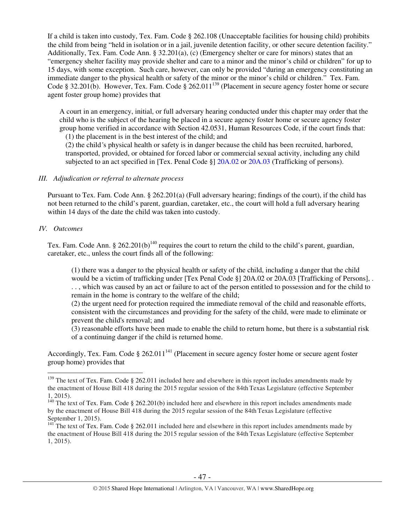If a child is taken into custody, Tex. Fam. Code § 262.108 (Unacceptable facilities for housing child) prohibits the child from being "held in isolation or in a jail, juvenile detention facility, or other secure detention facility." Additionally, Tex. Fam. Code Ann. § 32.201(a), (c) (Emergency shelter or care for minors) states that an "emergency shelter facility may provide shelter and care to a minor and the minor's child or children" for up to 15 days, with some exception. Such care, however, can only be provided "during an emergency constituting an immediate danger to the physical health or safety of the minor or the minor's child or children." Tex. Fam. Code § 32.201(b). However, Tex. Fam. Code § 262.011<sup>139</sup> (Placement in secure agency foster home or secure agent foster group home) provides that

A court in an emergency, initial, or full adversary hearing conducted under this chapter may order that the child who is the subject of the hearing be placed in a secure agency foster home or secure agency foster group home verified in accordance with Section 42.0531, Human Resources Code, if the court finds that: (1) the placement is in the best interest of the child; and

(2) the child*'*s physical health or safety is in danger because the child has been recruited, harbored, transported, provided, or obtained for forced labor or commercial sexual activity, including any child subjected to an act specified in [Tex. Penal Code §] 20A.02 or 20A.03 (Trafficking of persons).

## *III. Adjudication or referral to alternate process*

Pursuant to Tex. Fam. Code Ann. § 262.201(a) (Full adversary hearing; findings of the court), if the child has not been returned to the child's parent, guardian, caretaker, etc., the court will hold a full adversary hearing within 14 days of the date the child was taken into custody.

### *IV. Outcomes*

Tex. Fam. Code Ann. § 262.201(b)<sup>140</sup> requires the court to return the child to the child's parent, guardian, caretaker, etc., unless the court finds all of the following:

(1) there was a danger to the physical health or safety of the child, including a danger that the child would be a victim of trafficking under [Tex Penal Code §] 20A.02 or 20A.03 [Trafficking of Persons], . . . , which was caused by an act or failure to act of the person entitled to possession and for the child to remain in the home is contrary to the welfare of the child;

(2) the urgent need for protection required the immediate removal of the child and reasonable efforts, consistent with the circumstances and providing for the safety of the child, were made to eliminate or prevent the child's removal; and

(3) reasonable efforts have been made to enable the child to return home, but there is a substantial risk of a continuing danger if the child is returned home.

Accordingly, Tex. Fam. Code  $\S 262.011^{141}$  (Placement in secure agency foster home or secure agent foster group home) provides that

 $\overline{a}$ <sup>139</sup> The text of Tex. Fam. Code § 262.011 included here and elsewhere in this report includes amendments made by the enactment of House Bill 418 during the 2015 regular session of the 84th Texas Legislature (effective September 1, 2015).

 $140$  The text of Tex. Fam. Code § 262.201(b) included here and elsewhere in this report includes amendments made by the enactment of House Bill 418 during the 2015 regular session of the 84th Texas Legislature (effective September 1, 2015).

 $141$ <sup>T</sup> The text of Tex. Fam. Code § 262.011 included here and elsewhere in this report includes amendments made by the enactment of House Bill 418 during the 2015 regular session of the 84th Texas Legislature (effective September 1, 2015).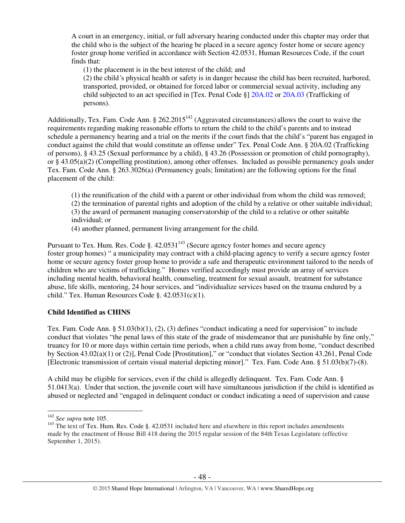A court in an emergency, initial, or full adversary hearing conducted under this chapter may order that the child who is the subject of the hearing be placed in a secure agency foster home or secure agency foster group home verified in accordance with Section 42.0531, Human Resources Code, if the court finds that:

(1) the placement is in the best interest of the child; and

(2) the child*'*s physical health or safety is in danger because the child has been recruited, harbored, transported, provided, or obtained for forced labor or commercial sexual activity, including any child subjected to an act specified in [Tex. Penal Code §] 20A.02 or 20A.03 (Trafficking of persons).

Additionally, Tex. Fam. Code Ann.  $\S 262.2015^{142}$  (Aggravated circumstances) allows the court to waive the requirements regarding making reasonable efforts to return the child to the child's parents and to instead schedule a permanency hearing and a trial on the merits if the court finds that the child's "parent has engaged in conduct against the child that would constitute an offense under" Tex. Penal Code Ann. § 20A.02 (Trafficking of persons), § 43.25 (Sexual performance by a child), § 43.26 (Possession or promotion of child pornography), or § 43.05(a)(2) (Compelling prostitution), among other offenses. Included as possible permanency goals under Tex. Fam. Code Ann. § 263.3026(a) (Permanency goals; limitation) are the following options for the final placement of the child:

(1) the reunification of the child with a parent or other individual from whom the child was removed;

(2) the termination of parental rights and adoption of the child by a relative or other suitable individual; (3) the award of permanent managing conservatorship of the child to a relative or other suitable individual; or

(4) another planned, permanent living arrangement for the child.

Pursuant to Tex. Hum. Res. Code §.  $42.0531^{143}$  (Secure agency foster homes and secure agency foster group homes) " a municipality may contract with a child-placing agency to verify a secure agency foster home or secure agency foster group home to provide a safe and therapeutic environment tailored to the needs of children who are victims of trafficking." Homes verified accordingly must provide an array of services including mental health, behavioral health, counseling, treatment for sexual assault, treatment for substance abuse, life skills, mentoring, 24 hour services, and "individualize services based on the trauma endured by a child." Tex. Human Resources Code §. 42.0531(c)(1).

## **Child Identified as CHINS**

Tex. Fam. Code Ann. § 51.03(b)(1), (2), (3) defines "conduct indicating a need for supervision" to include conduct that violates "the penal laws of this state of the grade of misdemeanor that are punishable by fine only," truancy for 10 or more days within certain time periods, when a child runs away from home, "conduct described by Section 43.02(a)(1) or (2)], Penal Code [Prostitution]," or "conduct that violates Section 43.261, Penal Code [Electronic transmission of certain visual material depicting minor]." Tex. Fam. Code Ann. § 51.03(b)(7)-(8).

A child may be eligible for services, even if the child is allegedly delinquent. Tex. Fam. Code Ann. § 51.0413(a). Under that section, the juvenile court will have simultaneous jurisdiction if the child is identified as abused or neglected and "engaged in delinquent conduct or conduct indicating a need of supervision and cause

<sup>142</sup> *See supra* note 105.

<sup>&</sup>lt;sup>143</sup> The text of Tex. Hum. Res. Code §. 42.0531 included here and elsewhere in this report includes amendments made by the enactment of House Bill 418 during the 2015 regular session of the 84th Texas Legislature (effective September 1, 2015).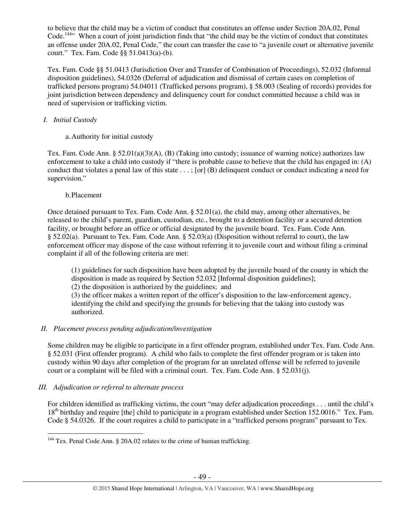to believe that the child may be a victim of conduct that constitutes an offense under Section 20A.02, Penal Code.<sup>144</sup><sup>,</sup> When a court of joint jurisdiction finds that "the child may be the victim of conduct that constitutes an offense under 20A.02, Penal Code," the court can transfer the case to "a juvenile court or alternative juvenile court." Tex. Fam. Code §§ 51.0413(a)-(b).

Tex. Fam. Code §§ 51.0413 (Jurisdiction Over and Transfer of Combination of Proceedings), 52.032 (Informal disposition guidelines), 54.0326 (Deferral of adjudication and dismissal of certain cases on completion of trafficked persons program) 54.04011 (Trafficked persons program), § 58.003 (Sealing of records) provides for joint jurisdiction between dependency and delinquency court for conduct committed because a child was in need of supervision or trafficking victim.

# *I. Initial Custody*

a.Authority for initial custody

Tex. Fam. Code Ann. § 52.01(a)(3)(A), (B) (Taking into custody; issuance of warning notice) authorizes law enforcement to take a child into custody if "there is probable cause to believe that the child has engaged in: (A) conduct that violates a penal law of this state . . . ; [or] (B) delinquent conduct or conduct indicating a need for supervision."

# b.Placement

Once detained pursuant to Tex. Fam. Code Ann.  $\S 52.01(a)$ , the child may, among other alternatives, be released to the child's parent, guardian, custodian, etc., brought to a detention facility or a secured detention facility, or brought before an office or official designated by the juvenile board. Tex. Fam. Code Ann. § 52.02(a). Pursuant to Tex. Fam. Code Ann. § 52.03(a) (Disposition without referral to court), the law enforcement officer may dispose of the case without referring it to juvenile court and without filing a criminal complaint if all of the following criteria are met:

(1) guidelines for such disposition have been adopted by the juvenile board of the county in which the disposition is made as required by Section 52.032 [Informal disposition guidelines];

(2) the disposition is authorized by the guidelines; and

(3) the officer makes a written report of the officer's disposition to the law-enforcement agency, identifying the child and specifying the grounds for believing that the taking into custody was authorized.

# *II. Placement process pending adjudication/investigation*

Some children may be eligible to participate in a first offender program, established under Tex. Fam. Code Ann. § 52.031 (First offender program). A child who fails to complete the first offender program or is taken into custody within 90 days after completion of the program for an unrelated offense will be referred to juvenile court or a complaint will be filed with a criminal court. Tex. Fam. Code Ann. § 52.031(j).

# *III. Adjudication or referral to alternate process*

For children identified as trafficking victims, the court "may defer adjudication proceedings . . . until the child's 18<sup>th</sup> birthday and require [the] child to participate in a program established under Section 152.0016." Tex. Fam. Code § 54.0326. If the court requires a child to participate in a "trafficked persons program" pursuant to Tex.

 $\overline{a}$ <sup>144</sup> Tex. Penal Code Ann. § 20A.02 relates to the crime of human trafficking.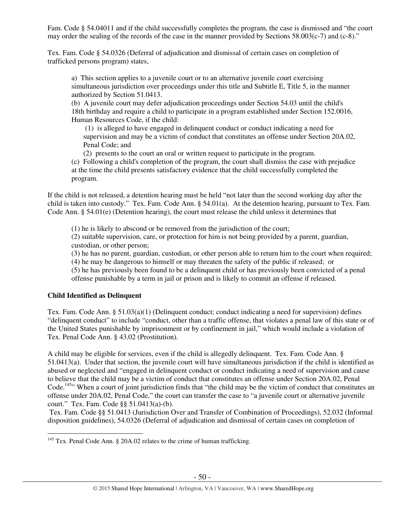Fam. Code § 54.04011 and if the child successfully completes the program, the case is dismissed and "the court may order the sealing of the records of the case in the manner provided by Sections 58.003(c-7) and (c-8)."

Tex. Fam. Code § 54.0326 (Deferral of adjudication and dismissal of certain cases on completion of trafficked persons program) states,

a) This section applies to a juvenile court or to an alternative juvenile court exercising simultaneous jurisdiction over proceedings under this title and Subtitle E, Title 5, in the manner authorized by Section 51.0413.

(b) A juvenile court may defer adjudication proceedings under Section 54.03 until the child's 18th birthday and require a child to participate in a program established under Section 152.0016, Human Resources Code, if the child:

 (1) is alleged to have engaged in delinquent conduct or conduct indicating a need for supervision and may be a victim of conduct that constitutes an offense under Section 20A.02, Penal Code; and

(2) presents to the court an oral or written request to participate in the program. (c) Following a child's completion of the program, the court shall dismiss the case with prejudice at the time the child presents satisfactory evidence that the child successfully completed the

program.

If the child is not released, a detention hearing must be held "not later than the second working day after the child is taken into custody." Tex. Fam. Code Ann. § 54.01(a). At the detention hearing, pursuant to Tex. Fam. Code Ann. § 54.01(e) (Detention hearing), the court must release the child unless it determines that

(1) he is likely to abscond or be removed from the jurisdiction of the court;

(2) suitable supervision, care, or protection for him is not being provided by a parent, guardian, custodian, or other person;

(3) he has no parent, guardian, custodian, or other person able to return him to the court when required;

(4) he may be dangerous to himself or may threaten the safety of the public if released; or

(5) he has previously been found to be a delinquent child or has previously been convicted of a penal offense punishable by a term in jail or prison and is likely to commit an offense if released.

### **Child Identified as Delinquent**

Tex. Fam. Code Ann. § 51.03(a)(1) (Delinquent conduct; conduct indicating a need for supervision) defines "delinquent conduct" to include "conduct, other than a traffic offense, that violates a penal law of this state or of the United States punishable by imprisonment or by confinement in jail," which would include a violation of Tex. Penal Code Ann. § 43.02 (Prostitution).

A child may be eligible for services, even if the child is allegedly delinquent. Tex. Fam. Code Ann. § 51.0413(a). Under that section, the juvenile court will have simultaneous jurisdiction if the child is identified as abused or neglected and "engaged in delinquent conduct or conduct indicating a need of supervision and cause to believe that the child may be a victim of conduct that constitutes an offense under Section 20A.02, Penal Code.<sup>145</sup><sup>\*</sup> When a court of joint jurisdiction finds that "the child may be the victim of conduct that constitutes an offense under 20A.02, Penal Code," the court can transfer the case to "a juvenile court or alternative juvenile court." Tex. Fam. Code §§ 51.0413(a)-(b).

 Tex. Fam. Code §§ 51.0413 (Jurisdiction Over and Transfer of Combination of Proceedings), 52.032 (Informal disposition guidelines), 54.0326 (Deferral of adjudication and dismissal of certain cases on completion of

 $\overline{a}$ <sup>145</sup> Tex. Penal Code Ann. § 20A.02 relates to the crime of human trafficking.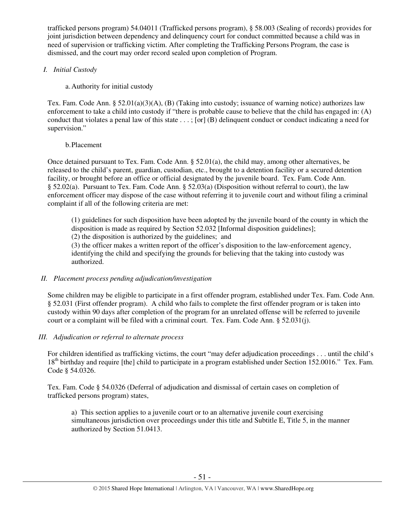trafficked persons program) 54.04011 (Trafficked persons program), § 58.003 (Sealing of records) provides for joint jurisdiction between dependency and delinquency court for conduct committed because a child was in need of supervision or trafficking victim. After completing the Trafficking Persons Program, the case is dismissed, and the court may order record sealed upon completion of Program.

# *I. Initial Custody*

# a.Authority for initial custody

Tex. Fam. Code Ann. § 52.01(a)(3)(A), (B) (Taking into custody; issuance of warning notice) authorizes law enforcement to take a child into custody if "there is probable cause to believe that the child has engaged in: (A) conduct that violates a penal law of this state . . . ; [or] (B) delinquent conduct or conduct indicating a need for supervision."

# b.Placement

Once detained pursuant to Tex. Fam. Code Ann.  $\S$  52.01(a), the child may, among other alternatives, be released to the child's parent, guardian, custodian, etc., brought to a detention facility or a secured detention facility, or brought before an office or official designated by the juvenile board. Tex. Fam. Code Ann. § 52.02(a). Pursuant to Tex. Fam. Code Ann. § 52.03(a) (Disposition without referral to court), the law enforcement officer may dispose of the case without referring it to juvenile court and without filing a criminal complaint if all of the following criteria are met:

(1) guidelines for such disposition have been adopted by the juvenile board of the county in which the disposition is made as required by Section 52.032 [Informal disposition guidelines];

(2) the disposition is authorized by the guidelines; and

(3) the officer makes a written report of the officer's disposition to the law-enforcement agency, identifying the child and specifying the grounds for believing that the taking into custody was authorized.

# *II. Placement process pending adjudication/investigation*

Some children may be eligible to participate in a first offender program, established under Tex. Fam. Code Ann. § 52.031 (First offender program). A child who fails to complete the first offender program or is taken into custody within 90 days after completion of the program for an unrelated offense will be referred to juvenile court or a complaint will be filed with a criminal court. Tex. Fam. Code Ann. § 52.031(j).

# *III. Adjudication or referral to alternate process*

For children identified as trafficking victims, the court "may defer adjudication proceedings . . . until the child's 18<sup>th</sup> birthday and require [the] child to participate in a program established under Section 152.0016." Tex. Fam. Code § 54.0326.

Tex. Fam. Code § 54.0326 (Deferral of adjudication and dismissal of certain cases on completion of trafficked persons program) states,

a) This section applies to a juvenile court or to an alternative juvenile court exercising simultaneous jurisdiction over proceedings under this title and Subtitle E, Title 5, in the manner authorized by Section 51.0413.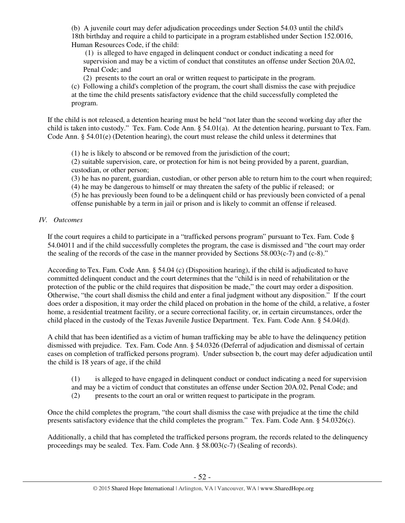(b) A juvenile court may defer adjudication proceedings under Section 54.03 until the child's 18th birthday and require a child to participate in a program established under Section 152.0016, Human Resources Code, if the child:

 (1) is alleged to have engaged in delinquent conduct or conduct indicating a need for supervision and may be a victim of conduct that constitutes an offense under Section 20A.02, Penal Code; and

(2) presents to the court an oral or written request to participate in the program.

(c) Following a child's completion of the program, the court shall dismiss the case with prejudice at the time the child presents satisfactory evidence that the child successfully completed the program.

If the child is not released, a detention hearing must be held "not later than the second working day after the child is taken into custody." Tex. Fam. Code Ann. § 54.01(a). At the detention hearing, pursuant to Tex. Fam. Code Ann.  $\S$  54.01(e) (Detention hearing), the court must release the child unless it determines that

(1) he is likely to abscond or be removed from the jurisdiction of the court;

(2) suitable supervision, care, or protection for him is not being provided by a parent, guardian, custodian, or other person;

(3) he has no parent, guardian, custodian, or other person able to return him to the court when required;

(4) he may be dangerous to himself or may threaten the safety of the public if released; or

(5) he has previously been found to be a delinquent child or has previously been convicted of a penal offense punishable by a term in jail or prison and is likely to commit an offense if released.

# *IV. Outcomes*

If the court requires a child to participate in a "trafficked persons program" pursuant to Tex. Fam. Code § 54.04011 and if the child successfully completes the program, the case is dismissed and "the court may order the sealing of the records of the case in the manner provided by Sections 58.003(c-7) and (c-8)."

According to Tex. Fam. Code Ann. § 54.04 (c) (Disposition hearing), if the child is adjudicated to have committed delinquent conduct and the court determines that the "child is in need of rehabilitation or the protection of the public or the child requires that disposition be made," the court may order a disposition. Otherwise, "the court shall dismiss the child and enter a final judgment without any disposition." If the court does order a disposition, it may order the child placed on probation in the home of the child, a relative, a foster home, a residential treatment facility, or a secure correctional facility, or, in certain circumstances, order the child placed in the custody of the Texas Juvenile Justice Department. Tex. Fam. Code Ann. § 54.04(d).

A child that has been identified as a victim of human trafficking may be able to have the delinquency petition dismissed with prejudice. Tex. Fam. Code Ann. § 54.0326 (Deferral of adjudication and dismissal of certain cases on completion of trafficked persons program). Under subsection b, the court may defer adjudication until the child is 18 years of age, if the child

- (1) is alleged to have engaged in delinquent conduct or conduct indicating a need for supervision and may be a victim of conduct that constitutes an offense under Section 20A.02, Penal Code; and
- (2) presents to the court an oral or written request to participate in the program.

Once the child completes the program, "the court shall dismiss the case with prejudice at the time the child presents satisfactory evidence that the child completes the program." Tex. Fam. Code Ann. § 54.0326(c).

Additionally, a child that has completed the trafficked persons program, the records related to the delinquency proceedings may be sealed. Tex. Fam. Code Ann. § 58.003(c-7) (Sealing of records).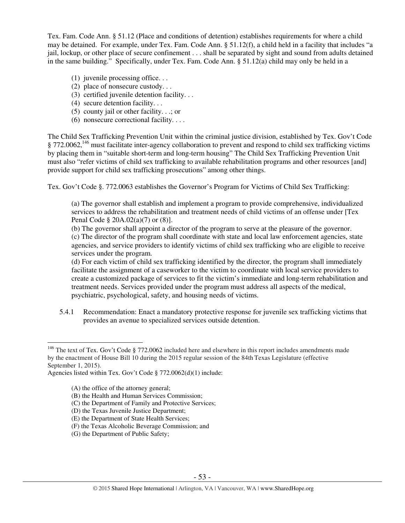Tex. Fam. Code Ann. § 51.12 (Place and conditions of detention) establishes requirements for where a child may be detained. For example, under Tex. Fam. Code Ann. § 51.12(f), a child held in a facility that includes "a jail, lockup, or other place of secure confinement . . . shall be separated by sight and sound from adults detained in the same building." Specifically, under Tex. Fam. Code Ann. § 51.12(a) child may only be held in a

- (1) juvenile processing office. . .
- (2) place of nonsecure custody. . .
- (3) certified juvenile detention facility. . .
- (4) secure detention facility. . .
- (5) county jail or other facility. . .; or
- (6) nonsecure correctional facility....

The Child Sex Trafficking Prevention Unit within the criminal justice division, established by Tex. Gov't Code § 772.0062,<sup>146</sup> must facilitate inter-agency collaboration to prevent and respond to child sex trafficking victims by placing them in "suitable short-term and long-term housing" The Child Sex Trafficking Prevention Unit must also "refer victims of child sex trafficking to available rehabilitation programs and other resources [and] provide support for child sex trafficking prosecutions" among other things.

Tex. Gov't Code §. 772.0063 establishes the Governor's Program for Victims of Child Sex Trafficking:

(a) The governor shall establish and implement a program to provide comprehensive, individualized services to address the rehabilitation and treatment needs of child victims of an offense under [Tex Penal Code § 20A.02(a)(7) or (8)].

(b) The governor shall appoint a director of the program to serve at the pleasure of the governor.

(c) The director of the program shall coordinate with state and local law enforcement agencies, state agencies, and service providers to identify victims of child sex trafficking who are eligible to receive services under the program.

(d) For each victim of child sex trafficking identified by the director, the program shall immediately facilitate the assignment of a caseworker to the victim to coordinate with local service providers to create a customized package of services to fit the victim's immediate and long-term rehabilitation and treatment needs. Services provided under the program must address all aspects of the medical, psychiatric, psychological, safety, and housing needs of victims.

5.4.1 Recommendation: Enact a mandatory protective response for juvenile sex trafficking victims that provides an avenue to specialized services outside detention.

<sup>&</sup>lt;sup>146</sup> The text of Tex. Gov't Code § 772.0062 included here and elsewhere in this report includes amendments made by the enactment of House Bill 10 during the 2015 regular session of the 84th Texas Legislature (effective September 1, 2015).

Agencies listed within Tex. Gov't Code § 772.0062(d)(1) include:

<sup>(</sup>A) the office of the attorney general;

<sup>(</sup>B) the Health and Human Services Commission;

<sup>(</sup>C) the Department of Family and Protective Services;

<sup>(</sup>D) the Texas Juvenile Justice Department;

<sup>(</sup>E) the Department of State Health Services;

<sup>(</sup>F) the Texas Alcoholic Beverage Commission; and

<sup>(</sup>G) the Department of Public Safety;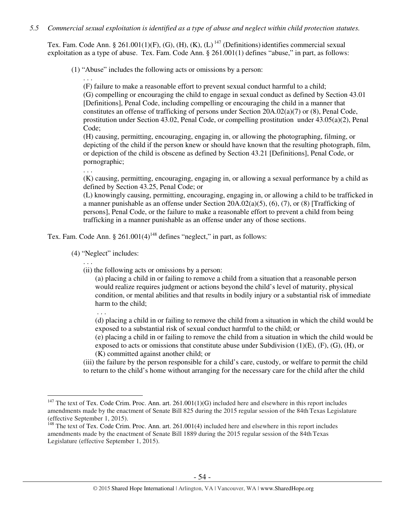## *5.5 Commercial sexual exploitation is identified as a type of abuse and neglect within child protection statutes.*

Tex. Fam. Code Ann. § 261.001(1)(F), (G), (H), (K), (L)<sup>147</sup> (Definitions) identifies commercial sexual exploitation as a type of abuse. Tex. Fam. Code Ann. § 261.001(1) defines "abuse," in part, as follows:

(1) "Abuse" includes the following acts or omissions by a person:

. . . (F) failure to make a reasonable effort to prevent sexual conduct harmful to a child; (G) compelling or encouraging the child to engage in sexual conduct as defined by Section 43.01 [Definitions], Penal Code, including compelling or encouraging the child in a manner that constitutes an offense of trafficking of persons under Section 20A.02(a)(7) or (8), Penal Code, prostitution under Section 43.02, Penal Code, or compelling prostitution under 43.05(a)(2), Penal Code;

(H) causing, permitting, encouraging, engaging in, or allowing the photographing, filming, or depicting of the child if the person knew or should have known that the resulting photograph, film, or depiction of the child is obscene as defined by Section 43.21 [Definitions], Penal Code, or pornographic;

. . .

(K) causing, permitting, encouraging, engaging in, or allowing a sexual performance by a child as defined by Section 43.25, Penal Code; or

(L) knowingly causing, permitting, encouraging, engaging in, or allowing a child to be trafficked in a manner punishable as an offense under Section 20A.02(a)(5), (6), (7), or (8) [Trafficking of persons], Penal Code, or the failure to make a reasonable effort to prevent a child from being trafficking in a manner punishable as an offense under any of those sections.

Tex. Fam. Code Ann.  $\S 261.001(4)^{148}$  defines "neglect." in part, as follows:

(4) "Neglect" includes:

. . .

. . .

 $\overline{a}$ 

(ii) the following acts or omissions by a person:

(a) placing a child in or failing to remove a child from a situation that a reasonable person would realize requires judgment or actions beyond the child's level of maturity, physical condition, or mental abilities and that results in bodily injury or a substantial risk of immediate harm to the child;

(d) placing a child in or failing to remove the child from a situation in which the child would be exposed to a substantial risk of sexual conduct harmful to the child; or

(e) placing a child in or failing to remove the child from a situation in which the child would be exposed to acts or omissions that constitute abuse under Subdivision  $(1)(E)$ ,  $(F)$ ,  $(G)$ ,  $(H)$ , or (K) committed against another child; or

(iii) the failure by the person responsible for a child's care, custody, or welfare to permit the child to return to the child's home without arranging for the necessary care for the child after the child

 $147$  The text of Tex. Code Crim. Proc. Ann. art. 261.001(1)(G) included here and elsewhere in this report includes amendments made by the enactment of Senate Bill 825 during the 2015 regular session of the 84th Texas Legislature (effective September 1, 2015).

<sup>&</sup>lt;sup>148</sup> The text of Tex. Code Crim. Proc. Ann. art. 261.001(4) included here and elsewhere in this report includes amendments made by the enactment of Senate Bill 1889 during the 2015 regular session of the 84th Texas Legislature (effective September 1, 2015).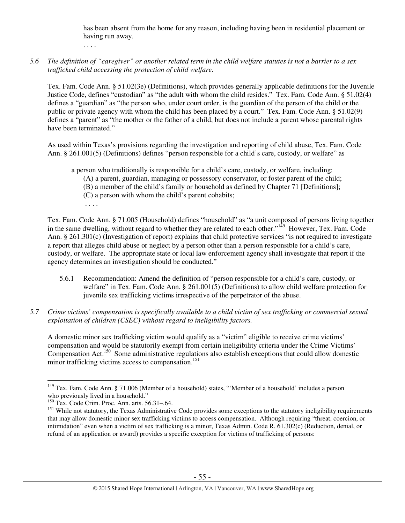has been absent from the home for any reason, including having been in residential placement or having run away.

. . . .

*5.6 The definition of "caregiver" or another related term in the child welfare statutes is not a barrier to a sex trafficked child accessing the protection of child welfare.* 

Tex. Fam. Code Ann. § 51.02(3e) (Definitions), which provides generally applicable definitions for the Juvenile Justice Code, defines "custodian" as "the adult with whom the child resides." Tex. Fam. Code Ann. § 51.02(4) defines a "guardian" as "the person who, under court order, is the guardian of the person of the child or the public or private agency with whom the child has been placed by a court." Tex. Fam. Code Ann. § 51.02(9) defines a "parent" as "the mother or the father of a child, but does not include a parent whose parental rights have been terminated."

As used within Texas's provisions regarding the investigation and reporting of child abuse, Tex. Fam. Code Ann. § 261.001(5) (Definitions) defines "person responsible for a child's care, custody, or welfare" as

a person who traditionally is responsible for a child's care, custody, or welfare, including:

- (A) a parent, guardian, managing or possessory conservator, or foster parent of the child;
- (B) a member of the child's family or household as defined by Chapter 71 [Definitions];
- (C) a person with whom the child's parent cohabits;
- . . . .

Tex. Fam. Code Ann. § 71.005 (Household) defines "household" as "a unit composed of persons living together in the same dwelling, without regard to whether they are related to each other."<sup>149</sup> However, Tex. Fam. Code Ann. § 261.301(c) (Investigation of report) explains that child protective services "is not required to investigate a report that alleges child abuse or neglect by a person other than a person responsible for a child's care, custody, or welfare. The appropriate state or local law enforcement agency shall investigate that report if the agency determines an investigation should be conducted."

- 5.6.1 Recommendation: Amend the definition of "person responsible for a child's care, custody, or welfare" in Tex. Fam. Code Ann. § 261.001(5) (Definitions) to allow child welfare protection for juvenile sex trafficking victims irrespective of the perpetrator of the abuse.
- *5.7 Crime victims' compensation is specifically available to a child victim of sex trafficking or commercial sexual exploitation of children (CSEC) without regard to ineligibility factors.*

A domestic minor sex trafficking victim would qualify as a "victim" eligible to receive crime victims' compensation and would be statutorily exempt from certain ineligibility criteria under the Crime Victims' Compensation Act.<sup>150</sup> Some administrative regulations also establish exceptions that could allow domestic minor trafficking victims access to compensation.<sup>151</sup>

 $\overline{a}$ <sup>149</sup> Tex. Fam. Code Ann. § 71.006 (Member of a household) states, "'Member of a household' includes a person who previously lived in a household."

<sup>150</sup> Tex. Code Crim. Proc. Ann. arts. 56.31–.64.

<sup>&</sup>lt;sup>151</sup> While not statutory, the Texas Administrative Code provides some exceptions to the statutory ineligibility requirements that may allow domestic minor sex trafficking victims to access compensation. Although requiring "threat, coercion, or intimidation" even when a victim of sex trafficking is a minor, Texas Admin. Code R. 61.302(c) (Reduction, denial, or refund of an application or award) provides a specific exception for victims of trafficking of persons: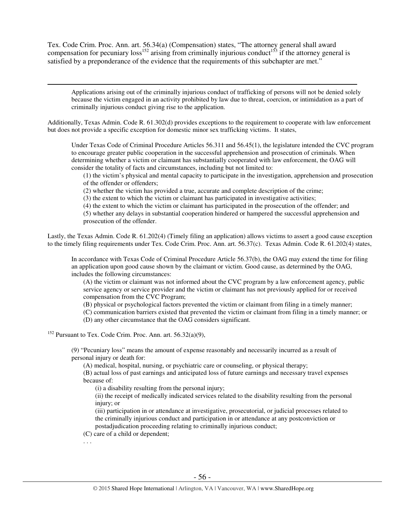Tex. Code Crim. Proc. Ann. art. 56.34(a) (Compensation) states, "The attorney general shall award compensation for pecuniary  $\cos^{152}$  arising from criminally injurious conduct<sup>153</sup> if the attorney general is satisfied by a preponderance of the evidence that the requirements of this subchapter are met."

Applications arising out of the criminally injurious conduct of trafficking of persons will not be denied solely because the victim engaged in an activity prohibited by law due to threat, coercion, or intimidation as a part of criminally injurious conduct giving rise to the application.

Additionally, Texas Admin. Code R. 61.302(d) provides exceptions to the requirement to cooperate with law enforcement but does not provide a specific exception for domestic minor sex trafficking victims. It states,

Under Texas Code of Criminal Procedure Articles 56.311 and 56.45(1), the legislature intended the CVC program to encourage greater public cooperation in the successful apprehension and prosecution of criminals. When determining whether a victim or claimant has substantially cooperated with law enforcement, the OAG will consider the totality of facts and circumstances, including but not limited to:

(1) the victim's physical and mental capacity to participate in the investigation, apprehension and prosecution of the offender or offenders;

(2) whether the victim has provided a true, accurate and complete description of the crime;

(3) the extent to which the victim or claimant has participated in investigative activities;

(4) the extent to which the victim or claimant has participated in the prosecution of the offender; and

(5) whether any delays in substantial cooperation hindered or hampered the successful apprehension and prosecution of the offender.

Lastly, the Texas Admin. Code R. 61.202(4) (Timely filing an application) allows victims to assert a good cause exception to the timely filing requirements under Tex. Code Crim. Proc. Ann. art. 56.37(c). Texas Admin. Code R. 61.202(4) states,

In accordance with Texas Code of Criminal Procedure Article 56.37(b), the OAG may extend the time for filing an application upon good cause shown by the claimant or victim. Good cause, as determined by the OAG, includes the following circumstances:

(A) the victim or claimant was not informed about the CVC program by a law enforcement agency, public service agency or service provider and the victim or claimant has not previously applied for or received compensation from the CVC Program;

(B) physical or psychological factors prevented the victim or claimant from filing in a timely manner;

(C) communication barriers existed that prevented the victim or claimant from filing in a timely manner; or (D) any other circumstance that the OAG considers significant.

 $152$  Pursuant to Tex. Code Crim. Proc. Ann. art.  $56.32(a)(9)$ ,

(9) "Pecuniary loss" means the amount of expense reasonably and necessarily incurred as a result of personal injury or death for:

(A) medical, hospital, nursing, or psychiatric care or counseling, or physical therapy;

(B) actual loss of past earnings and anticipated loss of future earnings and necessary travel expenses because of:

(i) a disability resulting from the personal injury;

(ii) the receipt of medically indicated services related to the disability resulting from the personal injury; or

(iii) participation in or attendance at investigative, prosecutorial, or judicial processes related to the criminally injurious conduct and participation in or attendance at any postconviction or postadjudication proceeding relating to criminally injurious conduct;

(C) care of a child or dependent;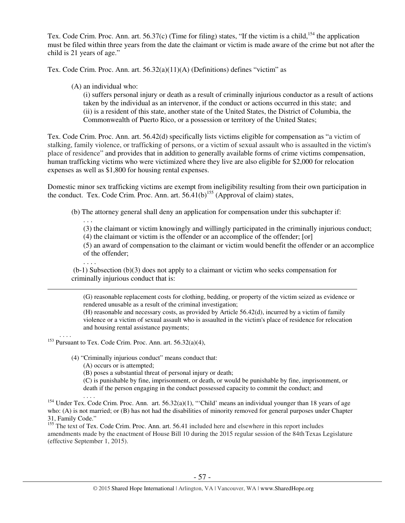Tex. Code Crim. Proc. Ann. art.  $56.37(c)$  (Time for filing) states, "If the victim is a child,<sup>154</sup> the application must be filed within three years from the date the claimant or victim is made aware of the crime but not after the child is 21 years of age."

Tex. Code Crim. Proc. Ann. art. 56.32(a)(11)(A) (Definitions) defines "victim" as

(A) an individual who:

(i) suffers personal injury or death as a result of criminally injurious conductor as a result of actions taken by the individual as an intervenor, if the conduct or actions occurred in this state; and (ii) is a resident of this state, another state of the United States, the District of Columbia, the Commonwealth of Puerto Rico, or a possession or territory of the United States;

Tex. Code Crim. Proc. Ann. art. 56.42(d) specifically lists victims eligible for compensation as "a victim of stalking, family violence, or trafficking of persons, or a victim of sexual assault who is assaulted in the victim's place of residence" and provides that in addition to generally available forms of crime victims compensation, human trafficking victims who were victimized where they live are also eligible for \$2,000 for relocation expenses as well as \$1,800 for housing rental expenses.

Domestic minor sex trafficking victims are exempt from ineligibility resulting from their own participation in the conduct. Tex. Code Crim. Proc. Ann. art.  $56.41(b)^{155}$  (Approval of claim) states,

(b) The attorney general shall deny an application for compensation under this subchapter if:

. . . (3) the claimant or victim knowingly and willingly participated in the criminally injurious conduct;

(4) the claimant or victim is the offender or an accomplice of the offender; [or]

(5) an award of compensation to the claimant or victim would benefit the offender or an accomplice of the offender;

 $(b-1)$  Subsection  $(b)(3)$  does not apply to a claimant or victim who seeks compensation for criminally injurious conduct that is:

(G) reasonable replacement costs for clothing, bedding, or property of the victim seized as evidence or rendered unusable as a result of the criminal investigation;

(H) reasonable and necessary costs, as provided by Article 56.42(d), incurred by a victim of family violence or a victim of sexual assault who is assaulted in the victim's place of residence for relocation and housing rental assistance payments;

. . . .

 $\overline{a}$ 

. . . .

<sup>153</sup> Pursuant to Tex. Code Crim. Proc. Ann. art.  $56.32(a)(4)$ ,

(4) "Criminally injurious conduct" means conduct that:

(A) occurs or is attempted;

(B) poses a substantial threat of personal injury or death;

(C) is punishable by fine, imprisonment, or death, or would be punishable by fine, imprisonment, or death if the person engaging in the conduct possessed capacity to commit the conduct; and . . . .

<sup>154</sup> Under Tex. Code Crim. Proc. Ann. art. 56.32(a)(1), "'Child' means an individual younger than 18 years of age who: (A) is not married; or (B) has not had the disabilities of minority removed for general purposes under Chapter 31, Family Code."

<sup>155</sup> The text of Tex. Code Crim. Proc. Ann. art. 56.41 included here and elsewhere in this report includes amendments made by the enactment of House Bill 10 during the 2015 regular session of the 84thTexas Legislature (effective September 1, 2015).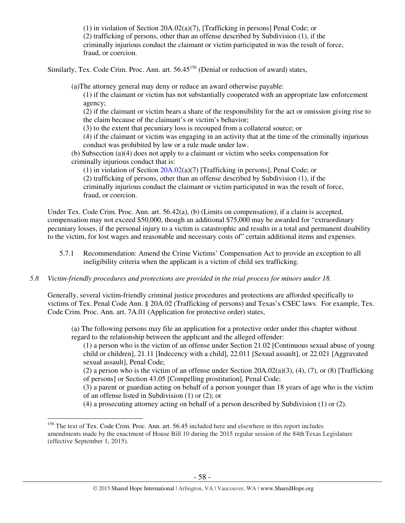(1) in violation of Section 20A.02(a)(7), [Trafficking in persons] Penal Code; or (2) trafficking of persons, other than an offense described by Subdivision (1), if the criminally injurious conduct the claimant or victim participated in was the result of force, fraud, or coercion.

Similarly, Tex. Code Crim. Proc. Ann. art.  $56.45^{156}$  (Denial or reduction of award) states,

(a)The attorney general may deny or reduce an award otherwise payable:

(1) if the claimant or victim has not substantially cooperated with an appropriate law enforcement agency;

(2) if the claimant or victim bears a share of the responsibility for the act or omission giving rise to the claim because of the claimant's or victim's behavior;

(3) to the extent that pecuniary loss is recouped from a collateral source; or

(4) if the claimant or victim was engaging in an activity that at the time of the criminally injurious conduct was prohibited by law or a rule made under law.

(b) Subsection (a)(4) does not apply to a claimant or victim who seeks compensation for criminally injurious conduct that is:

(1) in violation of Section 20A.02(a)(7) [Trafficking in persons], Penal Code; or (2) trafficking of persons, other than an offense described by Subdivision (1), if the criminally injurious conduct the claimant or victim participated in was the result of force, fraud, or coercion.

Under Tex. Code Crim. Proc. Ann. art. 56.42(a), (b) (Limits on compensation), if a claim is accepted, compensation may not exceed \$50,000, though an additional \$75,000 may be awarded for "extraordinary pecuniary losses, if the personal injury to a victim is catastrophic and results in a total and permanent disability to the victim, for lost wages and reasonable and necessary costs of" certain additional items and expenses.

5.7.1 Recommendation: Amend the Crime Victims' Compensation Act to provide an exception to all ineligibility criteria when the applicant is a victim of child sex trafficking.

### *5.8 Victim-friendly procedures and protections are provided in the trial process for minors under 18.*

Generally, several victim-friendly criminal justice procedures and protections are afforded specifically to victims of Tex. Penal Code Ann. § 20A.02 (Trafficking of persons) and Texas's CSEC laws. For example, Tex. Code Crim. Proc. Ann. art. 7A.01 (Application for protective order) states,

(a) The following persons may file an application for a protective order under this chapter without regard to the relationship between the applicant and the alleged offender:

(1) a person who is the victim of an offense under Section 21.02 [Continuous sexual abuse of young child or children], 21.11 [Indecency with a child], 22.011 [Sexual assault], or 22.021 [Aggravated sexual assault], Penal Code;

(2) a person who is the victim of an offense under Section 20A.02(a)(3), (4), (7), or (8) [Trafficking of persons] or Section 43.05 [Compelling prostitution], Penal Code;

(3) a parent or guardian acting on behalf of a person younger than 18 years of age who is the victim of an offense listed in Subdivision (1) or (2); or

(4) a prosecuting attorney acting on behalf of a person described by Subdivision (1) or (2).

<sup>&</sup>lt;sup>156</sup> The text of Tex. Code Crim. Proc. Ann. art. 56.45 included here and elsewhere in this report includes amendments made by the enactment of House Bill 10 during the 2015 regular session of the 84thTexas Legislature (effective September 1, 2015).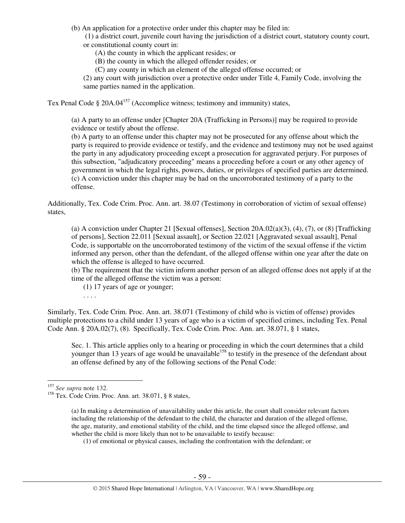(b) An application for a protective order under this chapter may be filed in:

 (1) a district court, juvenile court having the jurisdiction of a district court, statutory county court, or constitutional county court in:

(A) the county in which the applicant resides; or

(B) the county in which the alleged offender resides; or

(C) any county in which an element of the alleged offense occurred; or

(2) any court with jurisdiction over a protective order under Title 4, Family Code, involving the same parties named in the application.

Tex Penal Code  $\S 20A.04^{157}$  (Accomplice witness; testimony and immunity) states.

(a) A party to an offense under [Chapter 20A (Trafficking in Persons)] may be required to provide evidence or testify about the offense.

(b) A party to an offense under this chapter may not be prosecuted for any offense about which the party is required to provide evidence or testify, and the evidence and testimony may not be used against the party in any adjudicatory proceeding except a prosecution for aggravated perjury. For purposes of this subsection, "adjudicatory proceeding" means a proceeding before a court or any other agency of government in which the legal rights, powers, duties, or privileges of specified parties are determined. (c) A conviction under this chapter may be had on the uncorroborated testimony of a party to the offense.

Additionally, Tex. Code Crim. Proc. Ann. art. 38.07 (Testimony in corroboration of victim of sexual offense) states,

(a) A conviction under Chapter 21 [Sexual offenses], Section 20A.02(a)(3), (4), (7), or (8) [Trafficking of persons], Section 22.011 [Sexual assault], or Section 22.021 [Aggravated sexual assault], Penal Code, is supportable on the uncorroborated testimony of the victim of the sexual offense if the victim informed any person, other than the defendant, of the alleged offense within one year after the date on which the offense is alleged to have occurred.

(b) The requirement that the victim inform another person of an alleged offense does not apply if at the time of the alleged offense the victim was a person:

(1) 17 years of age or younger; . . . .

Similarly, Tex. Code Crim. Proc. Ann. art. 38.071 (Testimony of child who is victim of offense) provides multiple protections to a child under 13 years of age who is a victim of specified crimes, including Tex. Penal Code Ann. § 20A.02(7), (8). Specifically, Tex. Code Crim. Proc. Ann. art. 38.071, § 1 states,

Sec. 1. This article applies only to a hearing or proceeding in which the court determines that a child younger than 13 years of age would be unavailable<sup>158</sup> to testify in the presence of the defendant about an offense defined by any of the following sections of the Penal Code:

<sup>157</sup> *See supra* note 132.

<sup>158</sup> Tex. Code Crim. Proc. Ann. art. 38.071, § 8 states,

<sup>(</sup>a) In making a determination of unavailability under this article, the court shall consider relevant factors including the relationship of the defendant to the child, the character and duration of the alleged offense, the age, maturity, and emotional stability of the child, and the time elapsed since the alleged offense, and whether the child is more likely than not to be unavailable to testify because:

<sup>(1)</sup> of emotional or physical causes, including the confrontation with the defendant; or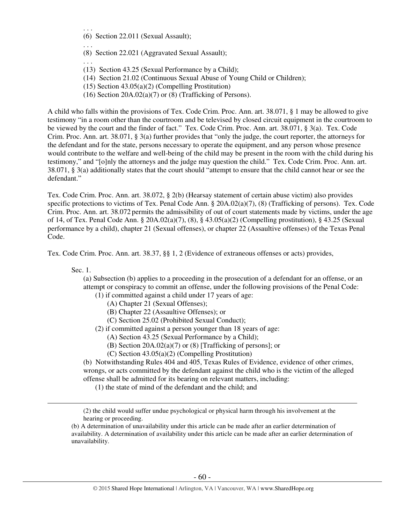(6) Section 22.011 (Sexual Assault);

. . .

. . .

(8) Section 22.021 (Aggravated Sexual Assault);

- . . .
- (13) Section 43.25 (Sexual Performance by a Child);
- (14) Section 21.02 (Continuous Sexual Abuse of Young Child or Children);
- (15) Section 43.05(a)(2) (Compelling Prostitution)
- (16) Section 20A.02(a)(7) or (8) (Trafficking of Persons).

A child who falls within the provisions of Tex. Code Crim. Proc. Ann. art. 38.071, § 1 may be allowed to give testimony "in a room other than the courtroom and be televised by closed circuit equipment in the courtroom to be viewed by the court and the finder of fact." Tex. Code Crim. Proc. Ann. art. 38.071, § 3(a). Tex. Code Crim. Proc. Ann. art. 38.071, § 3(a) further provides that "only the judge, the court reporter, the attorneys for the defendant and for the state, persons necessary to operate the equipment, and any person whose presence would contribute to the welfare and well-being of the child may be present in the room with the child during his testimony," and "[o]nly the attorneys and the judge may question the child." Tex. Code Crim. Proc. Ann. art. 38.071, § 3(a) additionally states that the court should "attempt to ensure that the child cannot hear or see the defendant."

Tex. Code Crim. Proc. Ann. art. 38.072, § 2(b) (Hearsay statement of certain abuse victim) also provides specific protections to victims of Tex. Penal Code Ann. § 20A.02(a)(7), (8) (Trafficking of persons). Tex. Code Crim. Proc. Ann. art. 38.072 permits the admissibility of out of court statements made by victims, under the age of 14, of Tex. Penal Code Ann. § 20A.02(a)(7), (8), § 43.05(a)(2) (Compelling prostitution), § 43.25 (Sexual performance by a child), chapter 21 (Sexual offenses), or chapter 22 (Assaultive offenses) of the Texas Penal Code.

Tex. Code Crim. Proc. Ann. art. 38.37, §§ 1, 2 (Evidence of extraneous offenses or acts) provides,

Sec. 1.

 $\overline{a}$ 

(a) Subsection (b) applies to a proceeding in the prosecution of a defendant for an offense, or an attempt or conspiracy to commit an offense, under the following provisions of the Penal Code:

- (1) if committed against a child under 17 years of age:
	- (A) Chapter 21 (Sexual Offenses);
	- (B) Chapter 22 (Assaultive Offenses); or
	- (C) Section 25.02 (Prohibited Sexual Conduct);
- (2) if committed against a person younger than 18 years of age:
	- (A) Section 43.25 (Sexual Performance by a Child);
	- (B) Section 20A.02(a)(7) or (8) [Trafficking of persons]; or
	- (C) Section 43.05(a)(2) (Compelling Prostitution)

(b) Notwithstanding Rules 404 and 405, Texas Rules of Evidence, evidence of other crimes, wrongs, or acts committed by the defendant against the child who is the victim of the alleged offense shall be admitted for its bearing on relevant matters, including:

(1) the state of mind of the defendant and the child; and

(2) the child would suffer undue psychological or physical harm through his involvement at the hearing or proceeding.

(b) A determination of unavailability under this article can be made after an earlier determination of availability. A determination of availability under this article can be made after an earlier determination of unavailability.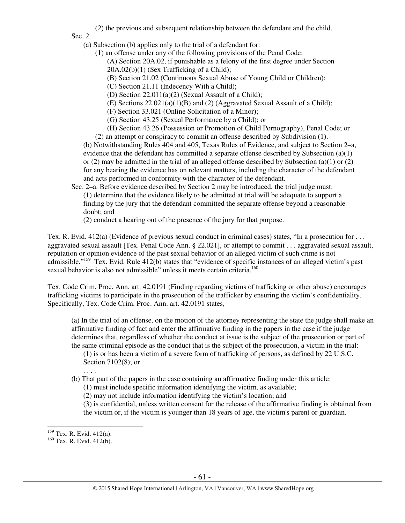(2) the previous and subsequent relationship between the defendant and the child.

Sec. 2.

- (a) Subsection (b) applies only to the trial of a defendant for:
	- (1) an offense under any of the following provisions of the Penal Code:
		- (A) Section 20A.02, if punishable as a felony of the first degree under Section 20A.02(b)(1) (Sex Trafficking of a Child);
		- (B) Section 21.02 (Continuous Sexual Abuse of Young Child or Children);
		- (C) Section 21.11 (Indecency With a Child);
		- (D) Section 22.011(a)(2) (Sexual Assault of a Child);
		- (E) Sections 22.021(a)(1)(B) and (2) (Aggravated Sexual Assault of a Child);
		- (F) Section 33.021 (Online Solicitation of a Minor);
		- (G) Section 43.25 (Sexual Performance by a Child); or
		- (H) Section 43.26 (Possession or Promotion of Child Pornography), Penal Code; or
	- (2) an attempt or conspiracy to commit an offense described by Subdivision (1).

(b) Notwithstanding Rules 404 and 405, Texas Rules of Evidence, and subject to Section 2–a, evidence that the defendant has committed a separate offense described by Subsection  $(a)(1)$ or (2) may be admitted in the trial of an alleged offense described by Subsection (a)(1) or (2) for any bearing the evidence has on relevant matters, including the character of the defendant and acts performed in conformity with the character of the defendant.

- Sec. 2–a. Before evidence described by Section 2 may be introduced, the trial judge must: (1) determine that the evidence likely to be admitted at trial will be adequate to support a finding by the jury that the defendant committed the separate offense beyond a reasonable doubt; and
	- (2) conduct a hearing out of the presence of the jury for that purpose.

Tex. R. Evid. 412(a) (Evidence of previous sexual conduct in criminal cases) states, "In a prosecution for . . . aggravated sexual assault [Tex. Penal Code Ann. § 22.021], or attempt to commit . . . aggravated sexual assault, reputation or opinion evidence of the past sexual behavior of an alleged victim of such crime is not admissible."<sup>159</sup> Tex. Evid. Rule  $412(b)$  states that "evidence of specific instances of an alleged victim's past sexual behavior is also not admissible" unless it meets certain criteria.<sup>160</sup>

Tex. Code Crim. Proc. Ann. art. 42.0191 (Finding regarding victims of trafficking or other abuse) encourages trafficking victims to participate in the prosecution of the trafficker by ensuring the victim's confidentiality. Specifically, Tex. Code Crim. Proc. Ann. art. 42.0191 states,

(a) In the trial of an offense, on the motion of the attorney representing the state the judge shall make an affirmative finding of fact and enter the affirmative finding in the papers in the case if the judge determines that, regardless of whether the conduct at issue is the subject of the prosecution or part of the same criminal episode as the conduct that is the subject of the prosecution, a victim in the trial:

(1) is or has been a victim of a severe form of trafficking of persons, as defined by 22 U.S.C. Section 7102(8); or

- . . . .
- (b) That part of the papers in the case containing an affirmative finding under this article:

(1) must include specific information identifying the victim, as available;

(2) may not include information identifying the victim's location; and

(3) is confidential, unless written consent for the release of the affirmative finding is obtained from the victim or, if the victim is younger than 18 years of age, the victim's parent or guardian.

<sup>&</sup>lt;sup>159</sup> Tex. R. Evid. 412(a).

<sup>&</sup>lt;sup>160</sup> Tex. R. Evid. 412(b).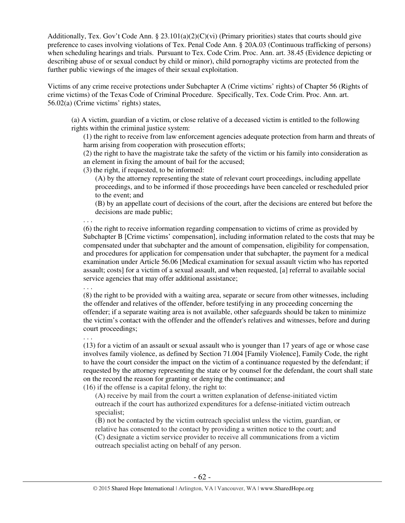Additionally, Tex. Gov't Code Ann. § 23.101(a)(2)(C)(vi) (Primary priorities) states that courts should give preference to cases involving violations of Tex. Penal Code Ann. § 20A.03 (Continuous trafficking of persons) when scheduling hearings and trials. Pursuant to Tex. Code Crim. Proc. Ann. art. 38.45 (Evidence depicting or describing abuse of or sexual conduct by child or minor), child pornography victims are protected from the further public viewings of the images of their sexual exploitation.

Victims of any crime receive protections under Subchapter A (Crime victims' rights) of Chapter 56 (Rights of crime victims) of the Texas Code of Criminal Procedure. Specifically, Tex. Code Crim. Proc. Ann. art. 56.02(a) (Crime victims' rights) states,

(a) A victim, guardian of a victim, or close relative of a deceased victim is entitled to the following rights within the criminal justice system:

(1) the right to receive from law enforcement agencies adequate protection from harm and threats of harm arising from cooperation with prosecution efforts;

(2) the right to have the magistrate take the safety of the victim or his family into consideration as an element in fixing the amount of bail for the accused;

(3) the right, if requested, to be informed:

(A) by the attorney representing the state of relevant court proceedings, including appellate proceedings, and to be informed if those proceedings have been canceled or rescheduled prior to the event; and

(B) by an appellate court of decisions of the court, after the decisions are entered but before the decisions are made public;

. . . (6) the right to receive information regarding compensation to victims of crime as provided by Subchapter B [Crime victims' compensation], including information related to the costs that may be compensated under that subchapter and the amount of compensation, eligibility for compensation, and procedures for application for compensation under that subchapter, the payment for a medical examination under Article 56.06 [Medical examination for sexual assault victim who has reported assault; costs] for a victim of a sexual assault, and when requested, [a] referral to available social service agencies that may offer additional assistance;

. . .

(8) the right to be provided with a waiting area, separate or secure from other witnesses, including the offender and relatives of the offender, before testifying in any proceeding concerning the offender; if a separate waiting area is not available, other safeguards should be taken to minimize the victim's contact with the offender and the offender's relatives and witnesses, before and during court proceedings;

. . .

(13) for a victim of an assault or sexual assault who is younger than 17 years of age or whose case involves family violence, as defined by Section 71.004 [Family Violence], Family Code, the right to have the court consider the impact on the victim of a continuance requested by the defendant; if requested by the attorney representing the state or by counsel for the defendant, the court shall state on the record the reason for granting or denying the continuance; and

(16) if the offense is a capital felony, the right to:

(A) receive by mail from the court a written explanation of defense-initiated victim outreach if the court has authorized expenditures for a defense-initiated victim outreach specialist;

(B) not be contacted by the victim outreach specialist unless the victim, guardian, or relative has consented to the contact by providing a written notice to the court; and (C) designate a victim service provider to receive all communications from a victim outreach specialist acting on behalf of any person.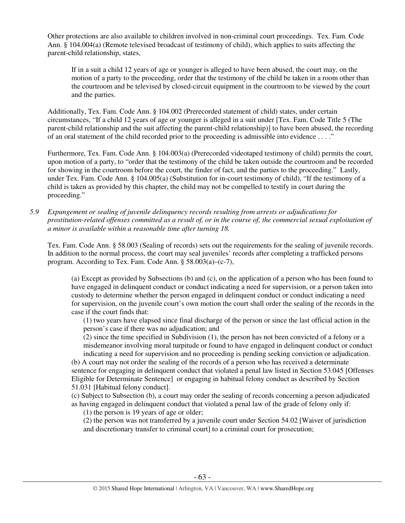Other protections are also available to children involved in non-criminal court proceedings. Tex. Fam. Code Ann. § 104.004(a) (Remote televised broadcast of testimony of child), which applies to suits affecting the parent-child relationship, states,

If in a suit a child 12 years of age or younger is alleged to have been abused, the court may, on the motion of a party to the proceeding, order that the testimony of the child be taken in a room other than the courtroom and be televised by closed-circuit equipment in the courtroom to be viewed by the court and the parties.

Additionally, Tex. Fam. Code Ann. § 104.002 (Prerecorded statement of child) states, under certain circumstances, "If a child 12 years of age or younger is alleged in a suit under [Tex. Fam. Code Title 5 (The parent-child relationship and the suit affecting the parent-child relationship)] to have been abused, the recording of an oral statement of the child recorded prior to the proceeding is admissible into evidence . . . ."

Furthermore, Tex. Fam. Code Ann. § 104.003(a) (Prerecorded videotaped testimony of child) permits the court, upon motion of a party, to "order that the testimony of the child be taken outside the courtroom and be recorded for showing in the courtroom before the court, the finder of fact, and the parties to the proceeding." Lastly, under Tex. Fam. Code Ann. § 104.005(a) (Substitution for in-court testimony of child), "If the testimony of a child is taken as provided by this chapter, the child may not be compelled to testify in court during the proceeding."

*5.9 Expungement or sealing of juvenile delinquency records resulting from arrests or adjudications for prostitution-related offenses committed as a result of, or in the course of, the commercial sexual exploitation of a minor is available within a reasonable time after turning 18.* 

Tex. Fam. Code Ann. § 58.003 (Sealing of records) sets out the requirements for the sealing of juvenile records. In addition to the normal process, the court may seal juveniles' records after completing a trafficked persons program. According to Tex. Fam. Code Ann. § 58.003(a)–(c-7),

(a) Except as provided by Subsections (b) and (c), on the application of a person who has been found to have engaged in delinquent conduct or conduct indicating a need for supervision, or a person taken into custody to determine whether the person engaged in delinquent conduct or conduct indicating a need for supervision, on the juvenile court's own motion the court shall order the sealing of the records in the case if the court finds that:

(1) two years have elapsed since final discharge of the person or since the last official action in the person's case if there was no adjudication; and

(2) since the time specified in Subdivision (1), the person has not been convicted of a felony or a misdemeanor involving moral turpitude or found to have engaged in delinquent conduct or conduct indicating a need for supervision and no proceeding is pending seeking conviction or adjudication.

(b) A court may not order the sealing of the records of a person who has received a determinate sentence for engaging in delinquent conduct that violated a penal law listed in Section 53.045 [Offenses Eligible for Determinate Sentence] or engaging in habitual felony conduct as described by Section 51.031 [Habitual felony conduct].

(c) Subject to Subsection (b), a court may order the sealing of records concerning a person adjudicated as having engaged in delinquent conduct that violated a penal law of the grade of felony only if:

(1) the person is 19 years of age or older;

(2) the person was not transferred by a juvenile court under Section 54.02 [Waiver of jurisdiction and discretionary transfer to criminal court] to a criminal court for prosecution;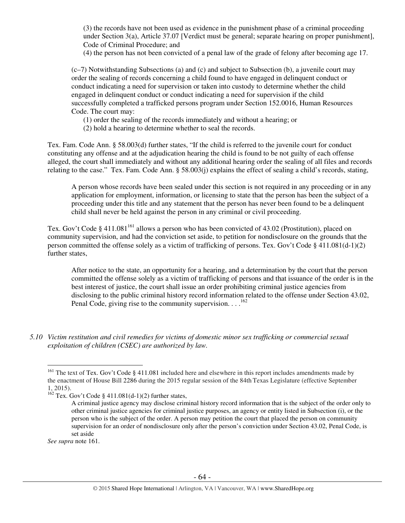(3) the records have not been used as evidence in the punishment phase of a criminal proceeding under Section 3(a), Article 37.07 [Verdict must be general; separate hearing on proper punishment], Code of Criminal Procedure; and

(4) the person has not been convicted of a penal law of the grade of felony after becoming age 17.

 $(c-7)$  Notwithstanding Subsections (a) and (c) and subject to Subsection (b), a juvenile court may order the sealing of records concerning a child found to have engaged in delinquent conduct or conduct indicating a need for supervision or taken into custody to determine whether the child engaged in delinquent conduct or conduct indicating a need for supervision if the child successfully completed a trafficked persons program under Section 152.0016, Human Resources Code. The court may:

(1) order the sealing of the records immediately and without a hearing; or

(2) hold a hearing to determine whether to seal the records.

Tex. Fam. Code Ann. § 58.003(d) further states, "If the child is referred to the juvenile court for conduct constituting any offense and at the adjudication hearing the child is found to be not guilty of each offense alleged, the court shall immediately and without any additional hearing order the sealing of all files and records relating to the case." Tex. Fam. Code Ann. § 58.003(j) explains the effect of sealing a child's records, stating,

A person whose records have been sealed under this section is not required in any proceeding or in any application for employment, information, or licensing to state that the person has been the subject of a proceeding under this title and any statement that the person has never been found to be a delinquent child shall never be held against the person in any criminal or civil proceeding.

Tex. Gov't Code § 411.081<sup>161</sup> allows a person who has been convicted of 43.02 (Prostitution), placed on community supervision, and had the conviction set aside, to petition for nondisclosure on the grounds that the person committed the offense solely as a victim of trafficking of persons. Tex. Gov't Code § 411.081(d-1)(2) further states,

After notice to the state, an opportunity for a hearing, and a determination by the court that the person committed the offense solely as a victim of trafficking of persons and that issuance of the order is in the best interest of justice, the court shall issue an order prohibiting criminal justice agencies from disclosing to the public criminal history record information related to the offense under Section 43.02, Penal Code, giving rise to the community supervision.  $\ldots$ <sup>162</sup>

*5.10 Victim restitution and civil remedies for victims of domestic minor sex trafficking or commercial sexual exploitation of children (CSEC) are authorized by law.* 

*See supra* note 161.

<sup>&</sup>lt;sup>161</sup> The text of Tex. Gov't Code  $\S$  411.081 included here and elsewhere in this report includes amendments made by the enactment of House Bill 2286 during the 2015 regular session of the 84th Texas Legislature (effective September 1, 2015).

 $162$  Tex. Gov't Code § 411.081(d-1)(2) further states,

A criminal justice agency may disclose criminal history record information that is the subject of the order only to other criminal justice agencies for criminal justice purposes, an agency or entity listed in Subsection (i), or the person who is the subject of the order. A person may petition the court that placed the person on community supervision for an order of nondisclosure only after the person's conviction under Section 43.02, Penal Code, is set aside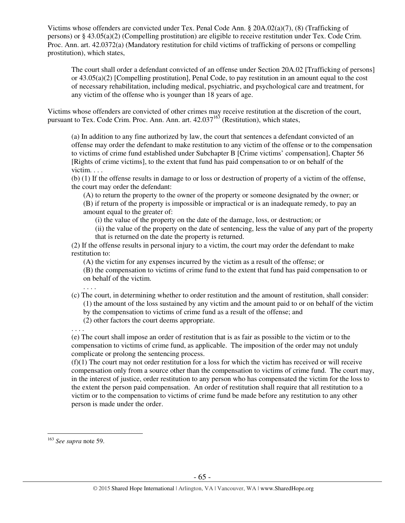Victims whose offenders are convicted under Tex. Penal Code Ann. § 20A.02(a)(7), (8) (Trafficking of persons) or § 43.05(a)(2) (Compelling prostitution) are eligible to receive restitution under Tex. Code Crim. Proc. Ann. art. 42.0372(a) (Mandatory restitution for child victims of trafficking of persons or compelling prostitution), which states,

The court shall order a defendant convicted of an offense under Section 20A.02 [Trafficking of persons] or 43.05(a)(2) [Compelling prostitution], Penal Code, to pay restitution in an amount equal to the cost of necessary rehabilitation, including medical, psychiatric, and psychological care and treatment, for any victim of the offense who is younger than 18 years of age.

Victims whose offenders are convicted of other crimes may receive restitution at the discretion of the court, pursuant to Tex. Code Crim. Proc. Ann. Ann. art.  $42.037^{163}$  (Restitution), which states,

(a) In addition to any fine authorized by law, the court that sentences a defendant convicted of an offense may order the defendant to make restitution to any victim of the offense or to the compensation to victims of crime fund established under Subchapter B [Crime victims' compensation], Chapter 56 [Rights of crime victims], to the extent that fund has paid compensation to or on behalf of the victim. . . .

(b) (1) If the offense results in damage to or loss or destruction of property of a victim of the offense, the court may order the defendant:

(A) to return the property to the owner of the property or someone designated by the owner; or (B) if return of the property is impossible or impractical or is an inadequate remedy, to pay an amount equal to the greater of:

(i) the value of the property on the date of the damage, loss, or destruction; or

(ii) the value of the property on the date of sentencing, less the value of any part of the property that is returned on the date the property is returned.

(2) If the offense results in personal injury to a victim, the court may order the defendant to make restitution to:

(A) the victim for any expenses incurred by the victim as a result of the offense; or

(B) the compensation to victims of crime fund to the extent that fund has paid compensation to or on behalf of the victim.

. . . .

- (c) The court, in determining whether to order restitution and the amount of restitution, shall consider: (1) the amount of the loss sustained by any victim and the amount paid to or on behalf of the victim by the compensation to victims of crime fund as a result of the offense; and
	- (2) other factors the court deems appropriate.
- . . . .

(e) The court shall impose an order of restitution that is as fair as possible to the victim or to the compensation to victims of crime fund, as applicable. The imposition of the order may not unduly complicate or prolong the sentencing process.

 $(f)(1)$  The court may not order restitution for a loss for which the victim has received or will receive compensation only from a source other than the compensation to victims of crime fund. The court may, in the interest of justice, order restitution to any person who has compensated the victim for the loss to the extent the person paid compensation. An order of restitution shall require that all restitution to a victim or to the compensation to victims of crime fund be made before any restitution to any other person is made under the order.

 $\overline{a}$ <sup>163</sup> *See supra* note 59.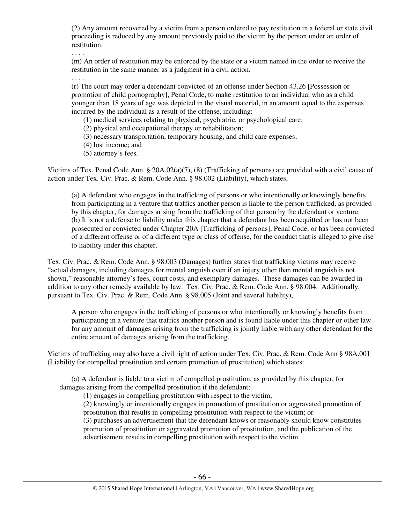(2) Any amount recovered by a victim from a person ordered to pay restitution in a federal or state civil proceeding is reduced by any amount previously paid to the victim by the person under an order of restitution.

. . . .

(m) An order of restitution may be enforced by the state or a victim named in the order to receive the restitution in the same manner as a judgment in a civil action.

. . . .

(r) The court may order a defendant convicted of an offense under Section 43.26 [Possession or promotion of child pornography], Penal Code, to make restitution to an individual who as a child younger than 18 years of age was depicted in the visual material, in an amount equal to the expenses incurred by the individual as a result of the offense, including:

(1) medical services relating to physical, psychiatric, or psychological care;

(2) physical and occupational therapy or rehabilitation;

(3) necessary transportation, temporary housing, and child care expenses;

(4) lost income; and

(5) attorney's fees.

Victims of Tex. Penal Code Ann. § 20A.02(a)(7), (8) (Trafficking of persons) are provided with a civil cause of action under Tex. Civ. Prac. & Rem. Code Ann. § 98.002 (Liability), which states,

(a) A defendant who engages in the trafficking of persons or who intentionally or knowingly benefits from participating in a venture that traffics another person is liable to the person trafficked, as provided by this chapter, for damages arising from the trafficking of that person by the defendant or venture. (b) It is not a defense to liability under this chapter that a defendant has been acquitted or has not been prosecuted or convicted under Chapter 20A [Trafficking of persons], Penal Code, or has been convicted of a different offense or of a different type or class of offense, for the conduct that is alleged to give rise to liability under this chapter.

Tex. Civ. Prac. & Rem. Code Ann. § 98.003 (Damages) further states that trafficking victims may receive "actual damages, including damages for mental anguish even if an injury other than mental anguish is not shown," reasonable attorney's fees, court costs, and exemplary damages. These damages can be awarded in addition to any other remedy available by law. Tex. Civ. Prac. & Rem. Code Ann. § 98.004. Additionally, pursuant to Tex. Civ. Prac. & Rem. Code Ann. § 98.005 (Joint and several liability),

A person who engages in the trafficking of persons or who intentionally or knowingly benefits from participating in a venture that traffics another person and is found liable under this chapter or other law for any amount of damages arising from the trafficking is jointly liable with any other defendant for the entire amount of damages arising from the trafficking.

Victims of trafficking may also have a civil right of action under Tex. Civ. Prac. & Rem. Code Ann § 98A.001 (Liability for compelled prostitution and certain promotion of prostitution) which states:

(a) A defendant is liable to a victim of compelled prostitution, as provided by this chapter, for damages arising from the compelled prostitution if the defendant:

(1) engages in compelling prostitution with respect to the victim;

(2) knowingly or intentionally engages in promotion of prostitution or aggravated promotion of prostitution that results in compelling prostitution with respect to the victim; or

(3) purchases an advertisement that the defendant knows or reasonably should know constitutes promotion of prostitution or aggravated promotion of prostitution, and the publication of the advertisement results in compelling prostitution with respect to the victim.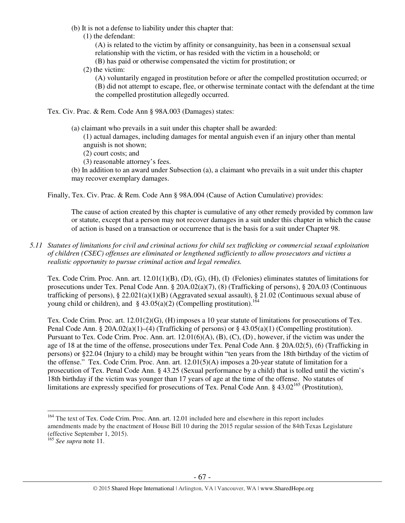- (b) It is not a defense to liability under this chapter that:
	- (1) the defendant:

(A) is related to the victim by affinity or consanguinity, has been in a consensual sexual relationship with the victim, or has resided with the victim in a household; or (B) has paid or otherwise compensated the victim for prostitution; or

(2) the victim:

(A) voluntarily engaged in prostitution before or after the compelled prostitution occurred; or (B) did not attempt to escape, flee, or otherwise terminate contact with the defendant at the time the compelled prostitution allegedly occurred.

Tex. Civ. Prac. & Rem. Code Ann § 98A.003 (Damages) states:

(a) claimant who prevails in a suit under this chapter shall be awarded:

(1) actual damages, including damages for mental anguish even if an injury other than mental anguish is not shown;

- (2) court costs; and
- (3) reasonable attorney's fees.

(b) In addition to an award under Subsection (a), a claimant who prevails in a suit under this chapter may recover exemplary damages.

Finally, Tex. Civ. Prac. & Rem. Code Ann § 98A.004 (Cause of Action Cumulative) provides:

The cause of action created by this chapter is cumulative of any other remedy provided by common law or statute, except that a person may not recover damages in a suit under this chapter in which the cause of action is based on a transaction or occurrence that is the basis for a suit under Chapter 98.

## *5.11 Statutes of limitations for civil and criminal actions for child sex trafficking or commercial sexual exploitation of children (CSEC) offenses are eliminated or lengthened sufficiently to allow prosecutors and victims a realistic opportunity to pursue criminal action and legal remedies.*

Tex. Code Crim. Proc. Ann. art. 12.01(1)(B), (D), (G), (H), (I) (Felonies) eliminates statutes of limitations for prosecutions under Tex. Penal Code Ann. § 20A.02(a)(7), (8) (Trafficking of persons), § 20A.03 (Continuous trafficking of persons), § 22.021(a)(1)(B) (Aggravated sexual assault), § 21.02 (Continuous sexual abuse of young child or children), and  $\S$  43.05(a)(2) (Compelling prostitution).<sup>164</sup>

Tex. Code Crim. Proc. art. 12.01(2)(G), (H)imposes a 10 year statute of limitations for prosecutions of Tex. Penal Code Ann. § 20A.02(a)(1)–(4) (Trafficking of persons) or § 43.05(a)(1) (Compelling prostitution). Pursuant to Tex. Code Crim. Proc. Ann. art. 12.01(6)(A), (B), (C), (D), however, if the victim was under the age of 18 at the time of the offense, prosecutions under Tex. Penal Code Ann. § 20A.02(5), (6) (Trafficking in persons) or §22.04 (Injury to a child) may be brought within "ten years from the 18th birthday of the victim of the offense." Tex. Code Crim. Proc. Ann. art. 12.01(5)(A) imposes a 20-year statute of limitation for a prosecution of Tex. Penal Code Ann. § 43.25 (Sexual performance by a child) that is tolled until the victim's 18th birthday if the victim was younger than 17 years of age at the time of the offense. No statutes of limitations are expressly specified for prosecutions of Tex. Penal Code Ann. § 43.02<sup>165</sup> (Prostitution),

 $\overline{a}$ <sup>164</sup> The text of Tex. Code Crim. Proc. Ann. art. 12.01 included here and elsewhere in this report includes amendments made by the enactment of House Bill 10 during the 2015 regular session of the 84thTexas Legislature (effective September 1, 2015).

<sup>165</sup> *See supra* note 11.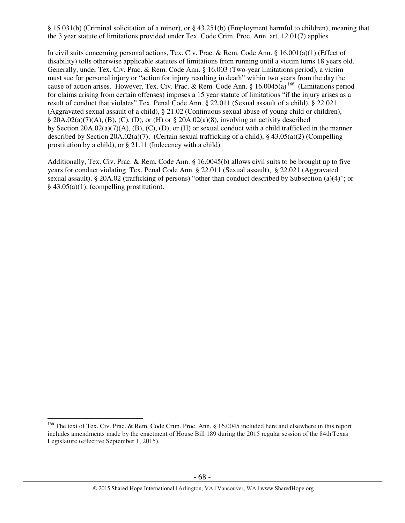§ 15.031(b) (Criminal solicitation of a minor), or § 43.251(b) (Employment harmful to children), meaning that the 3 year statute of limitations provided under Tex. Code Crim. Proc. Ann. art. 12.01(7) applies.

In civil suits concerning personal actions, Tex. Civ. Prac. & Rem. Code Ann. § 16.001(a)(1) (Effect of disability) tolls otherwise applicable statutes of limitations from running until a victim turns 18 years old. Generally, under Tex. Civ. Prac. & Rem. Code Ann. § 16.003 (Two-year limitations period), a victim must sue for personal injury or "action for injury resulting in death" within two years from the day the cause of action arises. However, Tex. Civ. Prac. & Rem. Code Ann. § 16.0045(a)<sup>166</sup> (Limitations period for claims arising from certain offenses) imposes a 15 year statute of limitations "if the injury arises as a result of conduct that violates" Tex. Penal Code Ann. § 22.011 (Sexual assault of a child), § 22.021 (Aggravated sexual assault of a child), § 21.02 (Continuous sexual abuse of young child or children),  $\S$  20A.02(a)(7)(A), (B), (C), (D), or (H) or  $\S$  20A.02(a)(8), involving an activity described by Section  $20A.02(a)(7)(A)$ ,  $(B)$ ,  $(C)$ ,  $(D)$ , or  $(H)$  or sexual conduct with a child trafficked in the manner described by Section 20A.02(a)(7), (Certain sexual trafficking of a child), § 43.05(a)(2) (Compelling prostitution by a child), or § 21.11 (Indecency with a child).

Additionally, Tex. Civ. Prac. & Rem. Code Ann. § 16.0045(b) allows civil suits to be brought up to five years for conduct violating Tex. Penal Code Ann. § 22.011 (Sexual assault), § 22.021 (Aggravated sexual assault), § 20A.02 (trafficking of persons) "other than conduct described by Subsection (a)(4)"; or § 43.05(a)(1), (compelling prostitution).

<sup>&</sup>lt;sup>166</sup> The text of Tex. Civ. Prac. & Rem. Code Crim. Proc. Ann. § 16.0045 included here and elsewhere in this report includes amendments made by the enactment of House Bill 189 during the 2015 regular session of the 84th Texas Legislature (effective September 1, 2015).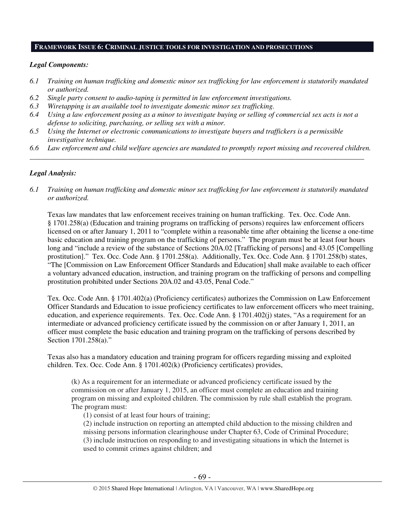#### **FRAMEWORK ISSUE 6: CRIMINAL JUSTICE TOOLS FOR INVESTIGATION AND PROSECUTIONS**

### *Legal Components:*

- *6.1 Training on human trafficking and domestic minor sex trafficking for law enforcement is statutorily mandated or authorized.*
- *6.2 Single party consent to audio-taping is permitted in law enforcement investigations.*
- *6.3 Wiretapping is an available tool to investigate domestic minor sex trafficking.*
- *6.4 Using a law enforcement posing as a minor to investigate buying or selling of commercial sex acts is not a defense to soliciting, purchasing, or selling sex with a minor.*
- *6.5 Using the Internet or electronic communications to investigate buyers and traffickers is a permissible investigative technique.*
- *6.6 Law enforcement and child welfare agencies are mandated to promptly report missing and recovered children. \_\_\_\_\_\_\_\_\_\_\_\_\_\_\_\_\_\_\_\_\_\_\_\_\_\_\_\_\_\_\_\_\_\_\_\_\_\_\_\_\_\_\_\_\_\_\_\_\_\_\_\_\_\_\_\_\_\_\_\_\_\_\_\_\_\_\_\_\_\_\_\_\_\_\_\_\_\_\_\_\_\_\_\_\_\_\_\_\_\_\_\_*

### *Legal Analysis:*

*6.1 Training on human trafficking and domestic minor sex trafficking for law enforcement is statutorily mandated or authorized.* 

Texas law mandates that law enforcement receives training on human trafficking. Tex. Occ. Code Ann. § 1701.258(a) (Education and training programs on trafficking of persons) requires law enforcement officers licensed on or after January 1, 2011 to "complete within a reasonable time after obtaining the license a one-time basic education and training program on the trafficking of persons." The program must be at least four hours long and "include a review of the substance of Sections 20A.02 [Trafficking of persons] and 43.05 [Compelling prostitution]." Tex. Occ. Code Ann. § 1701.258(a). Additionally, Tex. Occ. Code Ann. § 1701.258(b) states, "The [Commission on Law Enforcement Officer Standards and Education] shall make available to each officer a voluntary advanced education, instruction, and training program on the trafficking of persons and compelling prostitution prohibited under Sections 20A.02 and 43.05, Penal Code."

Tex. Occ. Code Ann. § 1701.402(a) (Proficiency certificates) authorizes the Commission on Law Enforcement Officer Standards and Education to issue proficiency certificates to law enforcement officers who meet training, education, and experience requirements. Tex. Occ. Code Ann. § 1701.402(j) states, "As a requirement for an intermediate or advanced proficiency certificate issued by the commission on or after January 1, 2011, an officer must complete the basic education and training program on the trafficking of persons described by Section 1701.258(a)."

Texas also has a mandatory education and training program for officers regarding missing and exploited children. Tex. Occ. Code Ann. § 1701.402(k) (Proficiency certificates) provides,

(k) As a requirement for an intermediate or advanced proficiency certificate issued by the commission on or after January 1, 2015, an officer must complete an education and training program on missing and exploited children. The commission by rule shall establish the program. The program must:

(1) consist of at least four hours of training;

(2) include instruction on reporting an attempted child abduction to the missing children and missing persons information clearinghouse under Chapter 63, Code of Criminal Procedure; (3) include instruction on responding to and investigating situations in which the Internet is used to commit crimes against children; and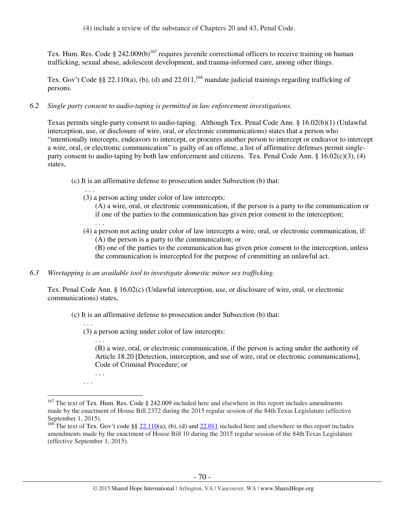(4) include a review of the substance of Chapters 20 and 43, Penal Code.

Tex. Hum. Res. Code § 242.009(b)<sup>167</sup> requires juvenile correctional officers to receive training on human trafficking, sexual abuse, adolescent development, and trauma-informed care, among other things.

Tex. Gov't Code §§ 22.110(a), (b), (d) and 22.011,<sup>168</sup> mandate judicial trainings regarding trafficking of persons.

*6.2 Single party consent to audio-taping is permitted in law enforcement investigations.* 

Texas permits single-party consent to audio-taping. Although Tex. Penal Code Ann. § 16.02(b)(1) (Unlawful interception, use, or disclosure of wire, oral, or electronic communications) states that a person who "intentionally intercepts, endeavors to intercept, or procures another person to intercept or endeavor to intercept a wire, oral, or electronic communication" is guilty of an offense, a list of affirmative defenses permit singleparty consent to audio-taping by both law enforcement and citizens. Tex. Penal Code Ann. §  $16.02(c)(3)$ , (4) states,

- (c) It is an affirmative defense to prosecution under Subsection (b) that:
	- . . .

. . .

- (3) a person acting under color of law intercepts:
	- (A) a wire, oral, or electronic communication, if the person is a party to the communication or if one of the parties to the communication has given prior consent to the interception;
- (4) a person not acting under color of law intercepts a wire, oral, or electronic communication, if: (A) the person is a party to the communication; or
	- (B) one of the parties to the communication has given prior consent to the interception, unless the communication is intercepted for the purpose of committing an unlawful act.
- *6.3 Wiretapping is an available tool to investigate domestic minor sex trafficking.*

Tex. Penal Code Ann. § 16.02(c) (Unlawful interception, use, or disclosure of wire, oral, or electronic communications) states,

- (c) It is an affirmative defense to prosecution under Subsection (b) that:
	- . . . (3) a person acting under color of law intercepts:
		- . . . (B) a wire, oral, or electronic communication, if the person is acting under the authority of Article 18.20 [Detection, interception, and use of wire, oral or electronic communications], Code of Criminal Procedure; or
	- . . . . . .

<sup>&</sup>lt;sup>167</sup> The text of Tex. Hum. Res. Code § 242.009 included here and elsewhere in this report includes amendments made by the enactment of House Bill 2372 during the 2015 regular session of the 84th Texas Legislature (effective September 1, 2015).

<sup>&</sup>lt;sup>168</sup> The text of Tex. Gov't code §§ 22.110(a), (b), (d) and 22.011 included here and elsewhere in this report includes amendments made by the enactment of House Bill 10 during the 2015 regular session of the 84thTexas Legislature (effective September 1, 2015).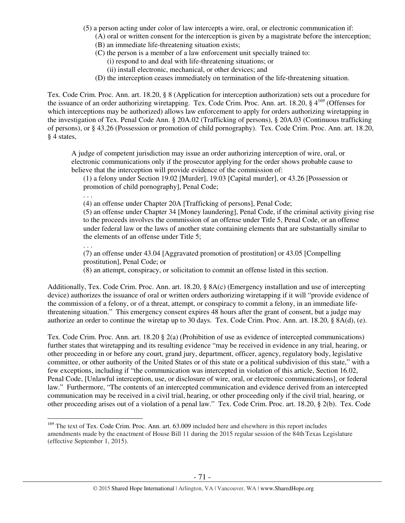(5) a person acting under color of law intercepts a wire, oral, or electronic communication if:

(A) oral or written consent for the interception is given by a magistrate before the interception;

- (B) an immediate life-threatening situation exists;
- (C) the person is a member of a law enforcement unit specially trained to:
	- (i) respond to and deal with life-threatening situations; or
	- (ii) install electronic, mechanical, or other devices; and
- (D) the interception ceases immediately on termination of the life-threatening situation.

Tex. Code Crim. Proc. Ann. art. 18.20, § 8 (Application for interception authorization) sets out a procedure for the issuance of an order authorizing wiretapping. Tex. Code Crim. Proc. Ann. art. 18.20, § 4<sup>169</sup> (Offenses for which interceptions may be authorized) allows law enforcement to apply for orders authorizing wiretapping in the investigation of Tex. Penal Code Ann. § 20A.02 (Trafficking of persons), § 20A.03 (Continuous trafficking of persons), or § 43.26 (Possession or promotion of child pornography). Tex. Code Crim. Proc. Ann. art. 18.20, § 4 states,

A judge of competent jurisdiction may issue an order authorizing interception of wire, oral, or electronic communications only if the prosecutor applying for the order shows probable cause to believe that the interception will provide evidence of the commission of:

(1) a felony under Section 19.02 [Murder], 19.03 [Capital murder], or 43.26 [Possession or promotion of child pornography], Penal Code;

. . .

(4) an offense under Chapter 20A [Trafficking of persons], Penal Code;

(5) an offense under Chapter 34 [Money laundering], Penal Code, if the criminal activity giving rise to the proceeds involves the commission of an offense under Title 5, Penal Code, or an offense under federal law or the laws of another state containing elements that are substantially similar to the elements of an offense under Title 5;

. . .

 $\overline{a}$ 

(7) an offense under 43.04 [Aggravated promotion of prostitution] or 43.05 [Compelling prostitution], Penal Code; or

(8) an attempt, conspiracy, or solicitation to commit an offense listed in this section.

Additionally, Tex. Code Crim. Proc. Ann. art. 18.20, § 8A(c) (Emergency installation and use of intercepting device) authorizes the issuance of oral or written orders authorizing wiretapping if it will "provide evidence of the commission of a felony, or of a threat, attempt, or conspiracy to commit a felony, in an immediate lifethreatening situation." This emergency consent expires 48 hours after the grant of consent, but a judge may authorize an order to continue the wiretap up to 30 days. Tex. Code Crim. Proc. Ann. art. 18.20, § 8A(d), (e).

Tex. Code Crim. Proc. Ann. art. 18.20 § 2(a) (Prohibition of use as evidence of intercepted communications) further states that wiretapping and its resulting evidence "may be received in evidence in any trial, hearing, or other proceeding in or before any court, grand jury, department, officer, agency, regulatory body, legislative committee, or other authority of the United States or of this state or a political subdivision of this state," with a few exceptions, including if "the communication was intercepted in violation of this article, Section 16.02, Penal Code, [Unlawful interception, use, or disclosure of wire, oral, or electronic communications], or federal law." Furthermore, "The contents of an intercepted communication and evidence derived from an intercepted communication may be received in a civil trial, hearing, or other proceeding only if the civil trial, hearing, or other proceeding arises out of a violation of a penal law." Tex. Code Crim. Proc. art. 18.20, § 2(b). Tex. Code

<sup>&</sup>lt;sup>169</sup> The text of Tex. Code Crim. Proc. Ann. art. 63.009 included here and elsewhere in this report includes amendments made by the enactment of House Bill 11 during the 2015 regular session of the 84thTexas Legislature (effective September 1, 2015).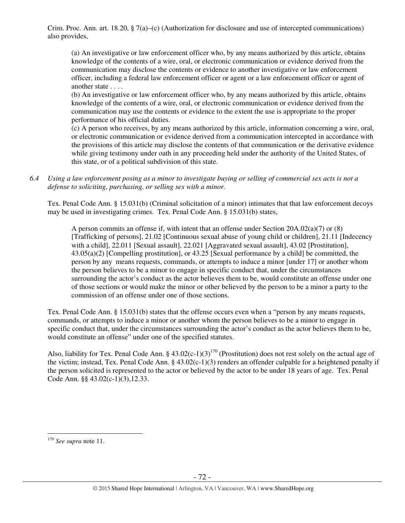Crim. Proc. Ann. art. 18.20,  $\S 7(a)$ –(c) (Authorization for disclosure and use of intercepted communications) also provides,

(a) An investigative or law enforcement officer who, by any means authorized by this article, obtains knowledge of the contents of a wire, oral, or electronic communication or evidence derived from the communication may disclose the contents or evidence to another investigative or law enforcement officer, including a federal law enforcement officer or agent or a law enforcement officer or agent of another state . . . .

(b) An investigative or law enforcement officer who, by any means authorized by this article, obtains knowledge of the contents of a wire, oral, or electronic communication or evidence derived from the communication may use the contents or evidence to the extent the use is appropriate to the proper performance of his official duties.

(c) A person who receives, by any means authorized by this article, information concerning a wire, oral, or electronic communication or evidence derived from a communication intercepted in accordance with the provisions of this article may disclose the contents of that communication or the derivative evidence while giving testimony under oath in any proceeding held under the authority of the United States, of this state, or of a political subdivision of this state.

*6.4 Using a law enforcement posing as a minor to investigate buying or selling of commercial sex acts is not a defense to soliciting, purchasing, or selling sex with a minor.* 

Tex. Penal Code Ann. § 15.031(b) (Criminal solicitation of a minor) intimates that that law enforcement decoys may be used in investigating crimes. Tex. Penal Code Ann. § 15.031(b) states,

A person commits an offense if, with intent that an offense under Section 20A.02(a)(7) or (8) [Trafficking of persons], 21.02 [Continuous sexual abuse of young child or children], 21.11 [Indecency with a child], 22.011 [Sexual assault], 22.021 [Aggravated sexual assault], 43.02 [Prostitution], 43.05(a)(2) [Compelling prostitution], or 43.25 [Sexual performance by a child] be committed, the person by any means requests, commands, or attempts to induce a minor [under 17] or another whom the person believes to be a minor to engage in specific conduct that, under the circumstances surrounding the actor's conduct as the actor believes them to be, would constitute an offense under one of those sections or would make the minor or other believed by the person to be a minor a party to the commission of an offense under one of those sections.

Tex. Penal Code Ann. § 15.031(b) states that the offense occurs even when a "person by any means requests, commands, or attempts to induce a minor or another whom the person believes to be a minor to engage in specific conduct that, under the circumstances surrounding the actor's conduct as the actor believes them to be, would constitute an offense" under one of the specified statutes.

Also, liability for Tex. Penal Code Ann. §  $43.02(c-1)(3)^{170}$  (Prostitution) does not rest solely on the actual age of the victim; instead, Tex. Penal Code Ann. § 43.02(c-1)(3) renders an offender culpable for a heightened penalty if the person solicited is represented to the actor or believed by the actor to be under 18 years of age. Tex. Penal Code Ann. §§ 43.02(c-1)(3),12.33.

 $\overline{a}$ <sup>170</sup> *See supra* note 11.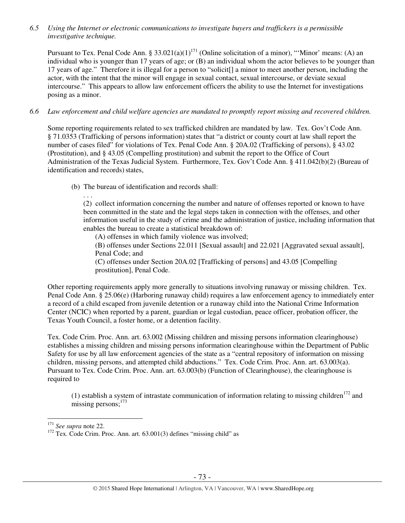*6.5 Using the Internet or electronic communications to investigate buyers and traffickers is a permissible investigative technique.* 

Pursuant to Tex. Penal Code Ann. § 33.021(a)(1)<sup>171</sup> (Online solicitation of a minor), "'Minor' means: (A) an individual who is younger than 17 years of age; or (B) an individual whom the actor believes to be younger than 17 years of age." Therefore it is illegal for a person to "solicit[] a minor to meet another person, including the actor, with the intent that the minor will engage in sexual contact, sexual intercourse, or deviate sexual intercourse." This appears to allow law enforcement officers the ability to use the Internet for investigations posing as a minor.

## *6.6 Law enforcement and child welfare agencies are mandated to promptly report missing and recovered children.*

Some reporting requirements related to sex trafficked children are mandated by law. Tex. Gov't Code Ann. § 71.0353 (Trafficking of persons information) states that "a district or county court at law shall report the number of cases filed" for violations of Tex. Penal Code Ann. § 20A.02 (Trafficking of persons), § 43.02 (Prostitution), and § 43.05 (Compelling prostitution) and submit the report to the Office of Court Administration of the Texas Judicial System. Furthermore, Tex. Gov't Code Ann. § 411.042(b)(2) (Bureau of identification and records) states,

- (b) The bureau of identification and records shall:
	- . . .

(2) collect information concerning the number and nature of offenses reported or known to have been committed in the state and the legal steps taken in connection with the offenses, and other information useful in the study of crime and the administration of justice, including information that enables the bureau to create a statistical breakdown of:

(A) offenses in which family violence was involved;

(B) offenses under Sections 22.011 [Sexual assault] and 22.021 [Aggravated sexual assault], Penal Code; and

(C) offenses under Section 20A.02 [Trafficking of persons] and 43.05 [Compelling prostitution], Penal Code.

Other reporting requirements apply more generally to situations involving runaway or missing children. Tex. Penal Code Ann. § 25.06(e) (Harboring runaway child) requires a law enforcement agency to immediately enter a record of a child escaped from juvenile detention or a runaway child into the National Crime Information Center (NCIC) when reported by a parent, guardian or legal custodian, peace officer, probation officer, the Texas Youth Council, a foster home, or a detention facility.

Tex. Code Crim. Proc. Ann. art. 63.002 (Missing children and missing persons information clearinghouse) establishes a missing children and missing persons information clearinghouse within the Department of Public Safety for use by all law enforcement agencies of the state as a "central repository of information on missing children, missing persons, and attempted child abductions." Tex. Code Crim. Proc. Ann. art. 63.003(a). Pursuant to Tex. Code Crim. Proc. Ann. art. 63.003(b) (Function of Clearinghouse), the clearinghouse is required to

(1) establish a system of intrastate communication of information relating to missing children<sup>172</sup> and missing persons; $173$ 

 $\overline{a}$ <sup>171</sup> *See supra* note 22.

 $172$  Tex. Code Crim. Proc. Ann. art. 63.001(3) defines "missing child" as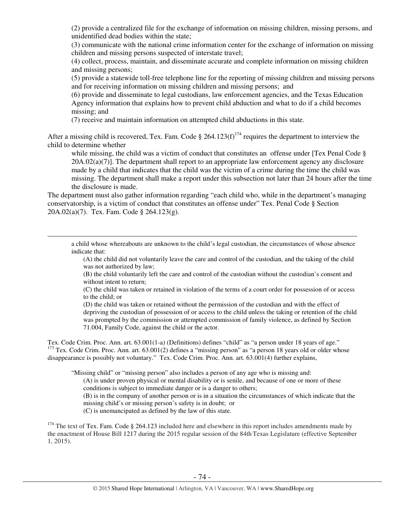(2) provide a centralized file for the exchange of information on missing children, missing persons, and unidentified dead bodies within the state;

(3) communicate with the national crime information center for the exchange of information on missing children and missing persons suspected of interstate travel;

(4) collect, process, maintain, and disseminate accurate and complete information on missing children and missing persons;

(5) provide a statewide toll-free telephone line for the reporting of missing children and missing persons and for receiving information on missing children and missing persons; and

(6) provide and disseminate to legal custodians, law enforcement agencies, and the Texas Education Agency information that explains how to prevent child abduction and what to do if a child becomes missing; and

(7) receive and maintain information on attempted child abductions in this state.

After a missing child is recovered, Tex. Fam. Code § 264.123(f)<sup>174</sup> requires the department to interview the child to determine whether

while missing, the child was a victim of conduct that constitutes an offense under [Tex Penal Code §  $20A.02(a)(7)$ . The department shall report to an appropriate law enforcement agency any disclosure made by a child that indicates that the child was the victim of a crime during the time the child was missing. The department shall make a report under this subsection not later than 24 hours after the time the disclosure is made.

The department must also gather information regarding "each child who, while in the department's managing conservatorship, is a victim of conduct that constitutes an offense under" Tex. Penal Code § Section 20A.02(a)(7). Tex. Fam. Code § 264.123(g).

a child whose whereabouts are unknown to the child's legal custodian, the circumstances of whose absence indicate that:

(A) the child did not voluntarily leave the care and control of the custodian, and the taking of the child was not authorized by law;

(B) the child voluntarily left the care and control of the custodian without the custodian's consent and without intent to return;

(C) the child was taken or retained in violation of the terms of a court order for possession of or access to the child; or

(D) the child was taken or retained without the permission of the custodian and with the effect of depriving the custodian of possession of or access to the child unless the taking or retention of the child was prompted by the commission or attempted commission of family violence, as defined by Section 71.004, Family Code, against the child or the actor.

Tex. Code Crim. Proc. Ann. art. 63.001(1-a) (Definitions) defines "child" as "a person under 18 years of age." <sup>173</sup> Tex. Code Crim. Proc. Ann. art. 63.001(2) defines a "missing person" as "a person 18 years old or older whose disappearance is possibly not voluntary." Tex. Code Crim. Proc. Ann. art. 63.001(4) further explains,

"Missing child" or "missing person" also includes a person of any age who is missing and:

(A) is under proven physical or mental disability or is senile, and because of one or more of these conditions is subject to immediate danger or is a danger to others;

(B) is in the company of another person or is in a situation the circumstances of which indicate that the missing child's or missing person's safety is in doubt; or

(C) is unemancipated as defined by the law of this state.

 $\overline{a}$ 

 $174$  The text of Tex. Fam. Code § 264.123 included here and elsewhere in this report includes amendments made by the enactment of House Bill 1217 during the 2015 regular session of the 84th Texas Legislature (effective September 1, 2015).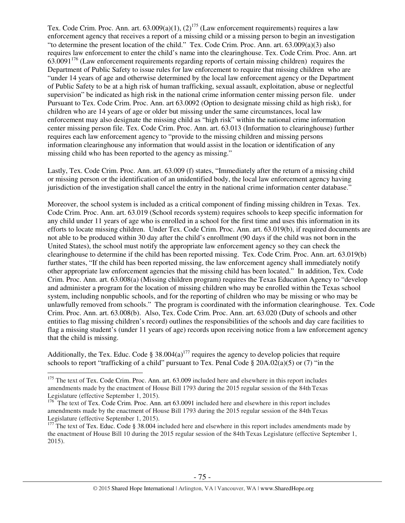Tex. Code Crim. Proc. Ann. art.  $63.009(a)(1)$ ,  $(2)^{175}$  (Law enforcement requirements) requires a law enforcement agency that receives a report of a missing child or a missing person to begin an investigation "to determine the present location of the child." Tex. Code Crim. Proc. Ann. art. 63.009(a)(3) also requires law enforcement to enter the child's name into the clearinghouse. Tex. Code Crim. Proc. Ann. art  $63.0091<sup>176</sup>$  (Law enforcement requirements regarding reports of certain missing children) requires the Department of Public Safety to issue rules for law enforcement to require that missing children who are "under 14 years of age and otherwise determined by the local law enforcement agency or the Department of Public Safety to be at a high risk of human trafficking, sexual assault, exploitation, abuse or neglectful supervision" be indicated as high risk in the national crime information center missing person file. under Pursuant to Tex. Code Crim. Proc. Ann. art 63.0092 (Option to designate missing child as high risk), for children who are 14 years of age or older but missing under the same circumstances, local law enforcement may also designate the missing child as "high risk" within the national crime information center missing person file. Tex. Code Crim. Proc. Ann. art. 63.013 (Information to clearinghouse) further requires each law enforcement agency to "provide to the missing children and missing persons information clearinghouse any information that would assist in the location or identification of any missing child who has been reported to the agency as missing."

Lastly, Tex. Code Crim. Proc. Ann. art. 63.009 (f) states, "Immediately after the return of a missing child or missing person or the identification of an unidentified body, the local law enforcement agency having jurisdiction of the investigation shall cancel the entry in the national crime information center database."

Moreover, the school system is included as a critical component of finding missing children in Texas. Tex. Code Crim. Proc. Ann. art. 63.019 (School records system) requires schools to keep specific information for any child under 11 years of age who is enrolled in a school for the first time and uses this information in its efforts to locate missing children. Under Tex. Code Crim. Proc. Ann. art. 63.019(b), if required documents are not able to be produced within 30 day after the child's enrollment (90 days if the child was not born in the United States), the school must notify the appropriate law enforcement agency so they can check the clearinghouse to determine if the child has been reported missing. Tex. Code Crim. Proc. Ann. art. 63.019(b) further states, "If the child has been reported missing, the law enforcement agency shall immediately notify other appropriate law enforcement agencies that the missing child has been located." In addition, Tex. Code Crim. Proc. Ann. art. 63.008(a) (Missing children program) requires the Texas Education Agency to "develop and administer a program for the location of missing children who may be enrolled within the Texas school system, including nonpublic schools, and for the reporting of children who may be missing or who may be unlawfully removed from schools." The program is coordinated with the information clearinghouse. Tex. Code Crim. Proc. Ann. art. 63.008(b). Also, Tex. Code Crim. Proc. Ann. art. 63.020 (Duty of schools and other entities to flag missing children's record) outlines the responsibilities of the schools and day care facilities to flag a missing student's (under 11 years of age) records upon receiving notice from a law enforcement agency that the child is missing.

Additionally, the Tex. Educ. Code § 38.004(a)<sup>177</sup> requires the agency to develop policies that require schools to report "trafficking of a child" pursuant to Tex. Penal Code § 20A.02(a)(5) or (7) "in the

 $\overline{a}$ 

<sup>&</sup>lt;sup>175</sup> The text of Tex. Code Crim. Proc. Ann. art. 63.009 included here and elsewhere in this report includes amendments made by the enactment of House Bill 1793 during the 2015 regular session of the 84th Texas Legislature (effective September 1, 2015).

<sup>&</sup>lt;sup>176</sup> The text of Tex. Code Crim. Proc. Ann. art 63.0091 included here and elsewhere in this report includes amendments made by the enactment of House Bill 1793 during the 2015 regular session of the 84th Texas Legislature (effective September 1, 2015).

<sup>&</sup>lt;sup>177</sup> The text of Tex. Educ. Code § 38.004 included here and elsewhere in this report includes amendments made by the enactment of House Bill 10 during the 2015 regular session of the 84th Texas Legislature (effective September 1, 2015).